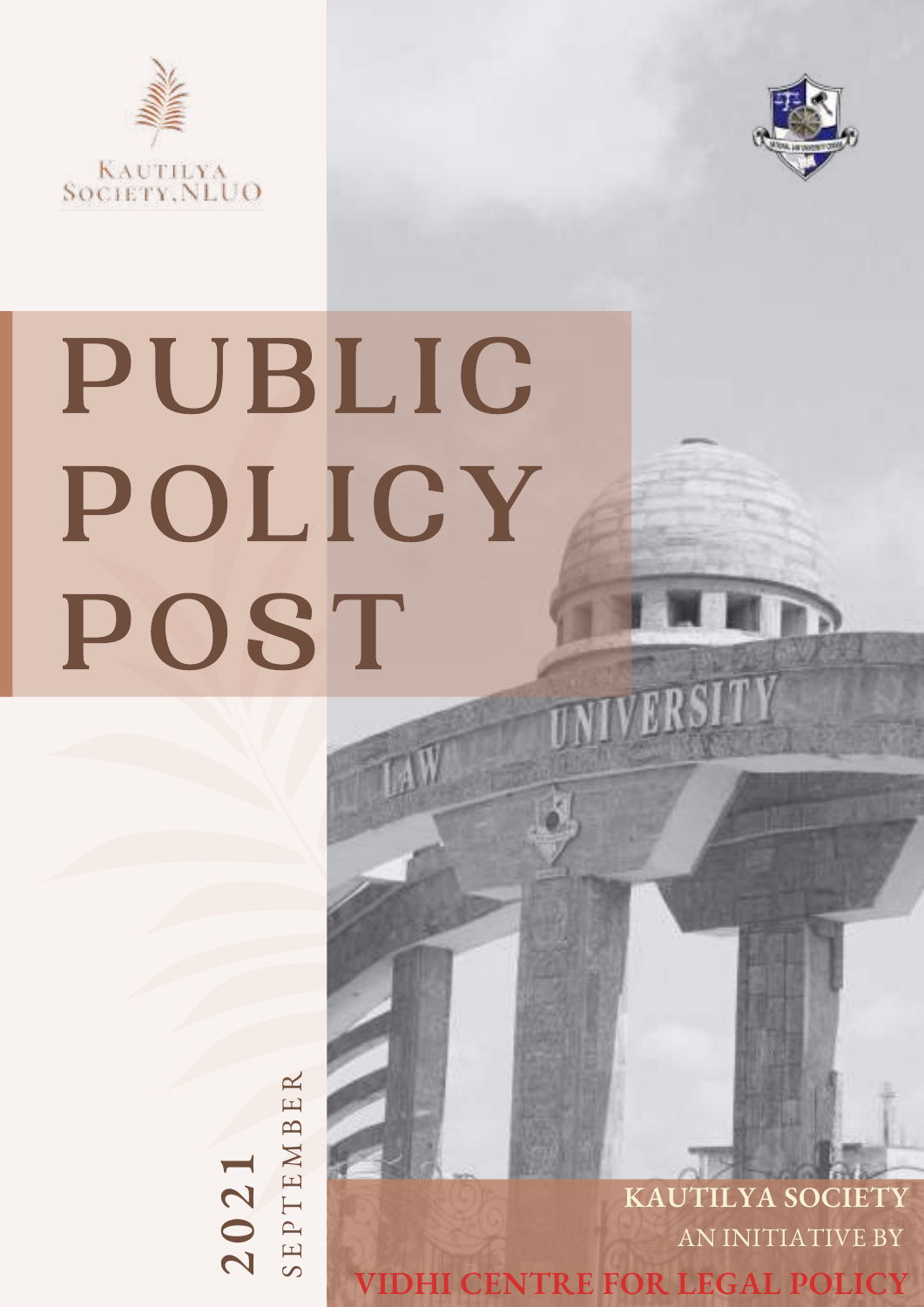



# PUBLIC POLICY POST UNIVERSITY

 $14$ 

 $\mathbf{C}$ **0** $\mathbf 2$ **1**  $\mathcal O$  $\Box$  $\mathsf{P}$  $\vdash$  $\Box$ M $\mathbf{\Xi}$  $\mathbf \Xi$  $\mathbb R$ 

**KAUTILYA SOCIETY** AN INITIATIVE BY **VIDHI CENTRE FOR LEGAL POLICY**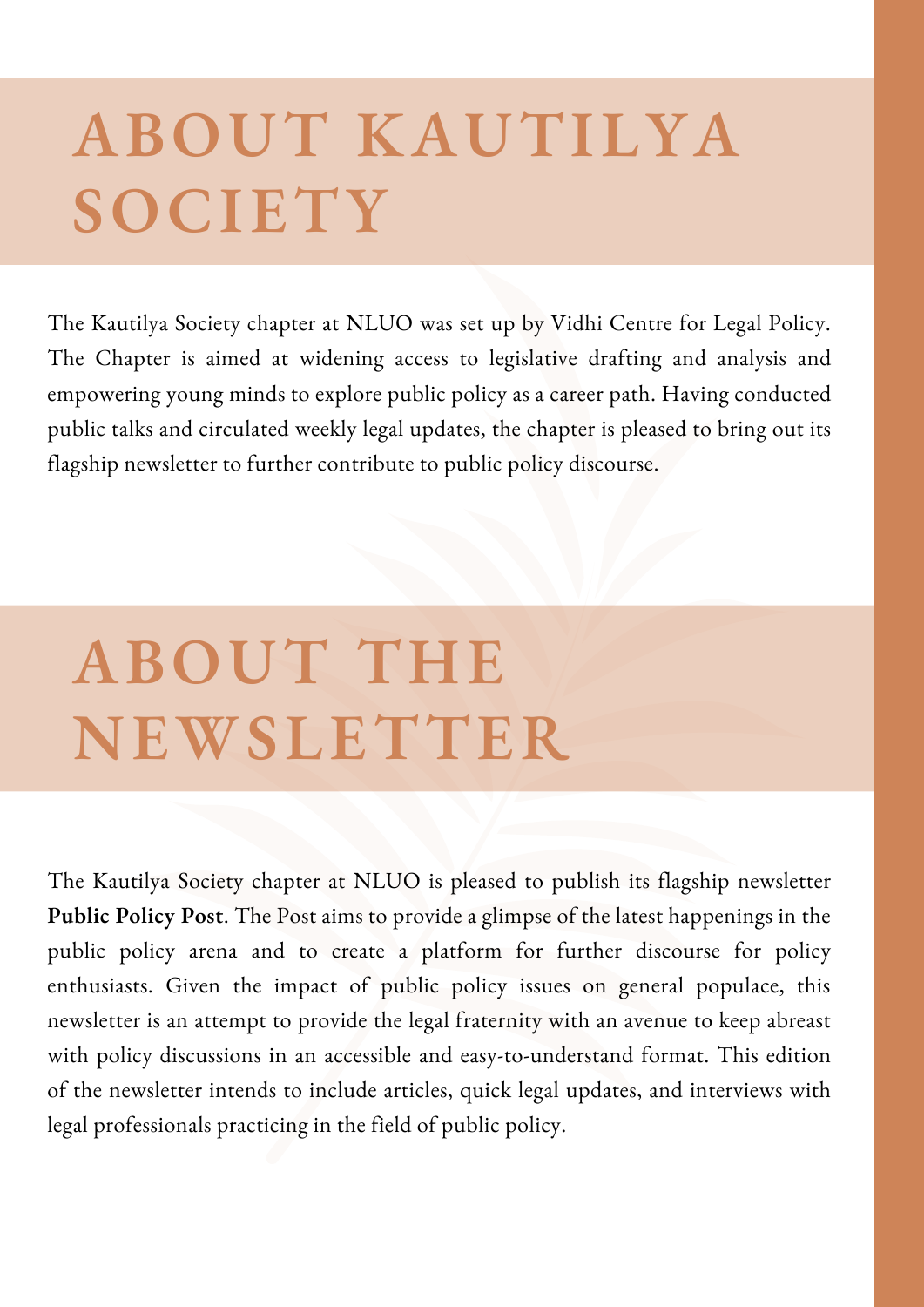## **ABOUT KAUTILYA SOCIETY**

The Kautilya Society chapter at NLUO was set up by Vidhi Centre for Legal Policy. The Chapter is aimed at widening access to legislative drafting and analysis and empowering young minds to explore public policy as a career path. Having conducted public talks and circulated weekly legal updates, the chapter is pleased to bring out its flagship newsletter to further contribute to public policy discourse.

# **ABOUT THE NEWSLETTER**

The Kautilya Society chapter at NLUO is pleased to publish its flagship newsletter **Public Policy Post**. The Post aims to provide a glimpse of the latest happenings in the public policy arena and to create a platform for further discourse for policy enthusiasts. Given the impact of public policy issues on general populace, this newsletter is an attempt to provide the legal fraternity with an avenue to keep abreast with policy discussions in an accessible and easy-to-understand format. This edition of the newsletter intends to include articles, quick legal updates, and interviews with legal professionals practicing in the field of public policy.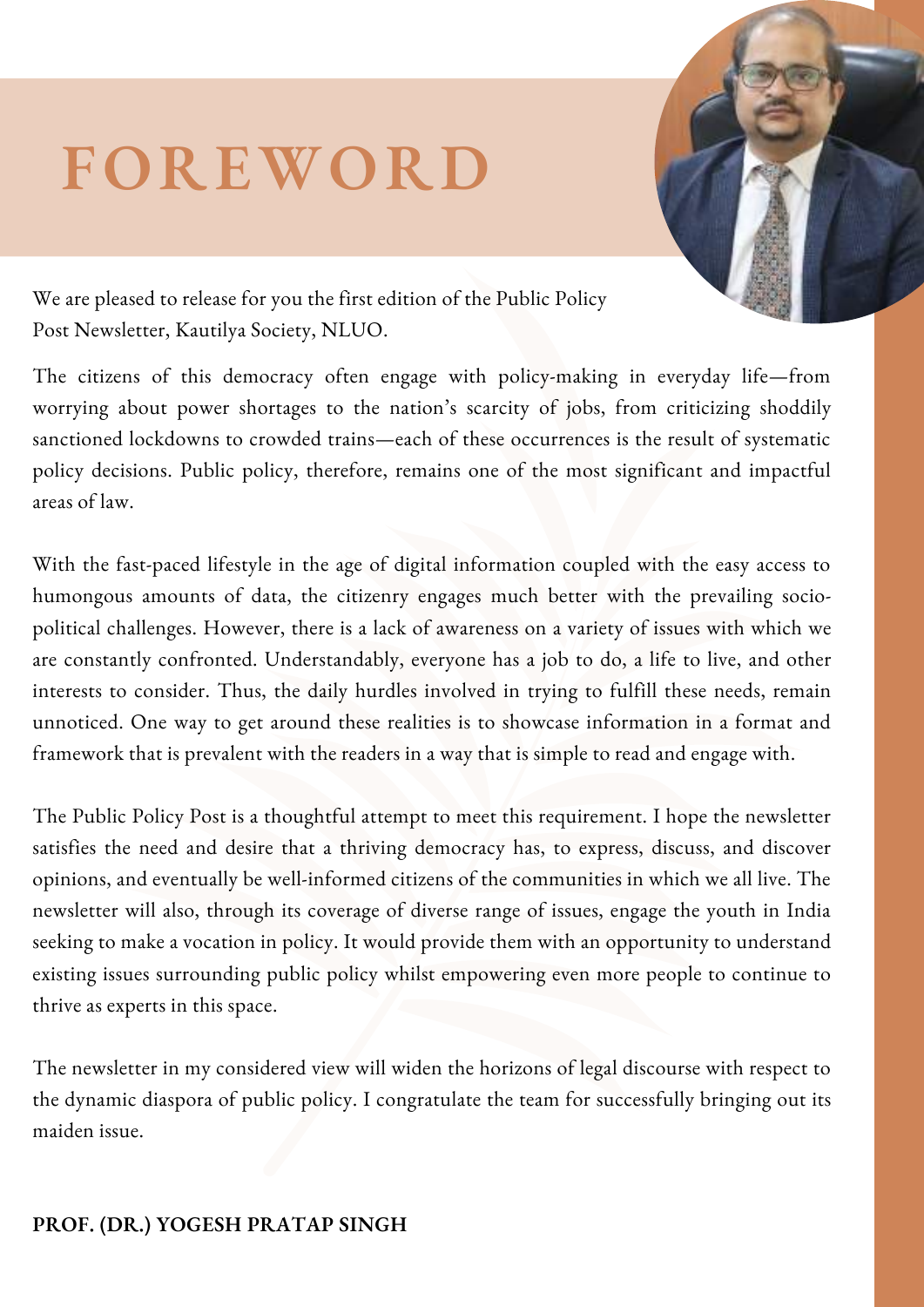## **FOREWORD**



We are pleased to release for you the first edition of the Public Policy Post Newsletter, Kautilya Society, NLUO.

The citizens of this democracy often engage with policy-making in everyday life—from worrying about power shortages to the nation's scarcity of jobs, from criticizing shoddily sanctioned lockdowns to crowded trains—each of these occurrences is the result of systematic policy decisions. Public policy, therefore, remains one of the most significant and impactful areas of law.

With the fast-paced lifestyle in the age of digital information coupled with the easy access to humongous amounts of data, the citizenry engages much better with the prevailing sociopolitical challenges. However, there is a lack of awareness on a variety of issues with which we are constantly confronted. Understandably, everyone has a job to do, a life to live, and other interests to consider. Thus, the daily hurdles involved in trying to fulfill these needs, remain unnoticed. One way to get around these realities is to showcase information in a format and framework that is prevalent with the readers in a way that is simple to read and engage with.

The Public Policy Post is a thoughtful attempt to meet this requirement. I hope the newsletter satisfies the need and desire that a thriving democracy has, to express, discuss, and discover opinions, and eventually be well-informed citizens of the communities in which we all live. The newsletter will also, through its coverage of diverse range of issues, engage the youth in India seeking to make a vocation in policy. It would provide them with an opportunity to understand existing issues surrounding public policy whilst empowering even more people to continue to thrive as experts in this space.

The newsletter in my considered view will widen the horizons of legal discourse with respect to the dynamic diaspora of public policy. I congratulate the team for successfully bringing out its maiden issue.

#### **PROF. (DR.) YOGESH PRATAP SINGH**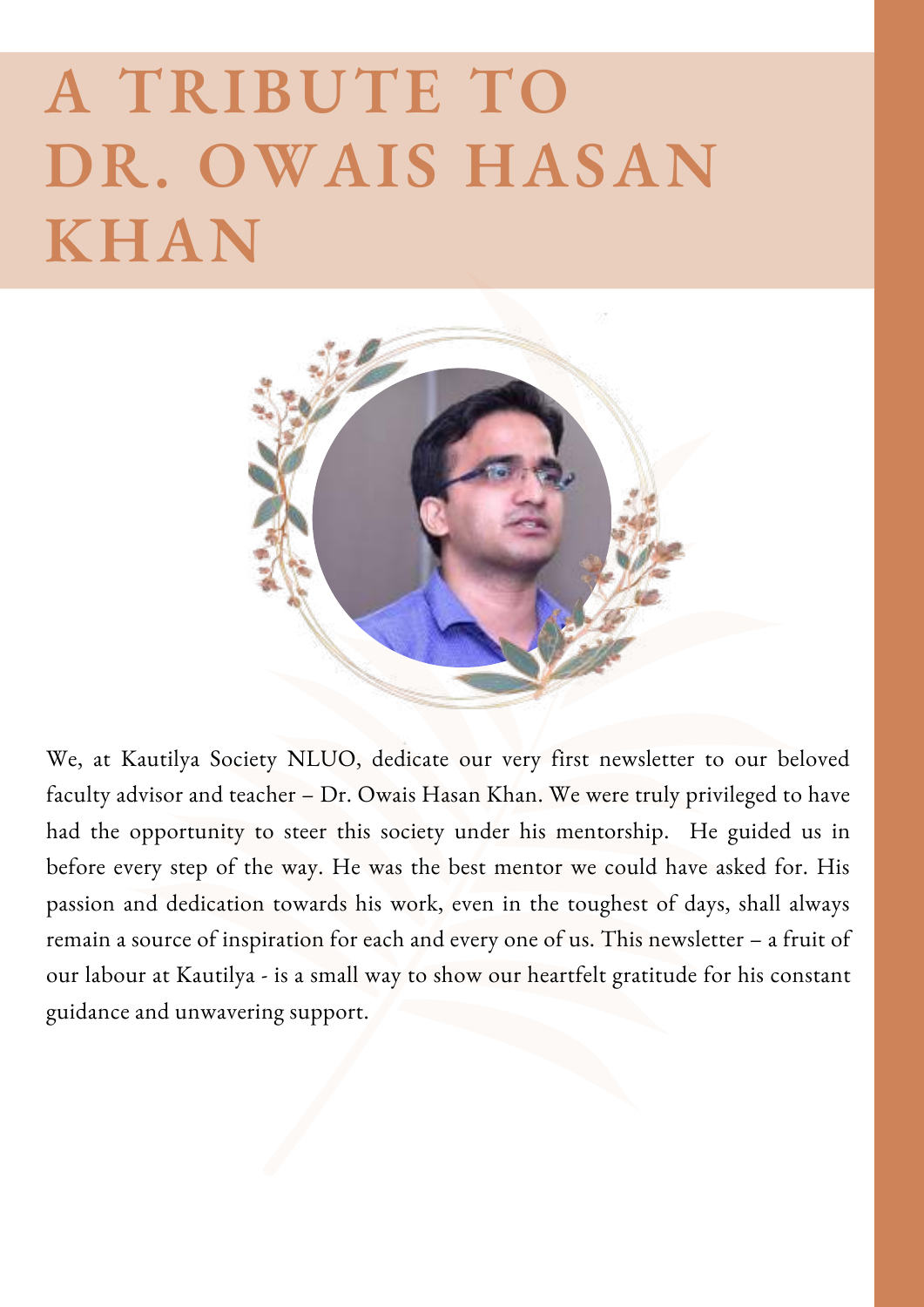# **A TRIBUTE TO DR. OWAIS HASAN KHAN**



We, at Kautilya Society NLUO, dedicate our very first newsletter to our beloved faculty advisor and teacher – Dr. Owais Hasan Khan. We were truly privileged to have had the opportunity to steer this society under his mentorship. He guided us in before every step of the way. He was the best mentor we could have asked for. His passion and dedication towards his work, even in the toughest of days, shall always remain a source of inspiration for each and every one of us. This newsletter – a fruit of our labour at Kautilya - is a small way to show our heartfelt gratitude for his constant guidance and unwavering support.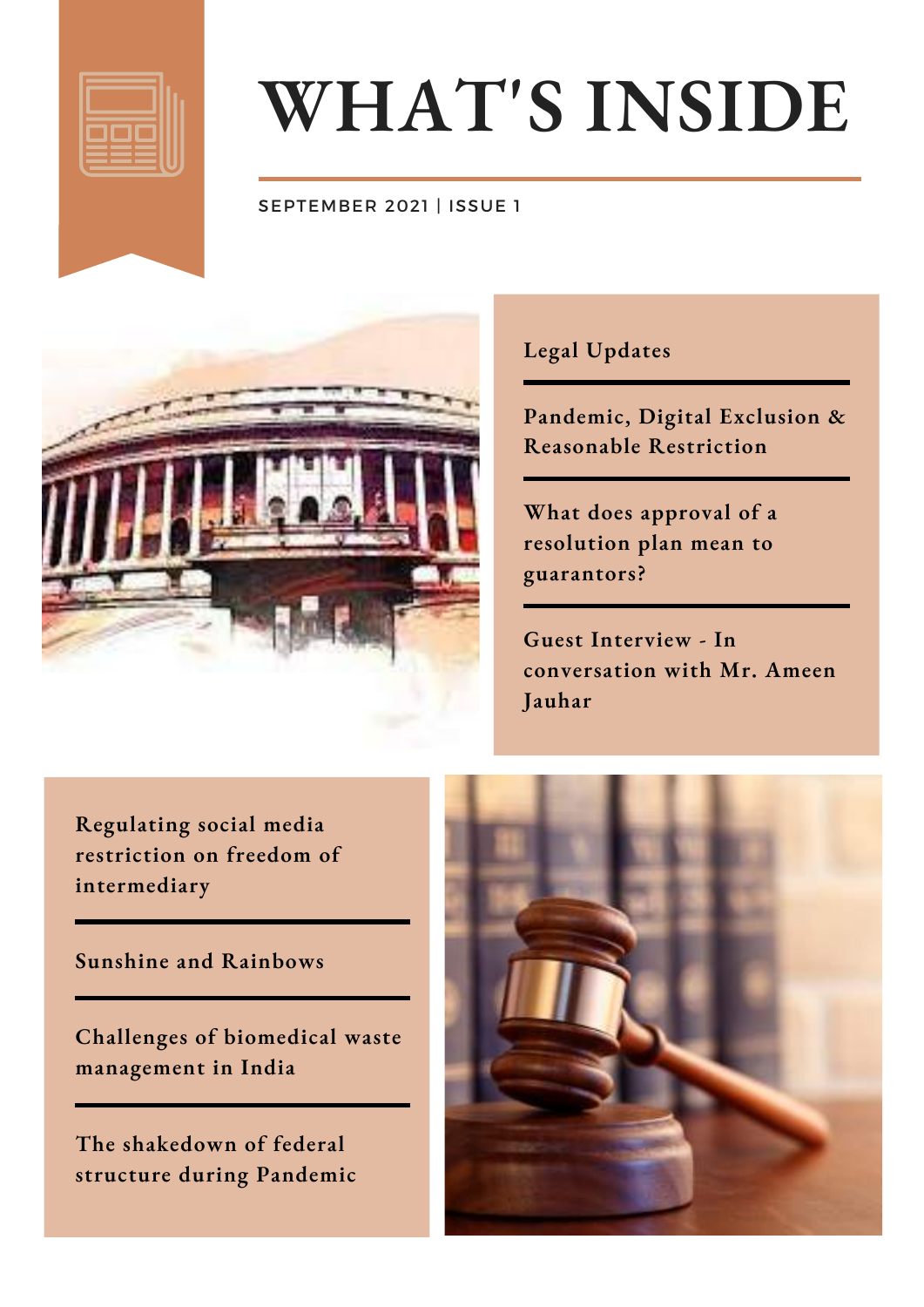

# **WHAT'S INSIDE**

#### SEPTEMBER 2021 | ISSUE 1



#### **Legal Updates**

**Pandemic, Digital Exclusion & Reasonable Restriction**

**What does approval of a resolution plan mean to guarantors?**

**Guest Interview - In conversation with Mr. Ameen Jauhar**

**Regulating social media restriction on freedom of intermediary**

#### **Sunshine and Rainbows**

**Challenges of biomedical waste management in India**

**The shakedown of federal structure during Pandemic**

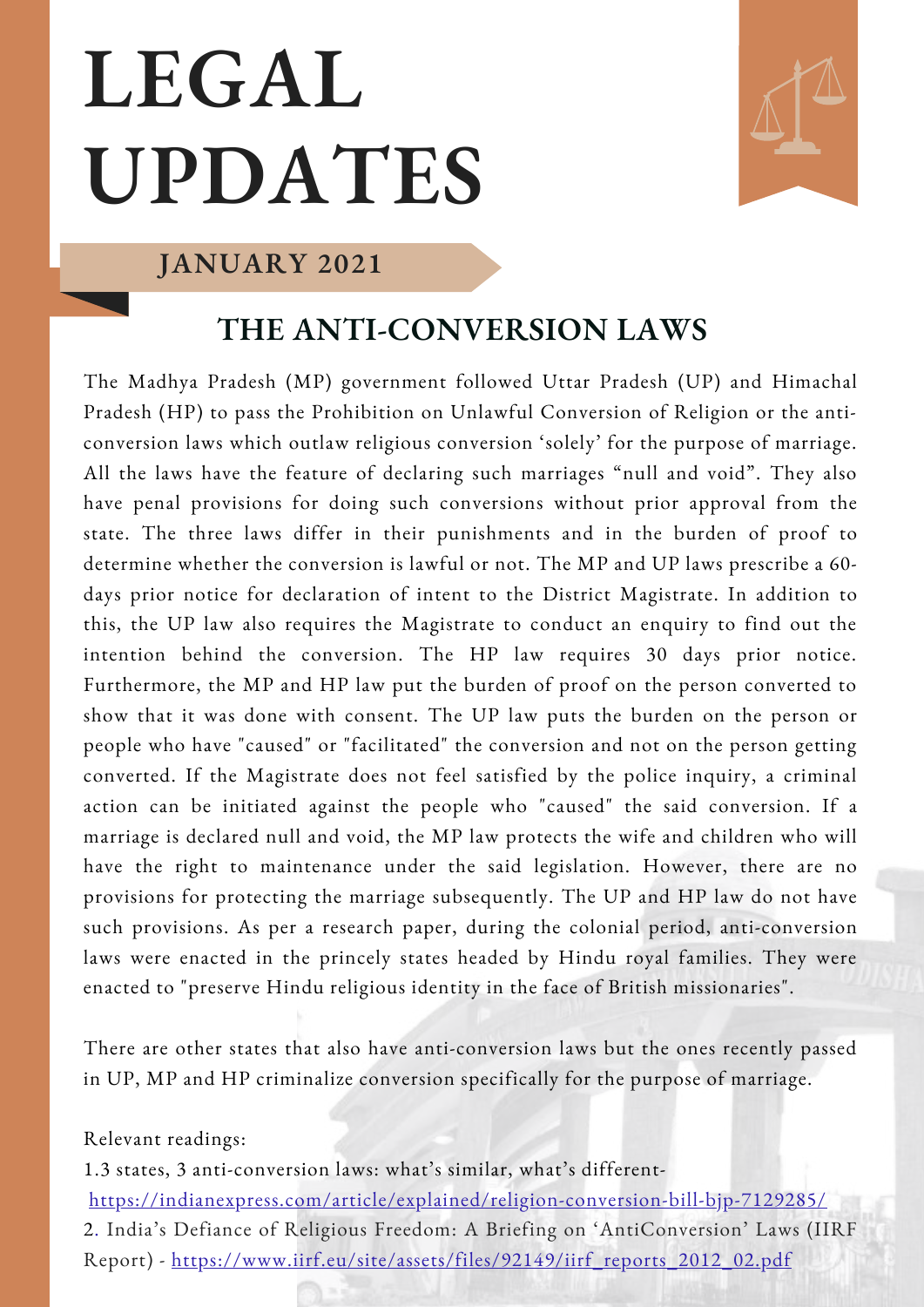# **LEGAL UPDATES**



#### **JANUARY 2021**

## **THE ANTI-CONVERSION LAWS**

The Madhya Pradesh (MP) government followed Uttar Pradesh (UP) and Himachal Pradesh (HP) to pass the Prohibition on Unlawful Conversion of Religion or the anticonversion laws which outlaw religious conversion 'solely' for the purpose of marriage. All the laws have the feature of declaring such marriages "null and void". They also have penal provisions for doing such conversions without prior approval from the state. The three laws differ in their punishments and in the burden of proof to determine whether the conversion is lawful or not. The MP and UP laws prescribe a 60 days prior notice for declaration of intent to the District Magistrate. In addition to this, the UP law also requires the Magistrate to conduct an enquiry to find out the intention behind the conversion. The HP law requires 30 days prior notice. Furthermore, the MP and HP law put the burden of proof on the person converted to show that it was done with consent. The UP law puts the burden on the person or people who have "caused" or "facilitated" the conversion and not on the person getting converted. If the Magistrate does not feel satisfied by the police inquiry, a criminal action can be initiated against the people who "caused" the said conversion. If a marriage is declared null and void, the MP law protects the wife and children who will have the right to maintenance under the said legislation. However, there are no provisions for protecting the marriage subsequently. The UP and HP law do not have such provisions. As per a research paper, during the colonial period, anti-conversion laws were enacted in the princely states headed by Hindu royal families. They were enacted to "preserve Hindu religious identity in the face of British missionaries".

There are other states that also have anti-conversion laws but the ones recently passed in UP, MP and HP criminalize conversion specifically for the purpose of marriage.

#### Relevant readings:

1.3 states, 3 [anti-conversion](https://indianexpress.com/article/explained/religion-conversion-bill-bjp-7129285/) laws: what's similar, what's different<https://indianexpress.com/article/explained/religion-conversion-bill-bjp-7129285/> 2. India's Defiance of Religious Freedom: A Briefing on 'AntiConversion' Laws (IIRF

Report) - [https://www.iirf.eu/site/assets/files/92149/iirf\\_reports\\_2012\\_02.pdf](https://www.iirf.eu/site/assets/files/92149/iirf_reports_2012_02.pdf)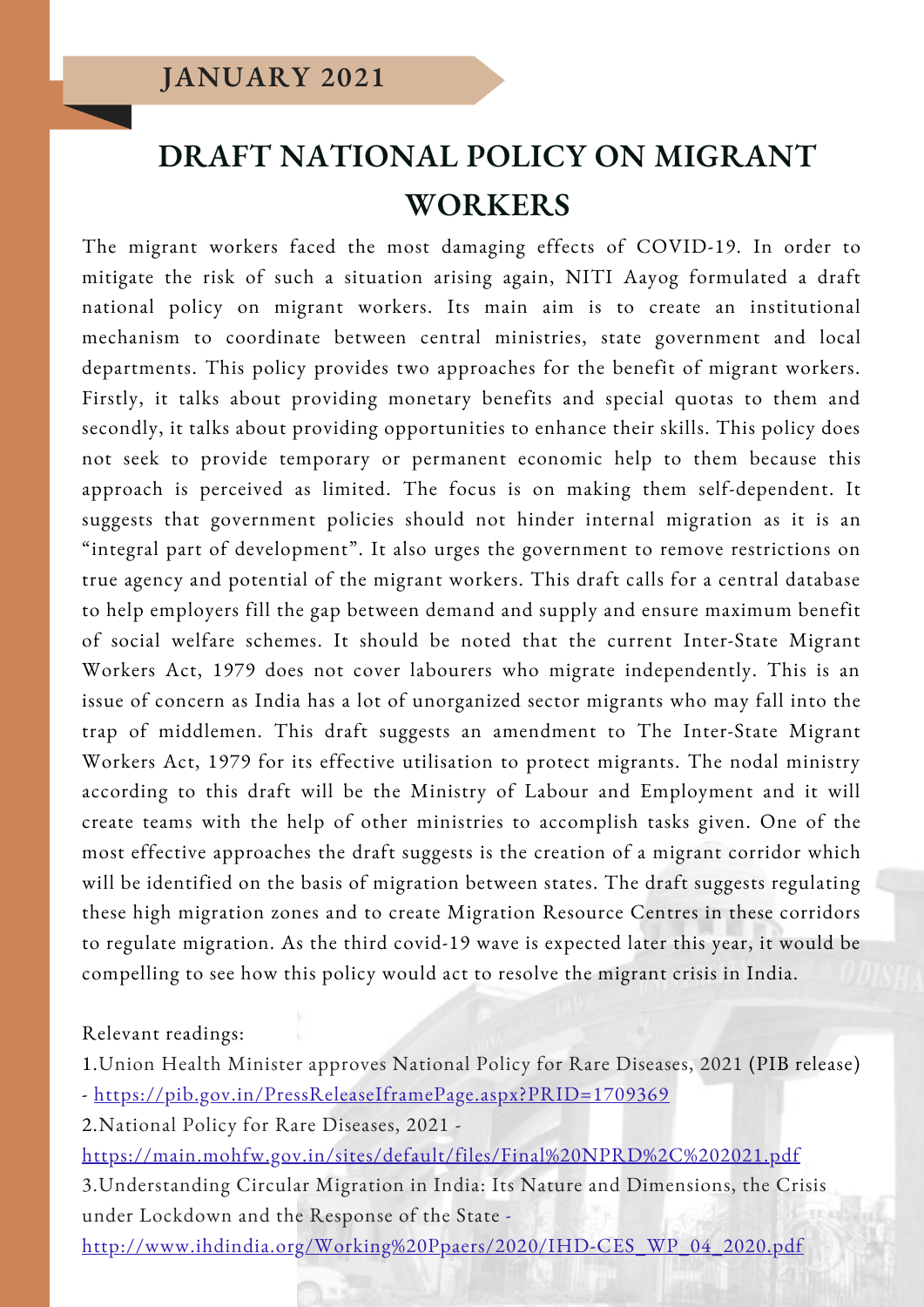## **DRAFT NATIONAL POLICY ON MIGRANT WORKERS**

The migrant workers faced the most damaging effects of COVID-19. In order to mitigate the risk of such a situation arising again, NITI Aayog formulated a draft national policy on migrant workers. Its main aim is to create an institutional mechanism to coordinate between central ministries, state government and local departments. This policy provides two approaches for the benefit of migrant workers. Firstly, it talks about providing monetary benefits and special quotas to them and secondly, it talks about providing opportunities to enhance their skills. This policy does not seek to provide temporary or permanent economic help to them because this approach is perceived as limited. The focus is on making them self-dependent. It suggests that government policies should not hinder internal migration as it is an "integral part of development". It also urges the government to remove restrictions on true agency and potential of the migrant workers. This draft calls for a central database to help employers fill the gap between demand and supply and ensure maximum benefit of social welfare schemes. It should be noted that the current Inter-State Migrant Workers Act, 1979 does not cover labourers who migrate independently. This is an issue of concern as India has a lot of unorganized sector migrants who may fall into the trap of middlemen. This draft suggests an amendment to The Inter-State Migrant Workers Act, 1979 for its effective utilisation to protect migrants. The nodal ministry according to this draft will be the Ministry of Labour and Employment and it will create teams with the help of other ministries to accomplish tasks given. One of the most effective approaches the draft suggests is the creation of a migrant corridor which will be identified on the basis of migration between states. The draft suggests regulating these high migration zones and to create Migration Resource Centres in these corridors to regulate migration. As the third covid-19 wave is expected later this year, it would be compelling to see how this policy would act to resolve the migrant crisis in India.

Relevant readings:

1.Union Health Minister approves National Policy for Rare [Diseases,](https://pib.gov.in/PressReleaseIframePage.aspx?PRID=1709369) 2021 (PIB release) - <https://pib.gov.in/PressReleaseIframePage.aspx?PRID=1709369>

2.[National](https://main.mohfw.gov.in/sites/default/files/Final%20NPRD%2C%202021.pdf) Policy for Rare Diseases, 2021 -

<https://main.mohfw.gov.in/sites/default/files/Final%20NPRD%2C%202021.pdf> [3.Understanding](http://www.ihdindia.org/Working%20Ppaers/2020/IHD-CES_WP_04_2020.pdf) Circular Migration in India: Its Nature and Dimensions, the Crisis under Lockdown and the Response of the State -

[http://www.ihdindia.org/Working%20Ppaers/2020/IHD-CES\\_WP\\_04\\_2020.pdf](http://www.ihdindia.org/Working%20Ppaers/2020/IHD-CES_WP_04_2020.pdf)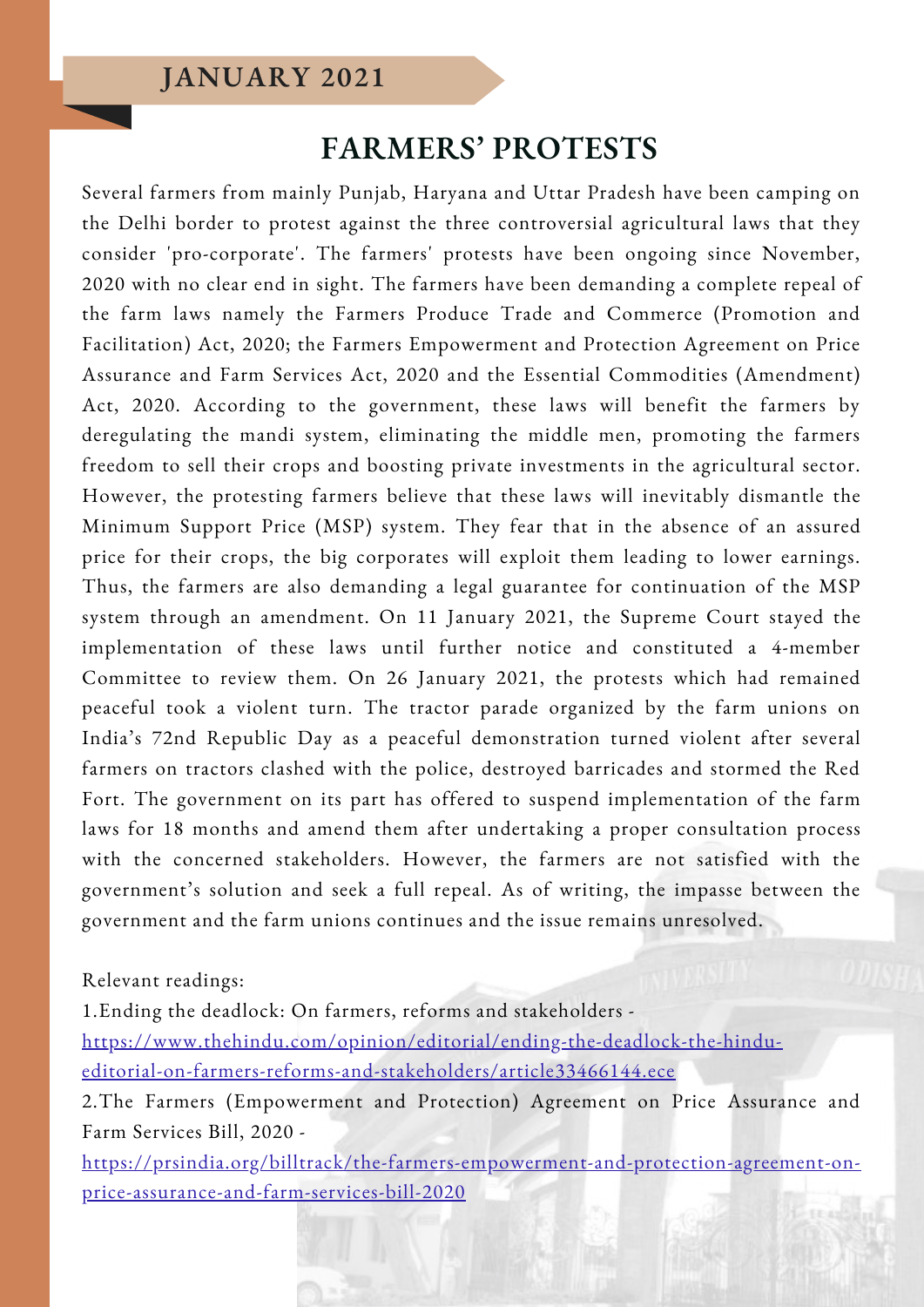### **JANUARY 2021**

#### **FARMERS' PROTESTS**

Several farmers from mainly Punjab, Haryana and Uttar Pradesh have been camping on the Delhi border to protest against the three controversial agricultural laws that they consider 'pro-corporate'. The farmers' protests have been ongoing since November, 2020 with no clear end in sight. The farmers have been demanding a complete repeal of the farm laws namely the Farmers Produce Trade and Commerce (Promotion and Facilitation) Act, 2020; the Farmers Empowerment and Protection Agreement on Price Assurance and Farm Services Act, 2020 and the Essential Commodities (Amendment) Act, 2020. According to the government, these laws will benefit the farmers by deregulating the mandi system, eliminating the middle men, promoting the farmers freedom to sell their crops and boosting private investments in the agricultural sector. However, the protesting farmers believe that these laws will inevitably dismantle the Minimum Support Price (MSP) system. They fear that in the absence of an assured price for their crops, the big corporates will exploit them leading to lower earnings. Thus, the farmers are also demanding a legal guarantee for continuation of the MSP system through an amendment. On 11 January 2021, the Supreme Court stayed the implementation of these laws until further notice and constituted a 4-member Committee to review them. On 26 January 2021, the protests which had remained peaceful took a violent turn. The tractor parade organized by the farm unions on India's 72nd Republic Day as a peaceful demonstration turned violent after several farmers on tractors clashed with the police, destroyed barricades and stormed the Red Fort. The government on its part has offered to suspend implementation of the farm laws for 18 months and amend them after undertaking a proper consultation process with the concerned stakeholders. However, the farmers are not satisfied with the government's solution and seek a full repeal. As of writing, the impasse between the government and the farm unions continues and the issue remains unresolved.

Relevant readings:

1.Ending the deadlock: On farmers, reforms and stakeholders [https://www.thehindu.com/opinion/editorial/ending-the-deadlock-the-hindu](https://www.thehindu.com/opinion/editorial/ending-the-deadlock-the-hindu-editorial-on-farmers-reforms-and-stakeholders/article33466144.ece)editorial-on-farmers-reforms-and-stakeholders/article33466144.ece 2.The Farmers [\(Empowerment](https://prsindia.org/billtrack/the-farmers-empowerment-and-protection-agreement-on-price-assurance-and-farm-services-bill-2020) and Protection) Agreement on Price Assurance and

Farm Services Bill, 2020 -

[https://prsindia.org/billtrack/the-farmers-empowerment-and-protection-agreement-on](https://prsindia.org/billtrack/the-farmers-empowerment-and-protection-agreement-on-price-assurance-and-farm-services-bill-2020)price-assurance-and-farm-services-bill-2020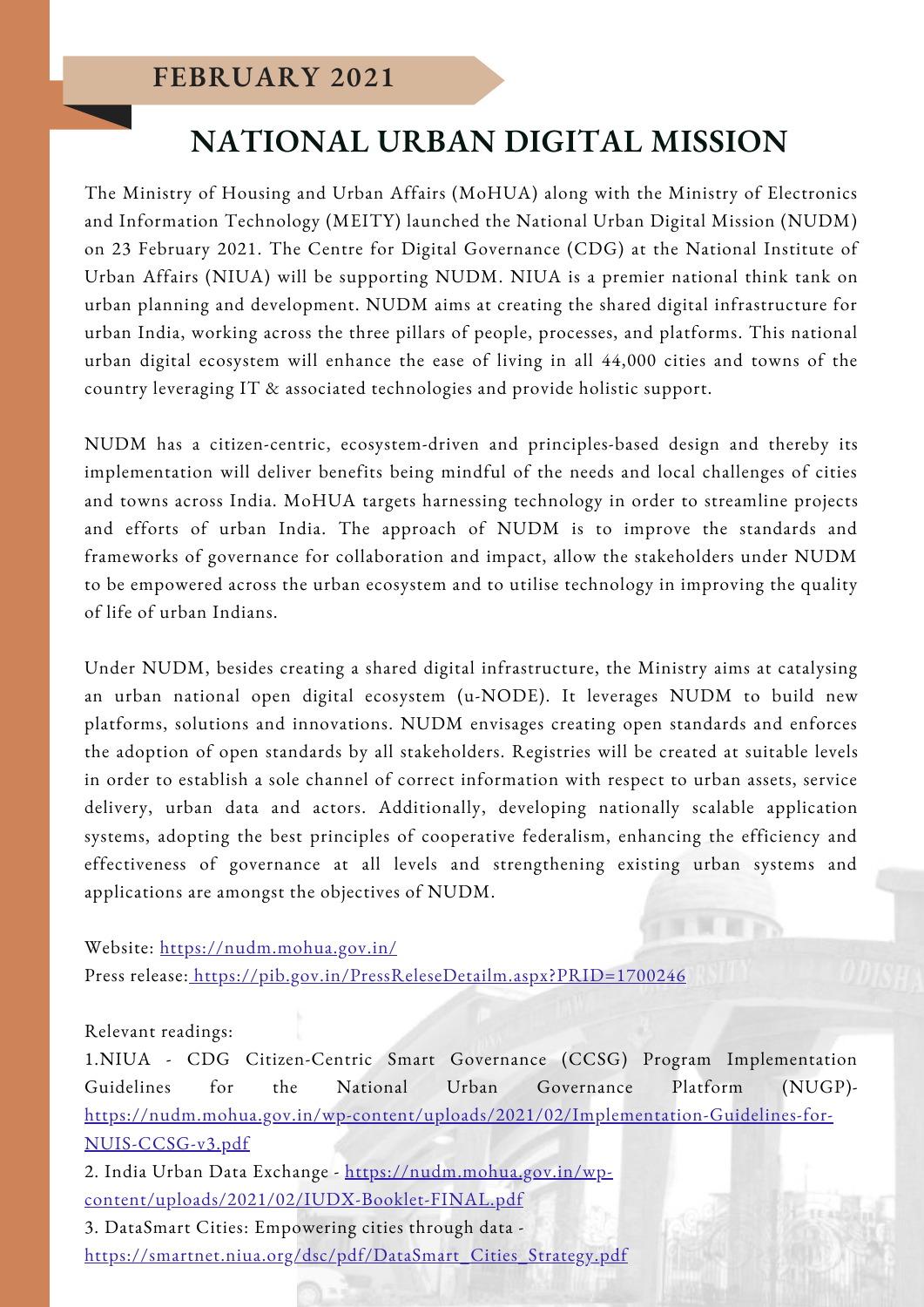## **NATIONAL URBAN DIGITAL MISSION**

The Ministry of Housing and Urban Affairs (MoHUA) along with the Ministry of Electronics and Information Technology (MEITY) launched the National Urban Digital Mission (NUDM) on 23 February 2021. The Centre for Digital Governance (CDG) at the National Institute of Urban Affairs (NIUA) will be supporting NUDM. NIUA is a premier national think tank on urban planning and development. NUDM aims at creating the shared digital infrastructure for urban India, working across the three pillars of people, processes, and platforms. This national urban digital ecosystem will enhance the ease of living in all 44,000 cities and towns of the country leveraging IT & associated technologies and provide holistic support.

NUDM has a citizen-centric, ecosystem-driven and principles-based design and thereby its implementation will deliver benefits being mindful of the needs and local challenges of cities and towns across India. MoHUA targets harnessing technology in order to streamline projects and efforts of urban India. The approach of NUDM is to improve the standards and frameworks of governance for collaboration and impact, allow the stakeholders under NUDM to be empowered across the urban ecosystem and to utilise technology in improving the quality of life of urban Indians.

Under NUDM, besides creating a shared digital infrastructure, the Ministry aims at catalysing an urban national open digital ecosystem (u-NODE). It leverages NUDM to build new platforms, solutions and innovations. NUDM envisages creating open standards and enforces the adoption of open standards by all stakeholders. Registries will be created at suitable levels in order to establish a sole channel of correct information with respect to urban assets, service delivery, urban data and actors. Additionally, developing nationally scalable application systems, adopting the best principles of cooperative federalism, enhancing the efficiency and effectiveness of governance at all levels and strengthening existing urban systems and applications are amongst the objectives of NUDM.

Website: <https://nudm.mohua.gov.in/>

Press release: <https://pib.gov.in/PressReleseDetailm.aspx?PRID=1700246>

#### Relevant readings:

1.NIUA - CDG Citizen-Centric Smart Governance (CCSG) Program Implementation Guidelines for the National Urban Governance Platform (NUGP) [https://nudm.mohua.gov.in/wp-content/uploads/2021/02/Implementation-Guidelines-for-](https://nudm.mohua.gov.in/wp-content/uploads/2021/02/Implementation-Guidelines-for-NUIS-CCSG-v3.pdf)NUIS-CCSG-v3.pdf

2. India Urban Data Exchange - https://nudm.mohua.gov.in/wp[content/uploads/2021/02/IUDX-Booklet-FINAL.pdf](https://nudm.mohua.gov.in/wp-content/uploads/2021/02/IUDX-Booklet-FINAL.pdf)

3. DataSmart Cities: Empowering cities through data [https://smartnet.niua.org/dsc/pdf/DataSmart\\_Cities\\_Strategy.pdf](https://smartnet.niua.org/dsc/pdf/DataSmart_Cities_Strategy.pdf)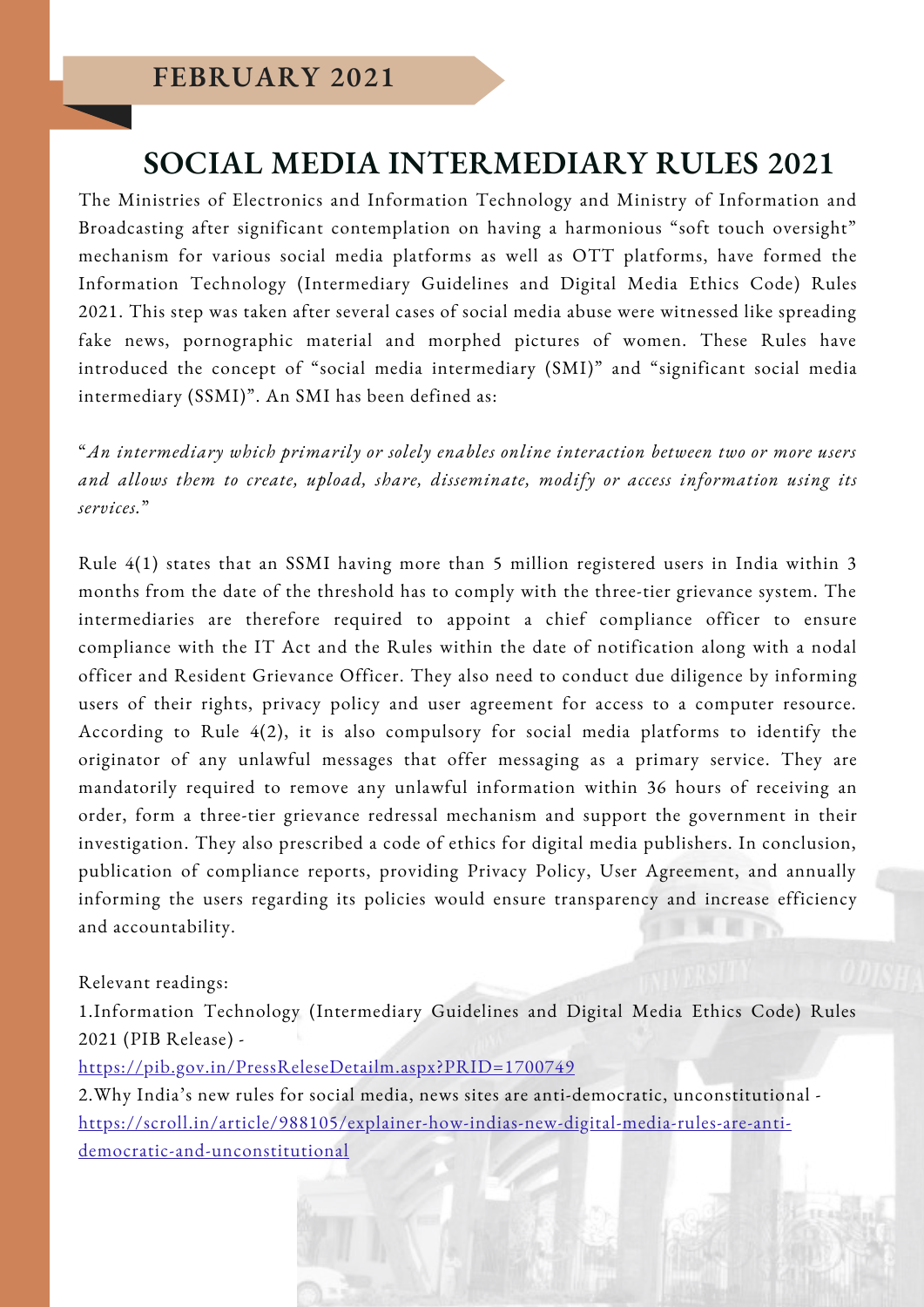## **SOCIAL MEDIA INTERMEDIARY RULES 2021**

The Ministries of Electronics and Information Technology and Ministry of Information and Broadcasting after significant contemplation on having a harmonious "soft touch oversight" mechanism for various social media platforms as well as OTT platforms, have formed the Information Technology (Intermediary Guidelines and Digital Media Ethics Code) Rules 2021. This step was taken after several cases of social media abuse were witnessed like spreading fake news, pornographic material and morphed pictures of women. These Rules have introduced the concept of "social media intermediary (SMI)" and "significant social media intermediary (SSMI)". An SMI has been defined as:

"*An intermediary which primarily or solely enables online interaction between two or more users and allows them to create, upload, share, disseminate, modify or access information using its services.*"

Rule 4(1) states that an SSMI having more than 5 million registered users in India within 3 months from the date of the threshold has to comply with the three-tier grievance system. The intermediaries are therefore required to appoint a chief compliance officer to ensure compliance with the IT Act and the Rules within the date of notification along with a nodal officer and Resident Grievance Officer. They also need to conduct due diligence by informing users of their rights, privacy policy and user agreement for access to a computer resource. According to Rule 4(2), it is also compulsory for social media platforms to identify the originator of any unlawful messages that offer messaging as a primary service. They are mandatorily required to remove any unlawful information within 36 hours of receiving an order, form a three-tier grievance redressal mechanism and support the government in their investigation. They also prescribed a code of ethics for digital media publishers. In conclusion, publication of compliance reports, providing Privacy Policy, User Agreement, and annually informing the users regarding its policies would ensure transparency and increase efficiency and accountability.

#### Relevant readings:

1.Information Technology (Intermediary Guidelines and Digital Media Ethics Code) Rules 2021 (PIB Release) -

<https://pib.gov.in/PressReleseDetailm.aspx?PRID=1700749>

2.Why India's new rules for social media, news sites are anti-democratic, unconstitutional [https://scroll.in/article/988105/explainer-how-indias-new-digital-media-rules-are-anti](https://scroll.in/article/988105/explainer-how-indias-new-digital-media-rules-are-anti-democratic-and-unconstitutional)democratic-and-unconstitutional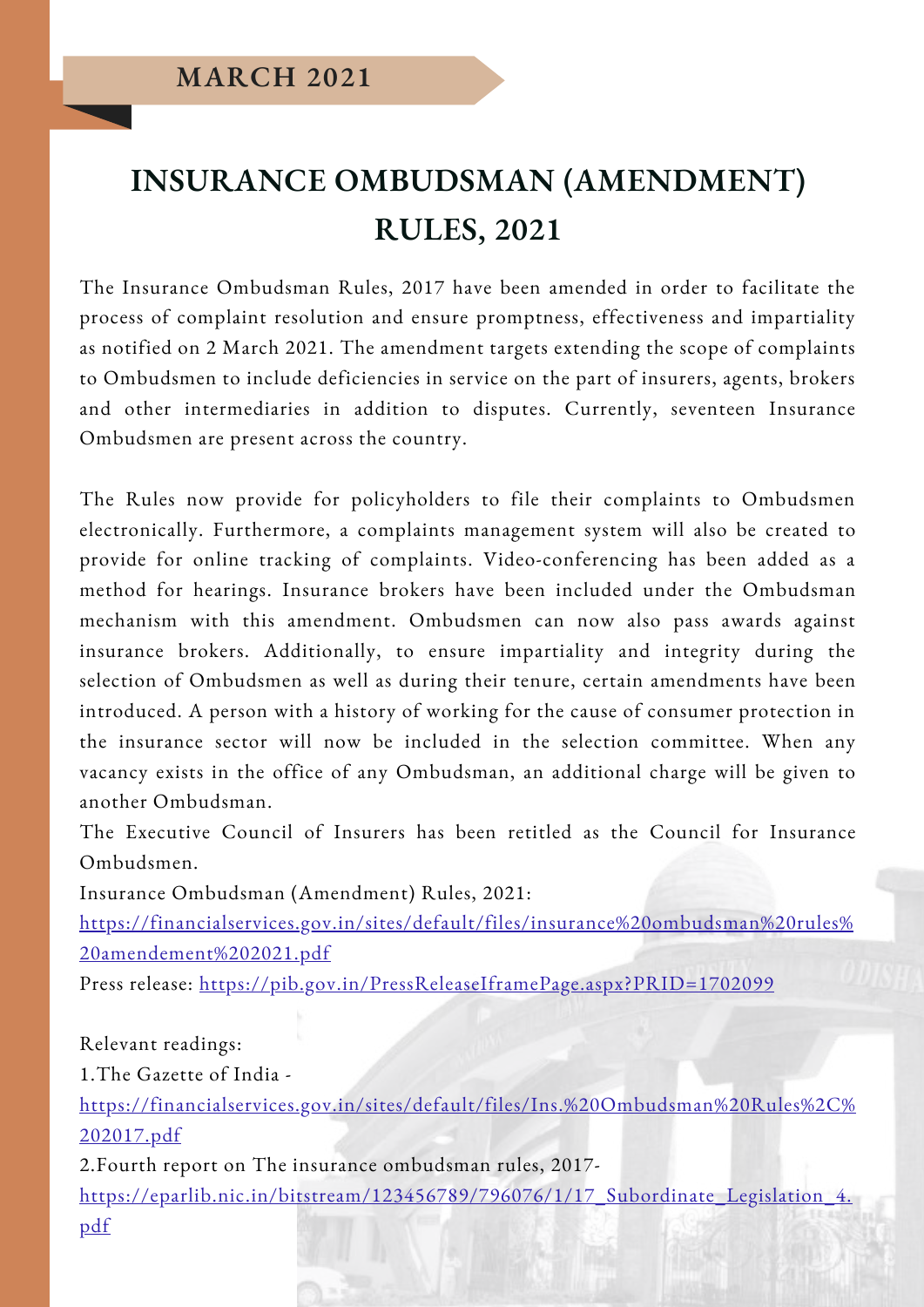## **INSURANCE OMBUDSMAN (AMENDMENT) RULES, 2021**

The Insurance Ombudsman Rules, 2017 have been amended in order to facilitate the process of complaint resolution and ensure promptness, effectiveness and impartiality as notified on 2 March 2021. The amendment targets extending the scope of complaints to Ombudsmen to include deficiencies in service on the part of insurers, agents, brokers and other intermediaries in addition to disputes. Currently, seventeen Insurance Ombudsmen are present across the country.

The Rules now provide for policyholders to file their complaints to Ombudsmen electronically. Furthermore, a complaints management system will also be created to provide for online tracking of complaints. Video-conferencing has been added as a method for hearings. Insurance brokers have been included under the Ombudsman mechanism with this amendment. Ombudsmen can now also pass awards against insurance brokers. Additionally, to ensure impartiality and integrity during the selection of Ombudsmen as well as during their tenure, certain amendments have been introduced. A person with a history of working for the cause of consumer protection in the insurance sector will now be included in the selection committee. When any vacancy exists in the office of any Ombudsman, an additional charge will be given to another Ombudsman.

The Executive Council of Insurers has been retitled as the Council for Insurance Ombudsmen.

Insurance Ombudsman (Amendment) Rules, 2021:

[https://financialservices.gov.in/sites/default/files/insurance%20ombudsman%20rules%](https://financialservices.gov.in/sites/default/files/insurance%20ombudsman%20rules%20amendement%202021.pdf) 20amendement%202021.pdf

Press release: <https://pib.gov.in/PressReleaseIframePage.aspx?PRID=1702099>

Relevant readings:

1.The Gazette of India -

[https://financialservices.gov.in/sites/default/files/Ins.%20Ombudsman%20Rules%2C%](https://financialservices.gov.in/sites/default/files/Ins.%20Ombudsman%20Rules%2C%202017.pdf) 202017.pdf

2.Fourth report on The insurance ombudsman rules, 2017-

[https://eparlib.nic.in/bitstream/123456789/796076/1/17\\_Subordinate\\_Legislation\\_4.](https://eparlib.nic.in/bitstream/123456789/796076/1/17_Subordinate_Legislation_4.pdf) pdf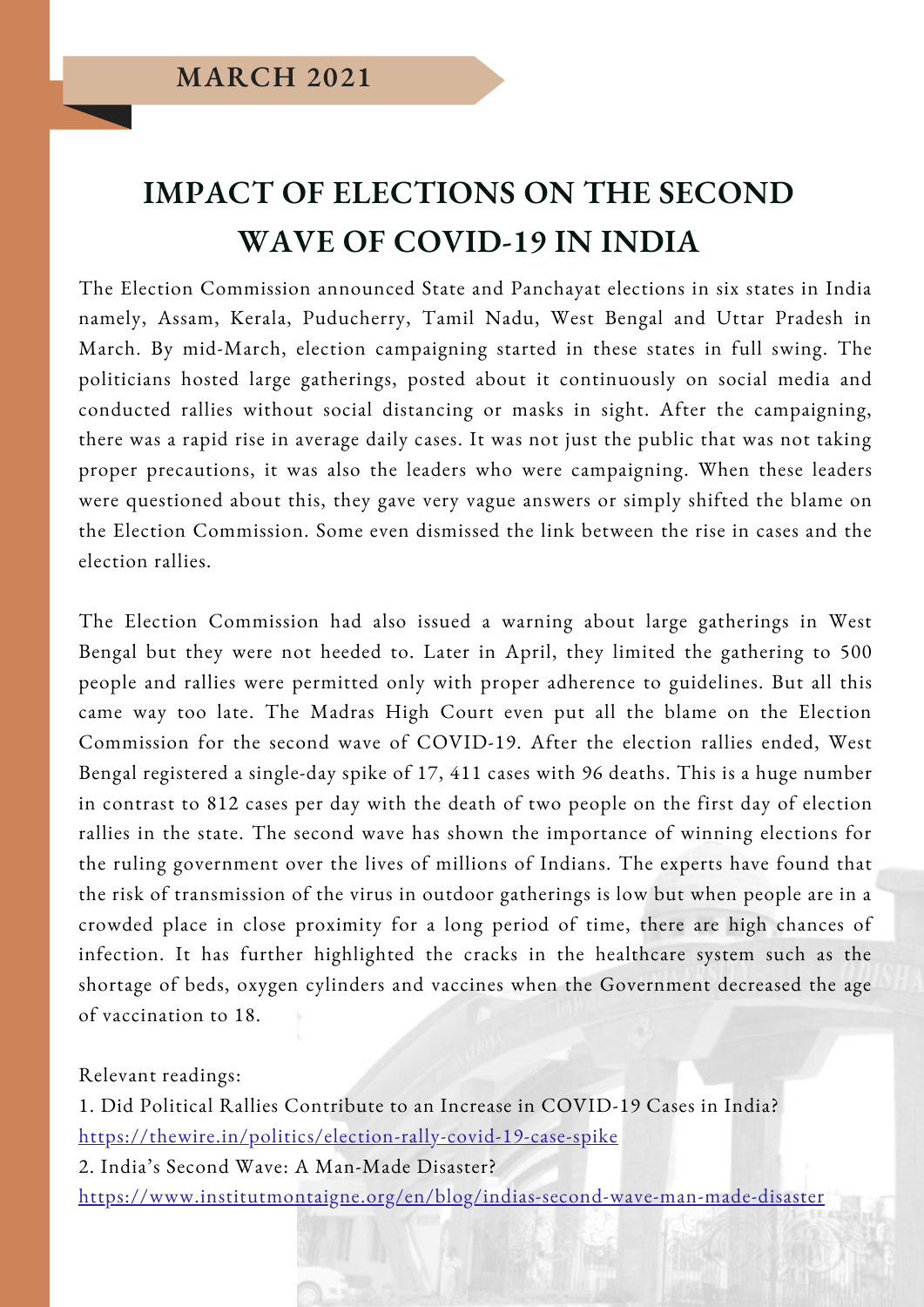## **IMPACT OF ELECTIONS ON THE SECOND WAVE OF COVID-19 IN INDIA**

The Election Commission announced State and Panchayat elections in six states in India namely, Assam, Kerala, Puducherry, Tamil Nadu, West Bengal and Uttar Pradesh in March. By mid-March, election campaigning started in these states in full swing. The politicians hosted large gatherings, posted about it continuously on social media and conducted rallies without social distancing or masks in sight. After the campaigning, there was a rapid rise in average daily cases. It was not just the public that was not taking proper precautions, it was also the leaders who were campaigning. When these leaders were questioned about this, they gave very vague answers or simply shifted the blame on the Election Commission. Some even dismissed the link between the rise in cases and the election rallies.

The Election Commission had also issued a warning about large gatherings in West Bengal but they were not heeded to. Later in April, they limited the gathering to 500 people and rallies were permitted only with proper adherence to guidelines. But all this came way too late. The Madras High Court even put all the blame on the Election Commission for the second wave of COVID-19. After the election rallies ended, West Bengal registered a single-day spike of 17, 411 cases with 96 deaths. This is a huge number in contrast to 812 cases per day with the death of two people on the first day of election rallies in the state. The second wave has shown the importance of winning elections for the ruling government over the lives of millions of Indians. The experts have found that the risk of transmission of the virus in outdoor gatherings is low but when people are in a crowded place in close proximity for a long period of time, there are high chances of infection. It has further highlighted the cracks in the healthcare system such as the shortage of beds, oxygen cylinders and vaccines when the Government decreased the age of vaccination to 18.

Relevant readings:

1. Did Political Rallies Contribute to an Increase in COVID-19 Cases in India? <https://thewire.in/politics/election-rally-covid-19-case-spike> 2. India's Second Wave: A Man-Made Disaster? <https://www.institutmontaigne.org/en/blog/indias-second-wave-man-made-disaster>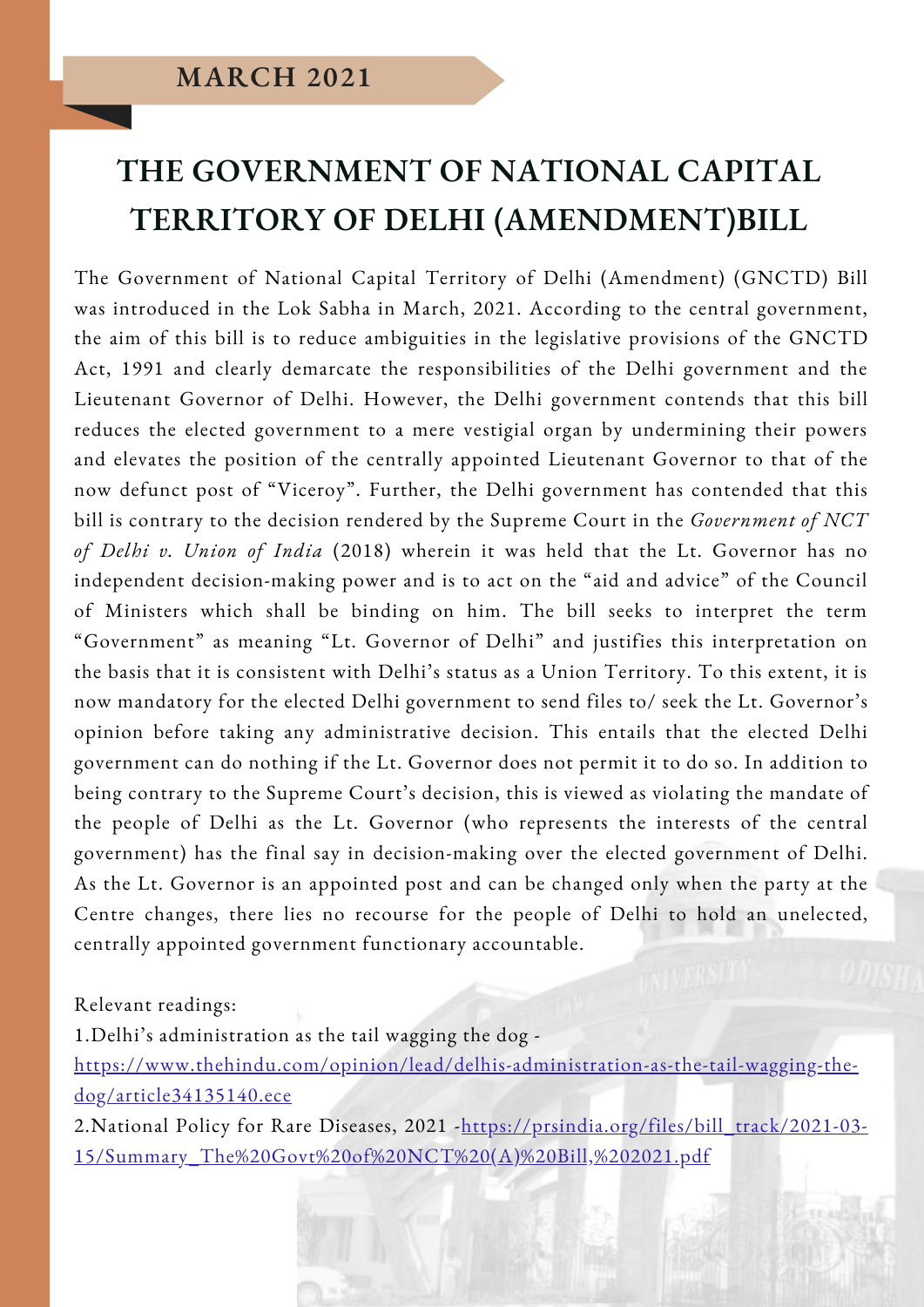## **THE GOVERNMENT OF NATIONAL CAPITAL TERRITORY OF DELHI (AMENDMENT)BILL**

The Government of National Capital Territory of Delhi (Amendment) (GNCTD) Bill was introduced in the Lok Sabha in March, 2021. According to the central government, the aim of this bill is to reduce ambiguities in the legislative provisions of the GNCTD Act, 1991 and clearly demarcate the responsibilities of the Delhi government and the Lieutenant Governor of Delhi. However, the Delhi government contends that this bill reduces the elected government to a mere vestigial organ by undermining their powers and elevates the position of the centrally appointed Lieutenant Governor to that of the now defunct post of "Viceroy". Further, the Delhi government has contended that this bill is contrary to the decision rendered by the Supreme Court in the *Government of NCT of Delhi v. Union of India* (2018) wherein it was held that the Lt. Governor has no independent decision-making power and is to act on the "aid and advice" of the Council of Ministers which shall be binding on him. The bill seeks to interpret the term "Government" as meaning "Lt. Governor of Delhi" and justifies this interpretation on the basis that it is consistent with Delhi's status as a Union Territory. To this extent, it is now mandatory for the elected Delhi government to send files to/ seek the Lt. Governor's opinion before taking any administrative decision. This entails that the elected Delhi government can do nothing if the Lt. Governor does not permit it to do so. In addition to being contrary to the Supreme Court's decision, this is viewed as violating the mandate of the people of Delhi as the Lt. Governor (who represents the interests of the central government) has the final say in decision-making over the elected government of Delhi. As the Lt. Governor is an appointed post and can be changed only when the party at the Centre changes, there lies no recourse for the people of Delhi to hold an unelected, centrally appointed government functionary accountable.

Relevant readings:

1.Delhi's administration as the tail wagging the dog -

[https://www.thehindu.com/opinion/lead/delhis-administration-as-the-tail-wagging-the](https://www.thehindu.com/opinion/lead/delhis-administration-as-the-tail-wagging-the-dog/article34135140.ece)dog/article34135140.ece

2. [National](https://main.mohfw.gov.in/sites/default/files/Final%20NPRD%2C%202021.pdf) Policy for Rare Diseases, 2021 - https://prsindia.org/files/bill\_track/2021-03-[15/Summary\\_The%20Govt%20of%20NCT%20\(A\)%20Bill,%202021.pdf](https://prsindia.org/files/bill_track/2021-03-15/Summary_The%20Govt%20of%20NCT%20(A)%20Bill,%202021.pdf)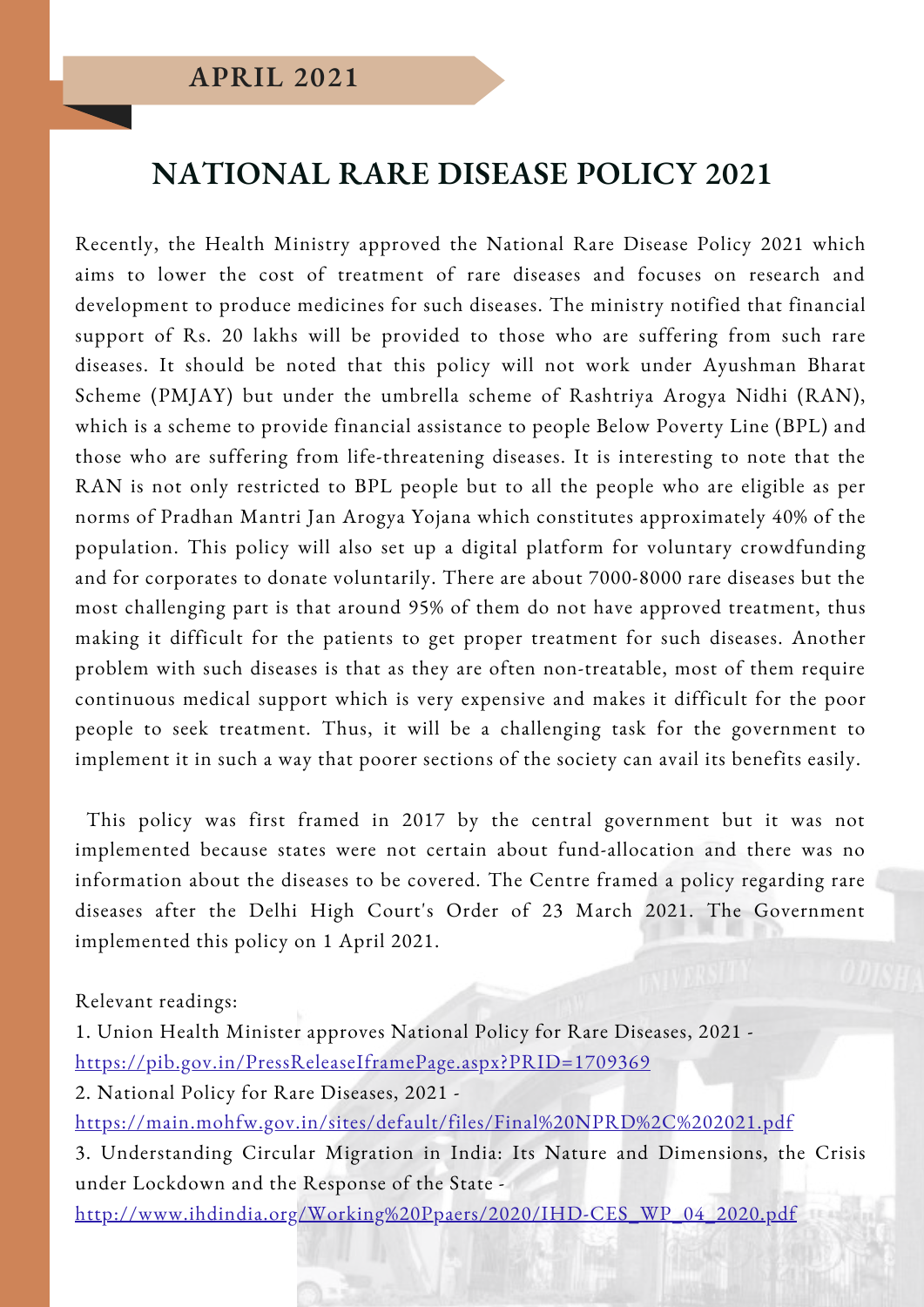## **NATIONAL RARE DISEASE POLICY 2021**

Recently, the Health Ministry approved the National Rare Disease Policy 2021 which aims to lower the cost of treatment of rare diseases and focuses on research and development to produce medicines for such diseases. The ministry notified that financial support of Rs. 20 lakhs will be provided to those who are suffering from such rare diseases. It should be noted that this policy will not work under Ayushman Bharat Scheme (PMJAY) but under the umbrella scheme of Rashtriya Arogya Nidhi (RAN), which is a scheme to provide financial assistance to people Below Poverty Line (BPL) and those who are suffering from life-threatening diseases. It is interesting to note that the RAN is not only restricted to BPL people but to all the people who are eligible as per norms of Pradhan Mantri Jan Arogya Yojana which constitutes approximately 40% of the population. This policy will also set up a digital platform for voluntary crowdfunding and for corporates to donate voluntarily. There are about 7000-8000 rare diseases but the most challenging part is that around 95% of them do not have approved treatment, thus making it difficult for the patients to get proper treatment for such diseases. Another problem with such diseases is that as they are often non-treatable, most of them require continuous medical support which is very expensive and makes it difficult for the poor people to seek treatment. Thus, it will be a challenging task for the government to implement it in such a way that poorer sections of the society can avail its benefits easily.

This policy was first framed in 2017 by the central government but it was not implemented because states were not certain about fund-allocation and there was no information about the diseases to be covered. The Centre framed a policy regarding rare diseases after the Delhi High Court's Order of 23 March 2021. The Government implemented this policy on 1 April 2021.

Relevant readings:

1. Union Health Minister approves National Policy for Rare Diseases, 2021 <https://pib.gov.in/PressReleaseIframePage.aspx?PRID=1709369> 2. National Policy for Rare Diseases, 2021 <https://main.mohfw.gov.in/sites/default/files/Final%20NPRD%2C%202021.pdf> 3. Understanding Circular Migration in India: Its Nature and Dimensions, the Crisis under Lockdown and the Response of the State -

[http://www.ihdindia.org/Working%20Ppaers/2020/IHD-CES\\_WP\\_04\\_2020.pdf](http://www.ihdindia.org/Working%20Ppaers/2020/IHD-CES_WP_04_2020.pdf)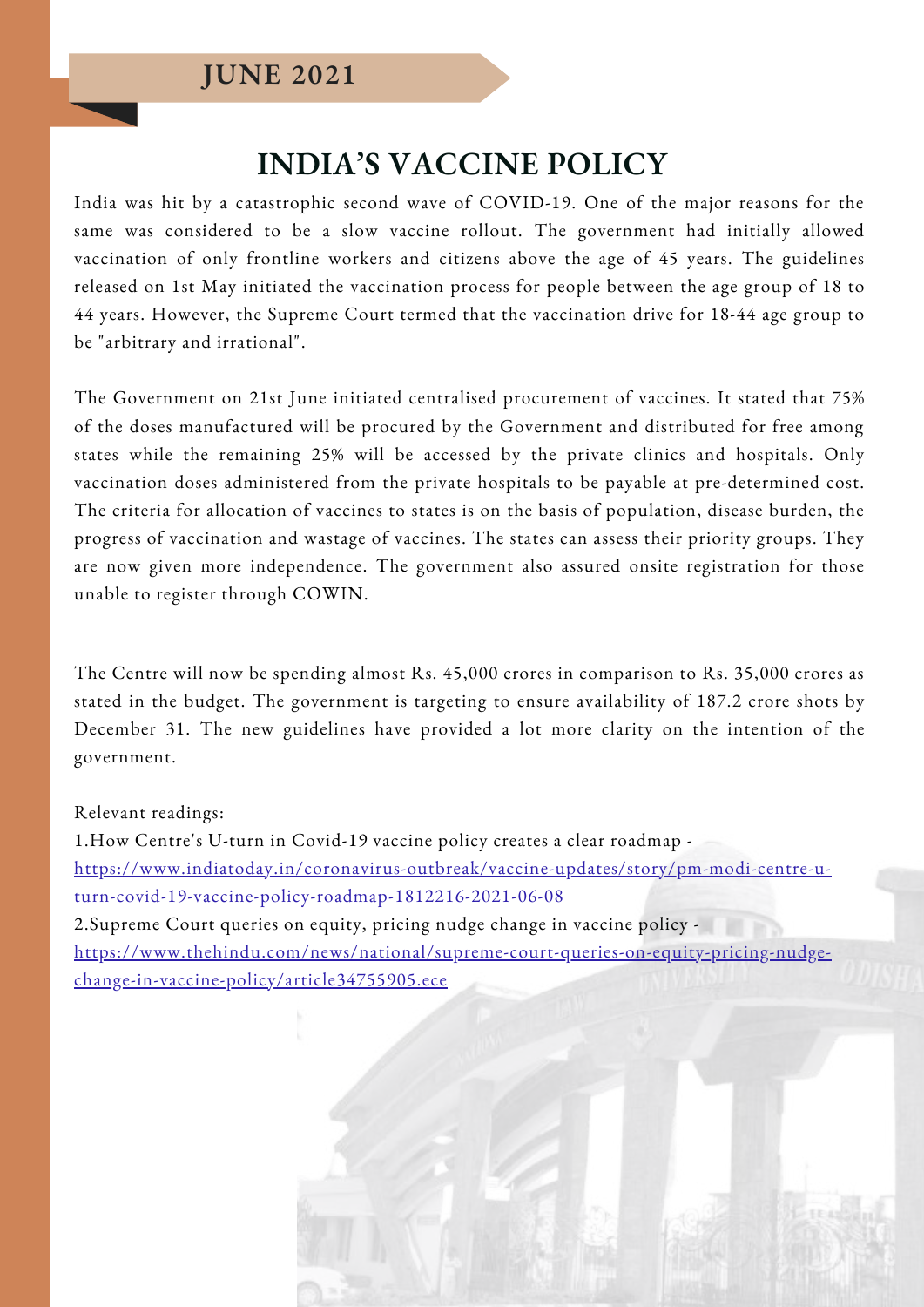## **INDIA'S VACCINE POLICY**

India was hit by a catastrophic second wave of COVID-19. One of the major reasons for the same was considered to be a slow vaccine rollout. The government had initially allowed vaccination of only frontline workers and citizens above the age of 45 years. The guidelines released on 1st May initiated the vaccination process for people between the age group of 18 to 44 years. However, the Supreme Court termed that the vaccination drive for 18-44 age group to be "arbitrary and irrational".

The Government on 21st June initiated centralised procurement of vaccines. It stated that 75% of the doses manufactured will be procured by the Government and distributed for free among states while the remaining 25% will be accessed by the private clinics and hospitals. Only vaccination doses administered from the private hospitals to be payable at pre-determined cost. The criteria for allocation of vaccines to states is on the basis of population, disease burden, the progress of vaccination and wastage of vaccines. The states can assess their priority groups. They are now given more independence. The government also assured onsite registration for those unable to register through COWIN.

The Centre will now be spending almost Rs. 45,000 crores in comparison to Rs. 35,000 crores as stated in the budget. The government is targeting to ensure availability of 187.2 crore shots by December 31. The new guidelines have provided a lot more clarity on the intention of the government.

#### Relevant readings:

1.How Centre's U-turn in Covid-19 vaccine policy creates a clear roadmap [https://www.indiatoday.in/coronavirus-outbreak/vaccine-updates/story/pm-modi-centre-u](https://www.indiatoday.in/coronavirus-outbreak/vaccine-updates/story/pm-modi-centre-u-turn-covid-19-vaccine-policy-roadmap-1812216-2021-06-08)turn-covid-19-vaccine-policy-roadmap-1812216-2021-06-08 2.Supreme Court queries on equity, pricing nudge change in vaccine policy [https://www.thehindu.com/news/national/supreme-court-queries-on-equity-pricing-nudge](https://www.thehindu.com/news/national/supreme-court-queries-on-equity-pricing-nudge-change-in-vaccine-policy/article34755905.ece)change-in-vaccine-policy/article34755905.ece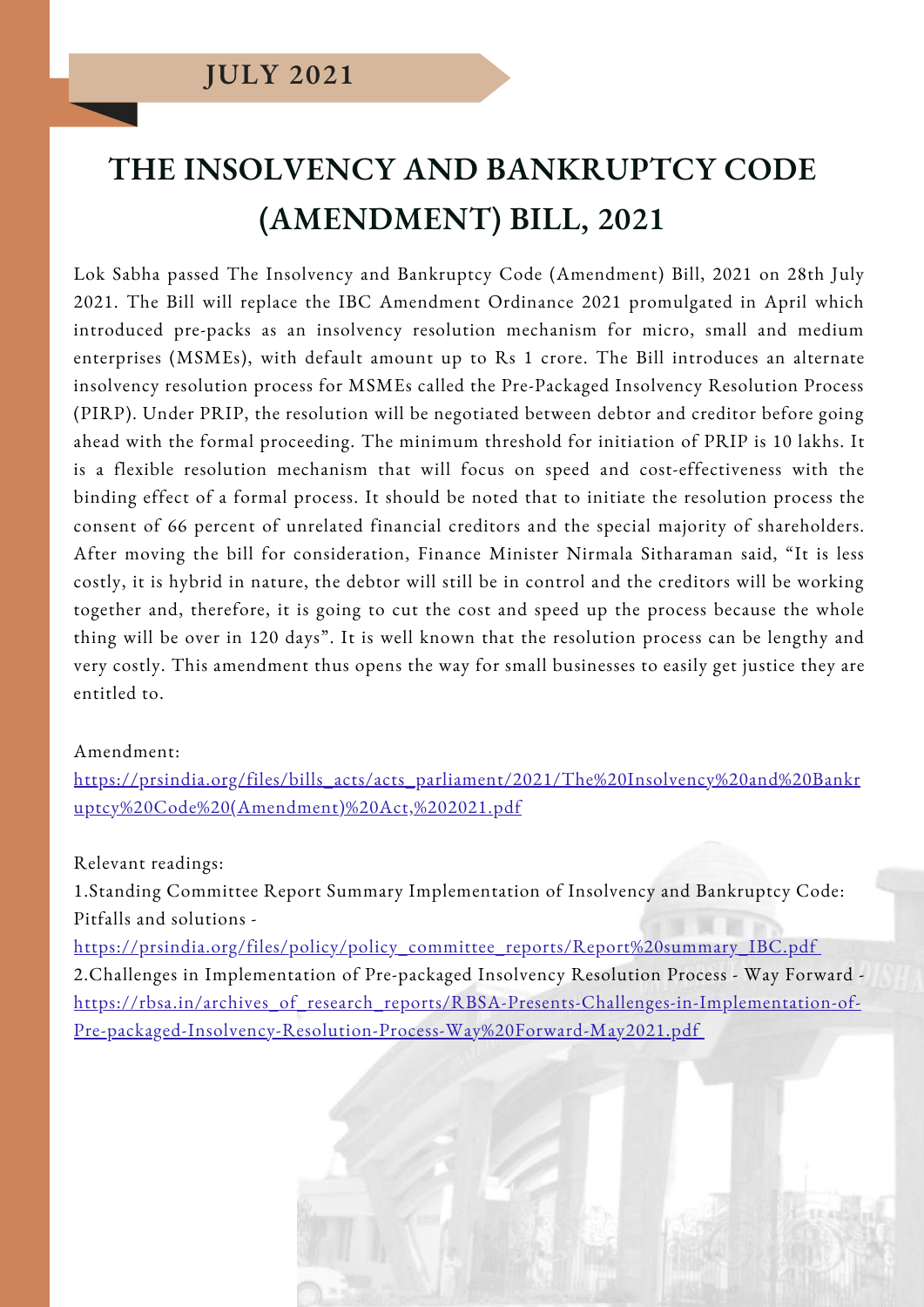## **THE INSOLVENCY AND BANKRUPTCY CODE (AMENDMENT) BILL, 2021**

Lok Sabha passed The Insolvency and Bankruptcy Code (Amendment) Bill, 2021 on 28th July 2021. The Bill will replace the IBC Amendment Ordinance 2021 promulgated in April which introduced pre-packs as an insolvency resolution mechanism for micro, small and medium enterprises (MSMEs), with default amount up to Rs 1 crore. The Bill introduces an alternate insolvency resolution process for MSMEs called the Pre-Packaged Insolvency Resolution Process (PIRP). Under PRIP, the resolution will be negotiated between debtor and creditor before going ahead with the formal proceeding. The minimum threshold for initiation of PRIP is 10 lakhs. It is a flexible resolution mechanism that will focus on speed and cost-effectiveness with the binding effect of a formal process. It should be noted that to initiate the resolution process the consent of 66 percent of unrelated financial creditors and the special majority of shareholders. After moving the bill for consideration, Finance Minister Nirmala Sitharaman said, "It is less costly, it is hybrid in nature, the debtor will still be in control and the creditors will be working together and, therefore, it is going to cut the cost and speed up the process because the whole thing will be over in 120 days". It is well known that the resolution process can be lengthy and very costly. This amendment thus opens the way for small businesses to easily get justice they are entitled to.

#### Amendment:

[https://prsindia.org/files/bills\\_acts/acts\\_parliament/2021/The%20Insolvency%20and%20Bankr](https://prsindia.org/files/bills_acts/acts_parliament/2021/The%20Insolvency%20and%20Bankruptcy%20Code%20(Amendment)%20Act,%202021.pdf) uptcy%20Code%20(Amendment)%20Act,%202021.pdf

Relevant readings:

1.Standing Committee Report Summary Implementation of Insolvency and Bankruptcy Code: Pitfalls and solutions -

[https://prsindia.org/files/policy/policy\\_committee\\_reports/Report%20summary\\_IBC.pdf](https://prsindia.org/files/policy/policy_committee_reports/Report%20summary_IBC.pdf) 2.Challenges in Implementation of Pre-packaged Insolvency Resolution Process - Way Forward [https://rbsa.in/archives\\_of\\_research\\_reports/RBSA-Presents-Challenges-in-Implementation-of-](https://rbsa.in/archives_of_research_reports/RBSA-Presents-Challenges-in-Implementation-of-Pre-packaged-Insolvency-Resolution-Process-Way%20Forward-May2021.pdf)Pre-packaged-Insolvency-Resolution-Process-Way%20Forward-May2021.pdf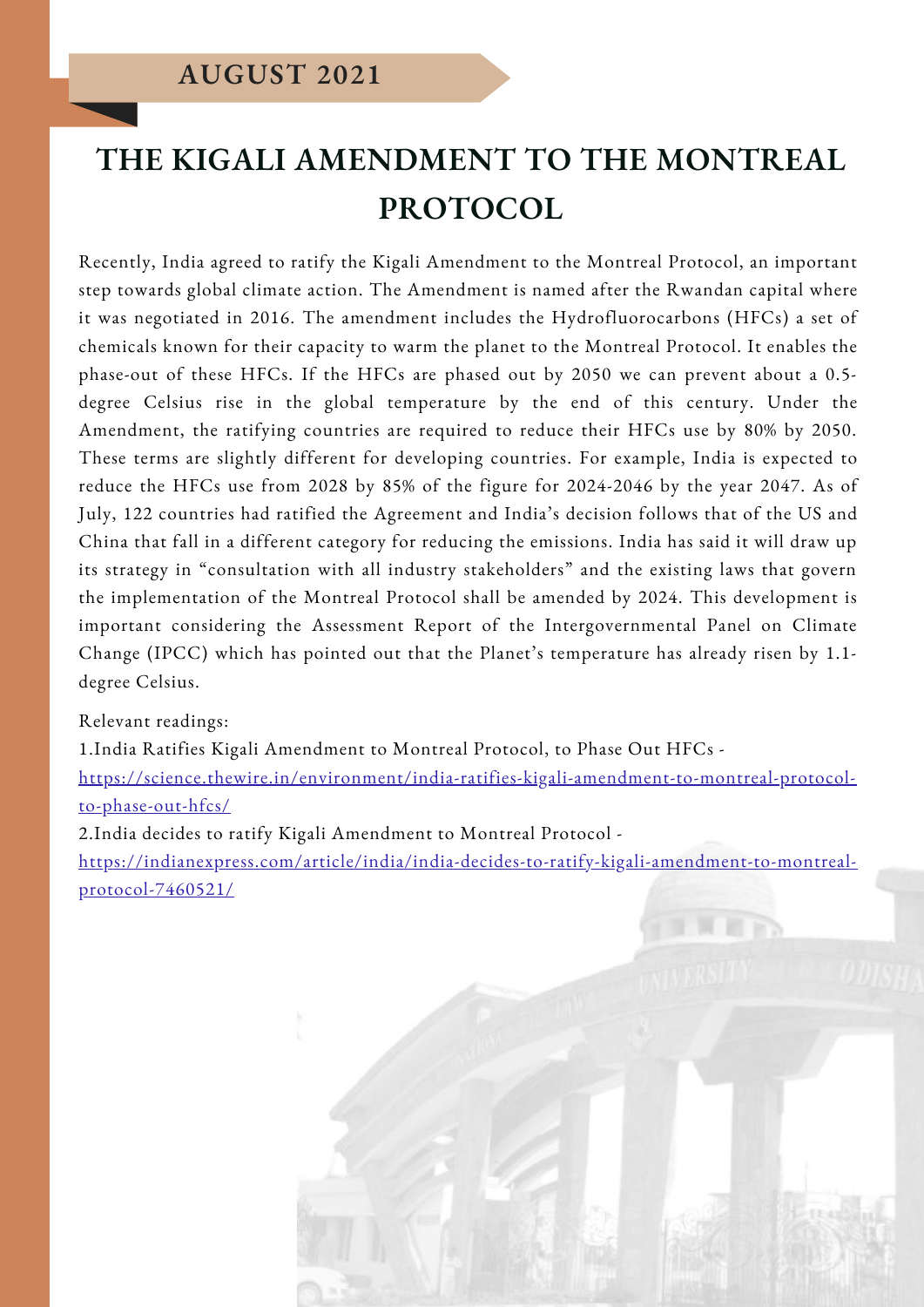## **THE KIGALI AMENDMENT TO THE MONTREAL PROTOCOL**

Recently, India agreed to ratify the Kigali Amendment to the Montreal Protocol, an important step towards global climate action. The Amendment is named after the Rwandan capital where it was negotiated in 2016. The amendment includes the Hydrofluorocarbons (HFCs) a set of chemicals known for their capacity to warm the planet to the Montreal Protocol. It enables the phase-out of these HFCs. If the HFCs are phased out by 2050 we can prevent about a 0.5 degree Celsius rise in the global temperature by the end of this century. Under the Amendment, the ratifying countries are required to reduce their HFCs use by 80% by 2050. These terms are slightly different for developing countries. For example, India is expected to reduce the HFCs use from 2028 by 85% of the figure for 2024-2046 by the year 2047. As of July, 122 countries had ratified the Agreement and India's decision follows that of the US and China that fall in a different category for reducing the emissions. India has said it will draw up its strategy in "consultation with all industry stakeholders" and the existing laws that govern the implementation of the Montreal Protocol shall be amended by 2024. This development is important considering the Assessment Report of the Intergovernmental Panel on Climate Change (IPCC) which has pointed out that the Planet's temperature has already risen by 1.1 degree Celsius.

#### Relevant readings:

1.India Ratifies Kigali Amendment to Montreal Protocol, to Phase Out HFCs [https://science.thewire.in/environment/india-ratifies-kigali-amendment-to-montreal-protocol](https://science.thewire.in/environment/india-ratifies-kigali-amendment-to-montreal-protocol-to-phase-out-hfcs/)to-phase-out-hfcs/

2.India decides to ratify Kigali Amendment to Montreal Protocol -

[https://indianexpress.com/article/india/india-decides-to-ratify-kigali-amendment-to-montreal](https://indianexpress.com/article/india/india-decides-to-ratify-kigali-amendment-to-montreal-protocol-7460521/)protocol-7460521/

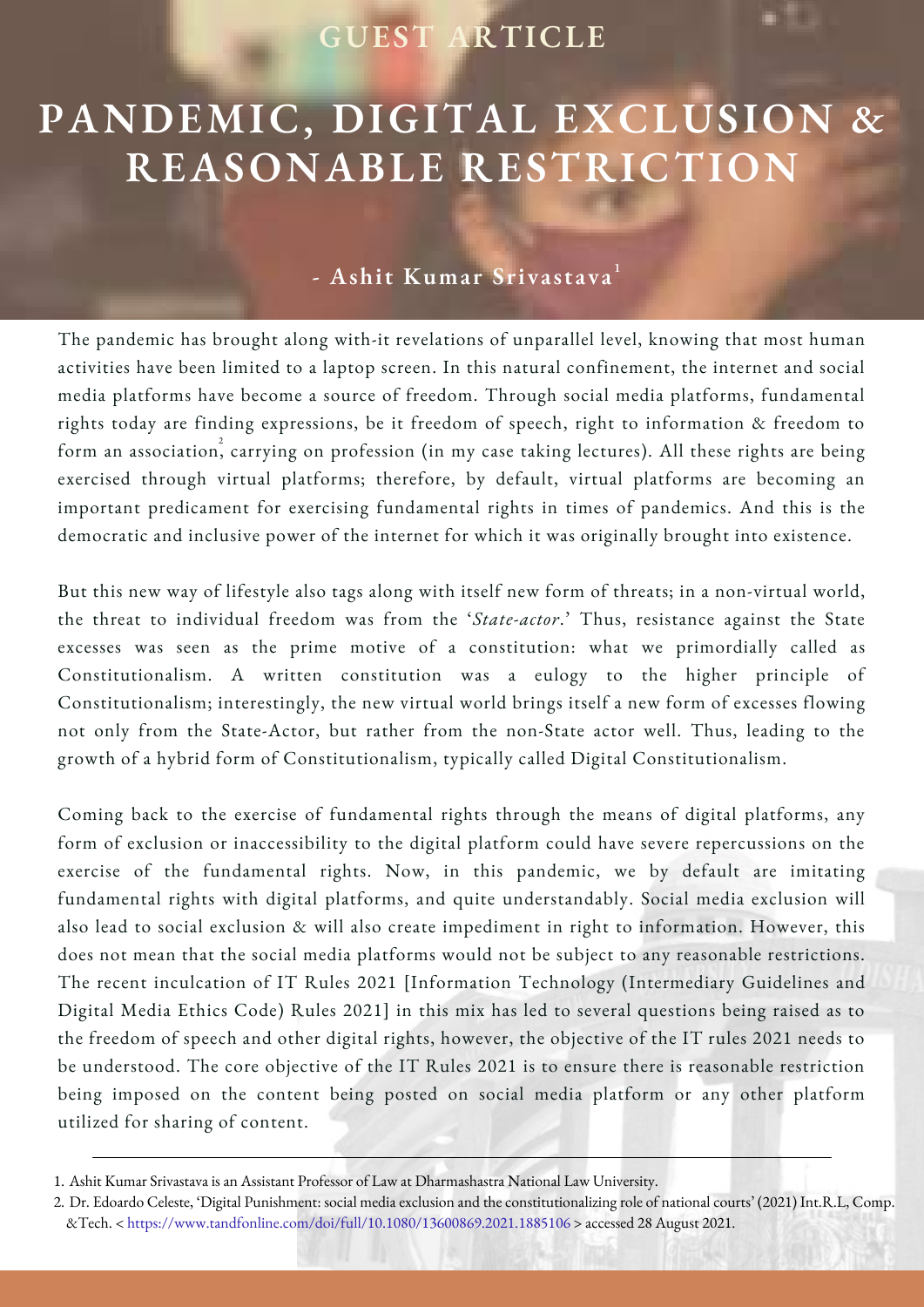## **GUEST ARTICLE**

## **PANDEMIC, DIGITAL EXCLUSION & REASONABLE RESTRICTION**

#### **- Ashit Kumar Srivastava** 1

The pandemic has brought along with-it revelations of unparallel level, knowing that most human activities have been limited to a laptop screen. In this natural confinement, the internet and social media platforms have become a source of freedom. Through social media platforms, fundamental rights today are finding expressions, be it freedom of speech, right to information & freedom to form an association, carrying on profession (in my case taking lectures). All these rights are being exercised through virtual platforms; therefore, by default, virtual platforms are becoming an important predicament for exercising fundamental rights in times of pandemics. And this is the democratic and inclusive power of the internet for which it was originally brought into existence.

But this new way of lifestyle also tags along with itself new form of threats; in a non-virtual world, the threat to individual freedom was from the '*State-actor*.' Thus, resistance against the State excesses was seen as the prime motive of a constitution: what we primordially called as Constitutionalism. A written constitution was a eulogy to the higher principle of Constitutionalism; interestingly, the new virtual world brings itself a new form of excesses flowing not only from the State-Actor, but rather from the non-State actor well. Thus, leading to the growth of a hybrid form of Constitutionalism, typically called Digital Constitutionalism.

Coming back to the exercise of fundamental rights through the means of digital platforms, any form of exclusion or inaccessibility to the digital platform could have severe repercussions on the exercise of the fundamental rights. Now, in this pandemic, we by default are imitating fundamental rights with digital platforms, and quite understandably. Social media exclusion will also lead to social exclusion & will also create impediment in right to information. However, this does not mean that the social media platforms would not be subject to any reasonable restrictions. The recent inculcation of IT Rules 2021 [Information Technology (Intermediary Guidelines and Digital Media Ethics Code) Rules 2021] in this mix has led to several questions being raised as to the freedom of speech and other digital rights, however, the objective of the IT rules 2021 needs to be understood. The core objective of the IT Rules 2021 is to ensure there is reasonable restriction being imposed on the content being posted on social media platform or any other platform utilized for sharing of content.

Ashit Kumar Srivastava is an Assistant Professor of Law at Dharmashastra National Law University. 1.

Dr. Edoardo Celeste, 'Digital Punishment: social media exclusion and the constitutionalizing role of national courts' (2021) Int.R.L, Comp. 2. &Tech. < <https://www.tandfonline.com/doi/full/10.1080/13600869.2021.1885106> > accessed 28 August 2021.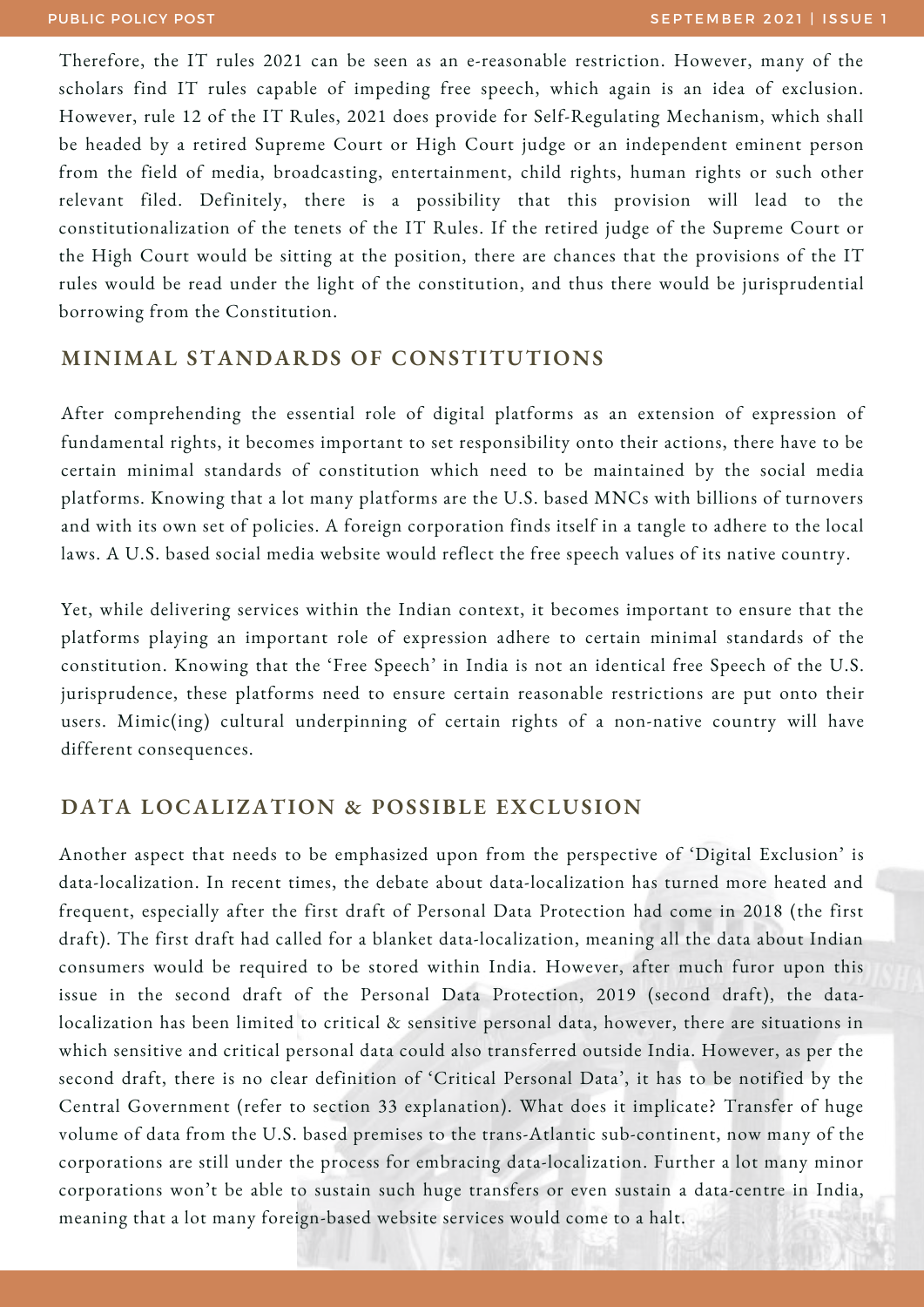Therefore, the IT rules 2021 can be seen as an e-reasonable restriction. However, many of the scholars find IT rules capable of impeding free speech, which again is an idea of exclusion. However, rule 12 of the IT Rules, 2021 does provide for Self-Regulating Mechanism, which shall be headed by a retired Supreme Court or High Court judge or an independent eminent person from the field of media, broadcasting, entertainment, child rights, human rights or such other relevant filed. Definitely, there is a possibility that this provision will lead to the constitutionalization of the tenets of the IT Rules. If the retired judge of the Supreme Court or the High Court would be sitting at the position, there are chances that the provisions of the IT rules would be read under the light of the constitution, and thus there would be jurisprudential borrowing from the Constitution.

#### **MINIMAL STANDARDS OF CONSTITUTIONS**

After comprehending the essential role of digital platforms as an extension of expression of fundamental rights, it becomes important to set responsibility onto their actions, there have to be certain minimal standards of constitution which need to be maintained by the social media platforms. Knowing that a lot many platforms are the U.S. based MNCs with billions of turnovers and with its own set of policies. A foreign corporation finds itself in a tangle to adhere to the local laws. A U.S. based social media website would reflect the free speech values of its native country.

Yet, while delivering services within the Indian context, it becomes important to ensure that the platforms playing an important role of expression adhere to certain minimal standards of the constitution. Knowing that the 'Free Speech' in India is not an identical free Speech of the U.S. jurisprudence, these platforms need to ensure certain reasonable restrictions are put onto their users. Mimic(ing) cultural underpinning of certain rights of a non-native country will have different consequences.

#### **DATA LOCALIZATION & POSSIBLE EXCLUSION**

Another aspect that needs to be emphasized upon from the perspective of 'Digital Exclusion' is data-localization. In recent times, the debate about data-localization has turned more heated and frequent, especially after the first draft of Personal Data Protection had come in 2018 (the first draft). The first draft had called for a blanket data-localization, meaning all the data about Indian consumers would be required to be stored within India. However, after much furor upon this issue in the second draft of the Personal Data Protection, 2019 (second draft), the datalocalization has been limited to critical & sensitive personal data, however, there are situations in which sensitive and critical personal data could also transferred outside India. However, as per the second draft, there is no clear definition of 'Critical Personal Data', it has to be notified by the Central Government (refer to section 33 explanation). What does it implicate? Transfer of huge volume of data from the U.S. based premises to the trans-Atlantic sub-continent, now many of the corporations are still under the process for embracing data-localization. Further a lot many minor corporations won't be able to sustain such huge transfers or even sustain a data-centre in India, meaning that a lot many foreign-based website services would come to a halt.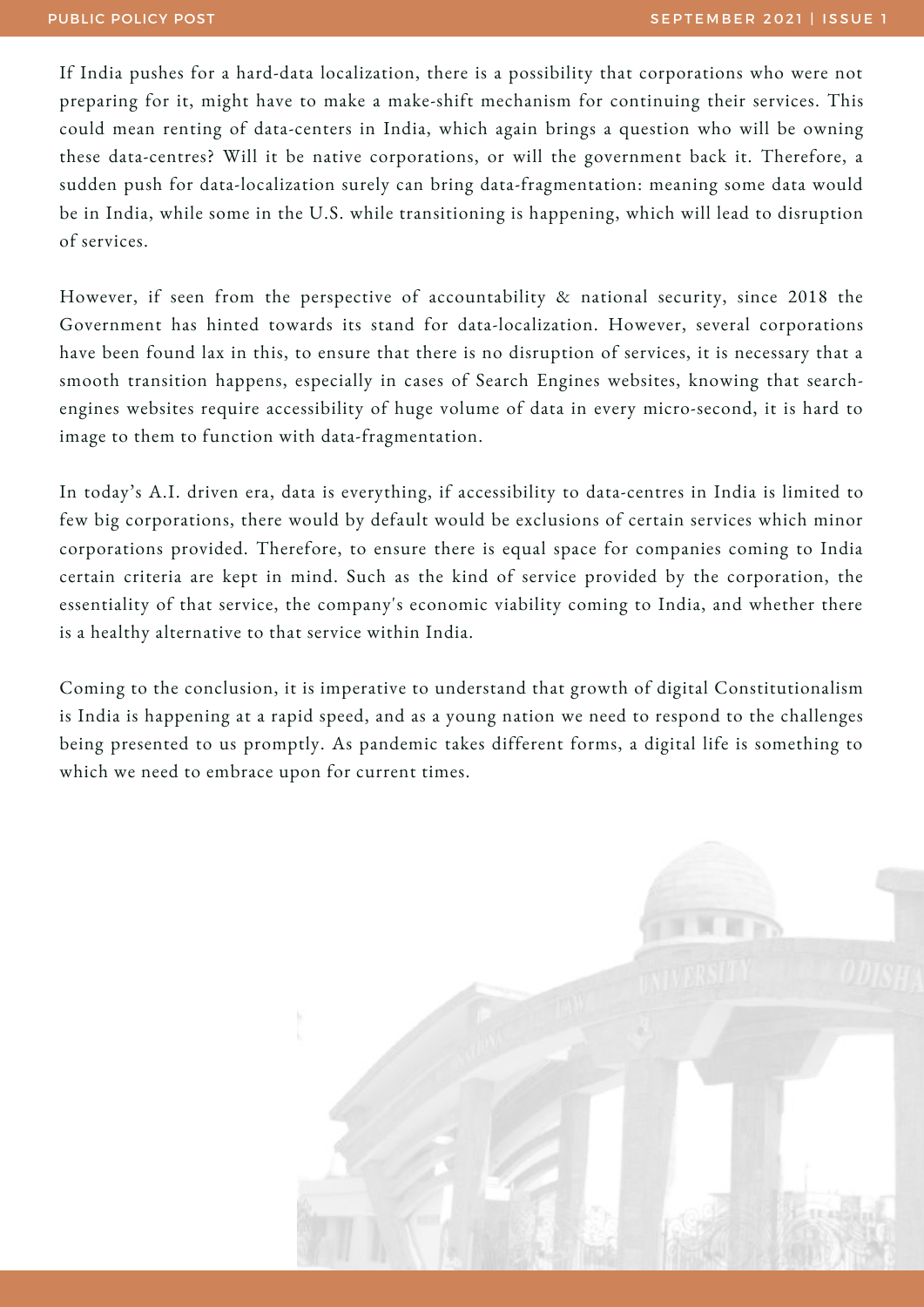If India pushes for a hard-data localization, there is a possibility that corporations who were not preparing for it, might have to make a make-shift mechanism for continuing their services. This could mean renting of data-centers in India, which again brings a question who will be owning these data-centres? Will it be native corporations, or will the government back it. Therefore, a sudden push for data-localization surely can bring data-fragmentation: meaning some data would be in India, while some in the U.S. while transitioning is happening, which will lead to disruption of services.

However, if seen from the perspective of accountability & national security, since 2018 the Government has hinted towards its stand for data-localization. However, several corporations have been found lax in this, to ensure that there is no disruption of services, it is necessary that a smooth transition happens, especially in cases of Search Engines websites, knowing that searchengines websites require accessibility of huge volume of data in every micro-second, it is hard to image to them to function with data-fragmentation.

In today's A.I. driven era, data is everything, if accessibility to data-centres in India is limited to few big corporations, there would by default would be exclusions of certain services which minor corporations provided. Therefore, to ensure there is equal space for companies coming to India certain criteria are kept in mind. Such as the kind of service provided by the corporation, the essentiality of that service, the company's economic viability coming to India, and whether there is a healthy alternative to that service within India.

Coming to the conclusion, it is imperative to understand that growth of digital Constitutionalism is India is happening at a rapid speed, and as a young nation we need to respond to the challenges being presented to us promptly. As pandemic takes different forms, a digital life is something to which we need to embrace upon for current times.

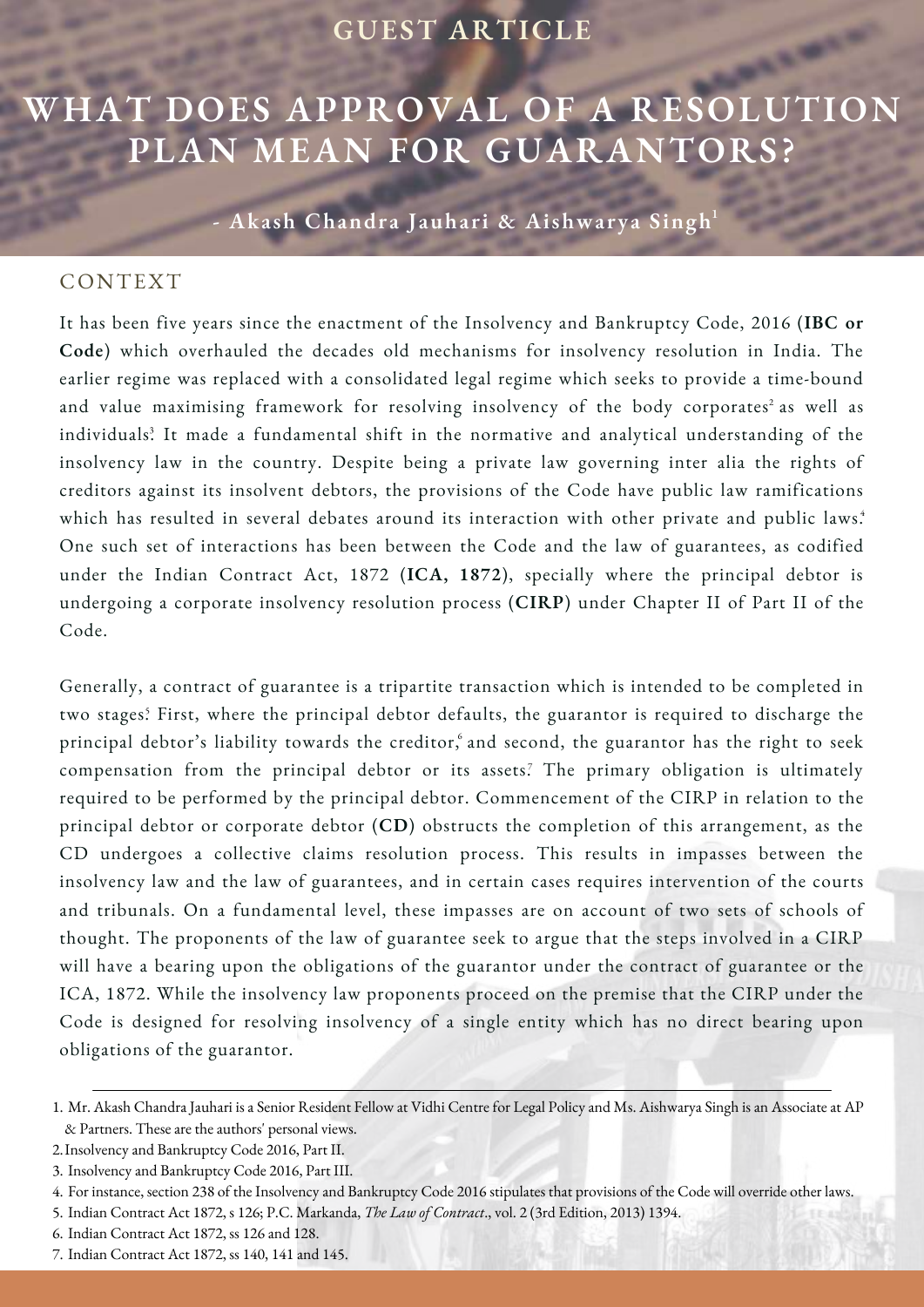#### **GUEST ARTICLE**

## **WHAT DOES APPROVAL OF A RESOLUTION PLAN MEAN FOR GUARANTORS?**

**- Akash Chandra Jauhari & Aishwarya Singh** 1

#### CONTEXT

It has been five years since the enactment of the Insolvency and Bankruptcy Code, 2016 (**IBC or Code**) which overhauled the decades old mechanisms for insolvency resolution in India. The earlier regime was replaced with a consolidated legal regime which seeks to provide a time-bound and value maximising framework for resolving insolvency of the body corporates $^{\text{2}}$  as well as individuals. It made a fundamental shift in the normative and analytical understanding of the 3 insolvency law in the country. Despite being a private law governing inter alia the rights of creditors against its insolvent debtors, the provisions of the Code have public law ramifications which has resulted in several debates around its interaction with other private and public laws.<sup>4</sup> One such set of interactions has been between the Code and the law of guarantees, as codified under the Indian Contract Act, 1872 (**ICA, 1872**), specially where the principal debtor is undergoing a corporate insolvency resolution process (**CIRP**) under Chapter II of Part II of the Code.

Generally, a contract of guarantee is a tripartite transaction which is intended to be completed in two stages? First, where the principal debtor defaults, the guarantor is required to discharge the principal debtor's liability towards the creditor, and second, the guarantor has the right to seek compensation from the principal debtor or its assets? The primary obligation is ultimately required to be performed by the principal debtor. Commencement of the CIRP in relation to the principal debtor or corporate debtor (**CD**) obstructs the completion of this arrangement, as the CD undergoes a collective claims resolution process. This results in impasses between the insolvency law and the law of guarantees, and in certain cases requires intervention of the courts and tribunals. On a fundamental level, these impasses are on account of two sets of schools of thought. The proponents of the law of guarantee seek to argue that the steps involved in a CIRP will have a bearing upon the obligations of the guarantor under the contract of guarantee or the ICA, 1872. While the insolvency law proponents proceed on the premise that the CIRP under the Code is designed for resolving insolvency of a single entity which has no direct bearing upon obligations of the guarantor.

6. Indian Contract Act 1872, ss 126 and 128.

<sup>1.</sup> Mr. Akash Chandra Jauhari is a Senior Resident Fellow at Vidhi Centre for Legal Policy and Ms. Aishwarya Singh is an Associate at AP & Partners. These are the authors' personal views.

<sup>2.</sup> Insolvency and Bankruptcy Code 2016, Part II.

<sup>3.</sup> Insolvency and Bankruptcy Code 2016, Part III.

For instance, section 238 of the Insolvency and Bankruptcy Code 2016 stipulates that provisions of the Code will override other laws. 4.

Indian Contract Act 1872, s 126; P.C. Markanda, *The Law of Contract*., vol. 2 (3rd Edition, 2013) 1394. 5.

<sup>7.</sup> Indian Contract Act 1872, ss 140, 141 and 145.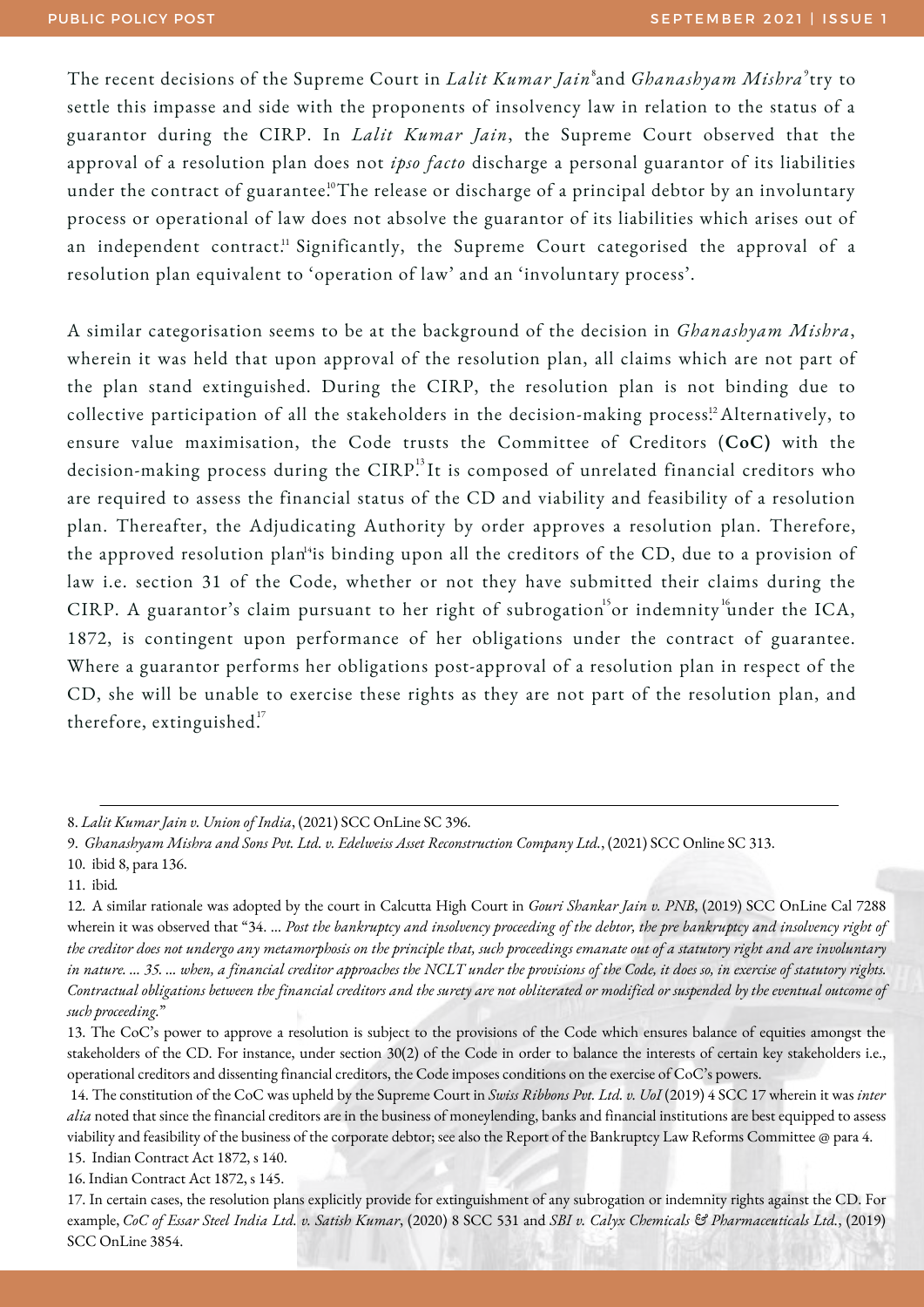The recent decisions of the Supreme Court in *Lalit Kumar Jain*  $^s$ and *Ghanashyam Mishra*  $^s$ try to settle this impasse and side with the proponents of insolvency law in relation to the status of a guarantor during the CIRP. In *Lalit Kumar Jain*, the Supreme Court observed that the approval of a resolution plan does not *ipso facto* discharge a personal guarantor of its liabilities under the contract of guarantee. $^{\textrm{\tiny{10}}}$ The release or discharge of a principal debtor by an involuntary process or operational of law does not absolve the guarantor of its liabilities which arises out of an independent contract.<sup>11</sup> Significantly, the Supreme Court categorised the approval of a resolution plan equivalent to 'operation of law' and an 'involuntary process'.

A similar categorisation seems to be at the background of the decision in *Ghanashyam Mishra*, wherein it was held that upon approval of the resolution plan, all claims which are not part of the plan stand extinguished. During the CIRP, the resolution plan is not binding due to collective participation of all the stakeholders in the decision-making process.<sup>12</sup> Alternatively, to ensure value maximisation, the Code trusts the Committee of Creditors (**CoC)** with the decision-making process during the  $\mathrm{CIRP}^{^{13}}$ It is composed of unrelated financial creditors who are required to assess the financial status of the CD and viability and feasibility of a resolution plan. Thereafter, the Adjudicating Authority by order approves a resolution plan. Therefore, the approved resolution plan $^{\rm 4}$ is binding upon all the creditors of the CD, due to a provision of law i.e. section 31 of the Code, whether or not they have submitted their claims during the CIRP. A guarantor's claim pursuant to her right of subrogation or indemnity under the ICA, 1872, is contingent upon performance of her obligations under the contract of guarantee. Where a guarantor performs her obligations post-approval of a resolution plan in respect of the CD, she will be unable to exercise these rights as they are not part of the resolution plan, and therefore, extinguished.<sup>17</sup>

<sup>8.</sup> *Lalit Kumar Jain v. Union of India*, (2021) SCC OnLine SC 396.

<sup>9.</sup> *Ghanashyam Mishra and Sons Pvt. Ltd. v. Edelweiss Asset Reconstruction Company Ltd.*, (2021) SCC Online SC 313.

<sup>10.</sup> ibid 8, para 136.

<sup>11.</sup> ibid*.*

<sup>12.</sup> A similar rationale was adopted by the court in Calcutta High Court in *Gouri Shankar Jain v. PNB*, (2019) SCC OnLine Cal 7288 wherein it was observed that "34. ... Post the bankruptcy and insolvency proceeding of the debtor, the pre bankruptcy and insolvency right of the creditor does not undergo any metamorphosis on the principle that, such proceedings emanate out of a statutory right and are involuntary in nature. ... 35. ... when, a financial creditor approaches the NCLT under the provisions of the Code, it does so, in exercise of statutory rights. Contractual obligations between the financial creditors and the surety are not obliterated or modified or suspended by the eventual outcome of *such proceeding.*"

<sup>13.</sup> The CoC's power to approve a resolution is subject to the provisions of the Code which ensures balance of equities amongst the stakeholders of the CD. For instance, under section 30(2) of the Code in order to balance the interests of certain key stakeholders i.e., operational creditors and dissenting financial creditors, the Code imposes conditions on the exercise of CoC's powers.

<sup>14.</sup> The constitution of the CoC was upheld by the Supreme Court in *Swiss Ribbons Pvt. Ltd. v. UoI* (2019) 4 SCC 17 wherein it was *inter alia* noted that since the financial creditors are in the business of moneylending, banks and financial institutions are best equipped to assess viability and feasibility of the business of the corporate debtor; see also the Report of the Bankruptcy Law Reforms Committee @ para 4. 15. Indian Contract Act 1872, s 140.

<sup>16.</sup> Indian Contract Act 1872, s 145.

<sup>17.</sup> In certain cases, the resolution plans explicitly provide for extinguishment of any subrogation or indemnity rights against the CD. For example, CoC of Essar Steel India Ltd. v. Satish Kumar, (2020) 8 SCC 531 and SBI v. Calyx Chemicals & Pharmaceuticals Ltd., (2019) SCC OnLine 3854.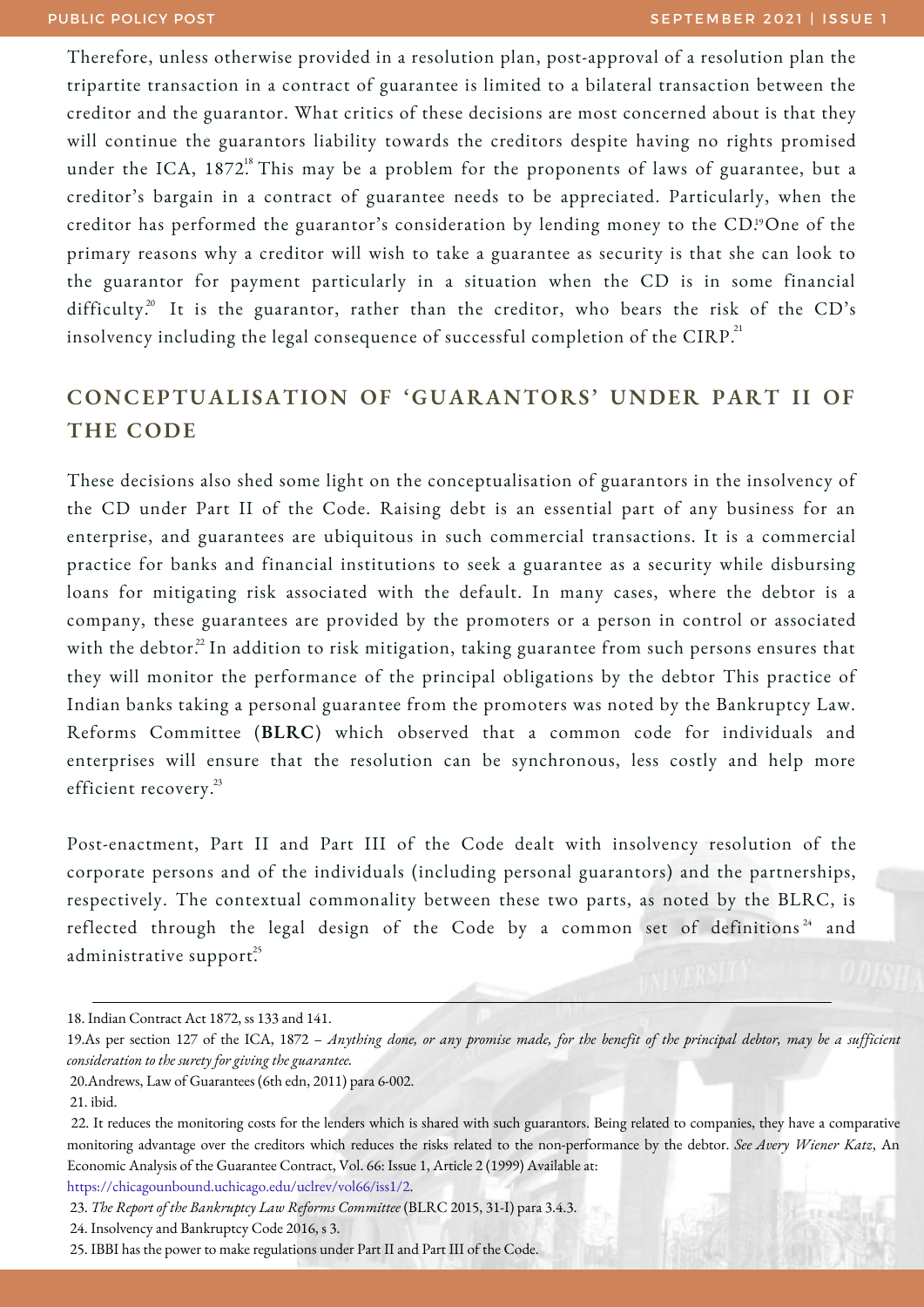Therefore, unless otherwise provided in a resolution plan, post-approval of a resolution plan the tripartite transaction in a contract of guarantee is limited to a bilateral transaction between the creditor and the guarantor. What critics of these decisions are most concerned about is that they will continue the guarantors liability towards the creditors despite having no rights promised under the ICA, 1872. This may be a problem for the proponents of laws of guarantee, but a creditor's bargain in a contract of guarantee needs to be appreciated. Particularly, when the creditor has performed the guarantor's consideration by lending money to the CD.''One of the primary reasons why a creditor will wish to take a guarantee as security is that she can look to the guarantor for payment particularly in a situation when the CD is in some financial difficulty. $2^{\text{o}}$  It is the guarantor, rather than the creditor, who bears the risk of the CD's insolvency including the legal consequence of successful completion of the  $\mathrm{CIRP}^{^\mathrm{21}}$ 

#### **CONCEPTUALISATION OF 'GUARANTORS' UNDER PART II OF THE CODE**

These decisions also shed some light on the conceptualisation of guarantors in the insolvency of the CD under Part II of the Code. Raising debt is an essential part of any business for an enterprise, and guarantees are ubiquitous in such commercial transactions. It is a commercial practice for banks and financial institutions to seek a guarantee as a security while disbursing loans for mitigating risk associated with the default. In many cases, where the debtor is a company, these guarantees are provided by the promoters or a person in control or associated with the debtor. $^{22}$  In addition to risk mitigation, taking guarantee from such persons ensures that they will monitor the performance of the principal obligations by the debtor This practice of Indian banks taking a personal guarantee from the promoters was noted by the Bankruptcy Law. Reforms Committee (**BLRC**) which observed that a common code for individuals and enterprises will ensure that the resolution can be synchronous, less costly and help more efficient recovery. 23

Post-enactment, Part II and Part III of the Code dealt with insolvency resolution of the corporate persons and of the individuals (including personal guarantors) and the partnerships, respectively. The contextual commonality between these two parts, as noted by the BLRC, is reflected through the legal design of the Code by a common set of definitions<sup>24</sup> and administrative support.<sup>25</sup>

<https://chicagounbound.uchicago.edu/uclrev/vol66/iss1/2>.

24. Insolvency and Bankruptcy Code 2016, s 3.

<sup>18.</sup> Indian Contract Act 1872, ss 133 and 141.

<sup>19.</sup>As per section 127 of the ICA, 1872 - Anything done, or any promise made, for the benefit of the principal debtor, may be a sufficient *consideration to the surety for giving the guarantee.*

<sup>20.</sup>Andrews, Law of Guarantees (6th edn, 2011) para 6-002.

<sup>21.</sup> ibid.

<sup>22.</sup> It reduces the monitoring costs for the lenders which is shared with such guarantors. Being related to companies, they have a comparative monitoring advantage over the creditors which reduces the risks related to the non-performance by the debtor. *See Avery Wiener Katz*, An Economic Analysis of the Guarantee Contract, Vol. 66: Issue 1, Article 2 (1999) Available at:

<sup>23.</sup> *The Report of the Bankruptcy Law Reforms Committee* (BLRC 2015, 31-I) para 3.4.3.

<sup>25.</sup> IBBI has the power to make regulations under Part II and Part III of the Code.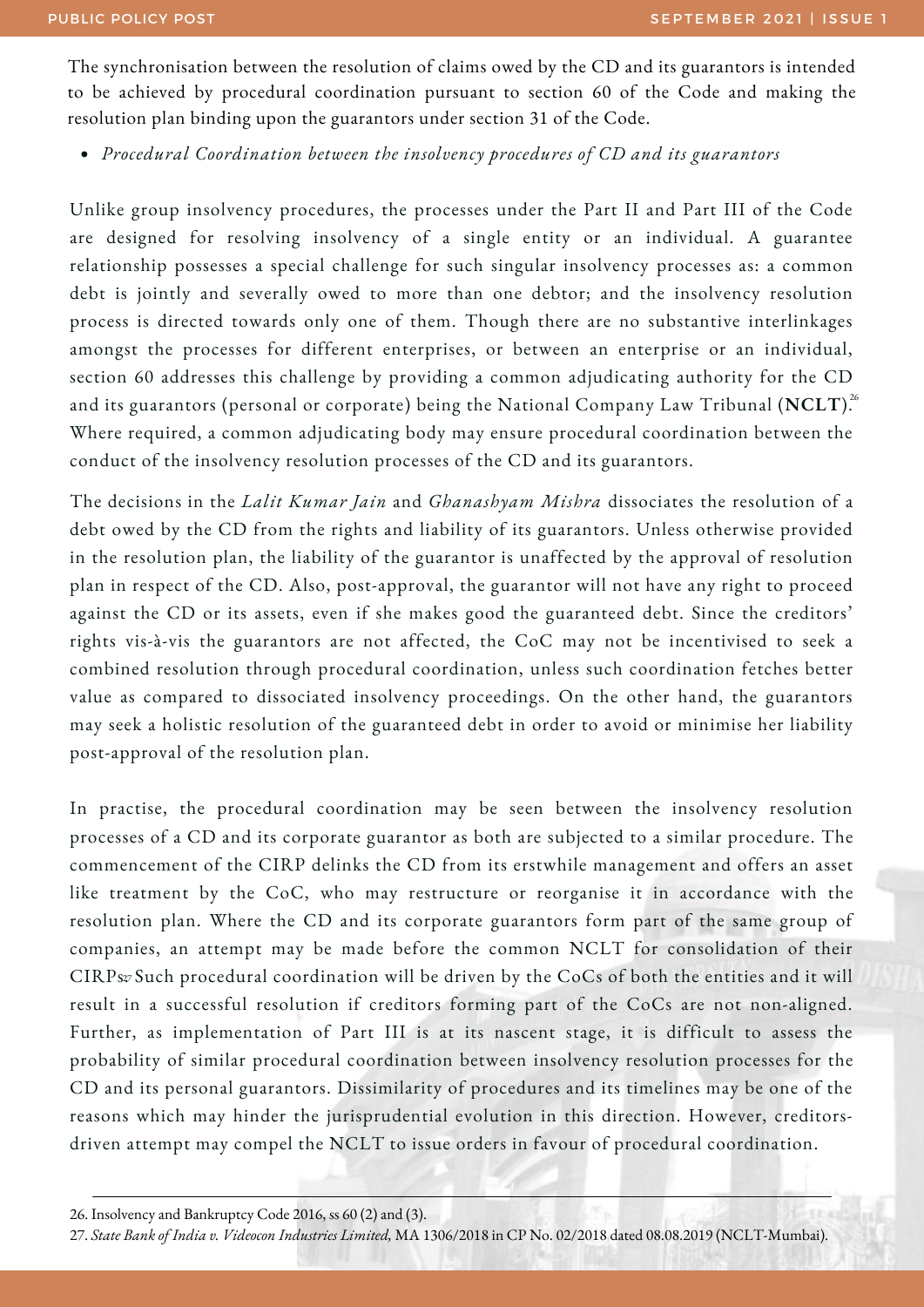The synchronisation between the resolution of claims owed by the CD and its guarantors is intended to be achieved by procedural coordination pursuant to section 60 of the Code and making the resolution plan binding upon the guarantors under section 31 of the Code.

*Procedural Coordination between the insolvency procedures of CD and its guarantors*

Unlike group insolvency procedures, the processes under the Part II and Part III of the Code are designed for resolving insolvency of a single entity or an individual. A guarantee relationship possesses a special challenge for such singular insolvency processes as: a common debt is jointly and severally owed to more than one debtor; and the insolvency resolution process is directed towards only one of them. Though there are no substantive interlinkages amongst the processes for different enterprises, or between an enterprise or an individual, section 60 addresses this challenge by providing a common adjudicating authority for the CD and its guarantors (personal or corporate) being the National Company Law Tribunal (**NCLT**). 26 Where required, a common adjudicating body may ensure procedural coordination between the conduct of the insolvency resolution processes of the CD and its guarantors.

The decisions in the *Lalit Kumar Jain* and *Ghanashyam Mishra* dissociates the resolution of a debt owed by the CD from the rights and liability of its guarantors. Unless otherwise provided in the resolution plan, the liability of the guarantor is unaffected by the approval of resolution plan in respect of the CD. Also, post-approval, the guarantor will not have any right to proceed against the CD or its assets, even if she makes good the guaranteed debt. Since the creditors' rights vis-à-vis the guarantors are not affected, the CoC may not be incentivised to seek a combined resolution through procedural coordination, unless such coordination fetches better value as compared to dissociated insolvency proceedings. On the other hand, the guarantors may seek a holistic resolution of the guaranteed debt in order to avoid or minimise her liability post-approval of the resolution plan.

In practise, the procedural coordination may be seen between the insolvency resolution processes of a CD and its corporate guarantor as both are subjected to a similar procedure. The commencement of the CIRP delinks the CD from its erstwhile management and offers an asset like treatment by the CoC, who may restructure or reorganise it in accordance with the resolution plan. Where the CD and its corporate guarantors form part of the same group of companies, an attempt may be made before the common NCLT for consolidation of their  $CIRP$ s $\rm z$  Such procedural coordination will be driven by the CoCs of both the entities and it will result in a successful resolution if creditors forming part of the CoCs are not non-aligned. Further, as implementation of Part III is at its nascent stage, it is difficult to assess the probability of similar procedural coordination between insolvency resolution processes for the CD and its personal guarantors. Dissimilarity of procedures and its timelines may be one of the reasons which may hinder the jurisprudential evolution in this direction. However, creditorsdriven attempt may compel the NCLT to issue orders in favour of procedural coordination.

26. Insolvency and Bankruptcy Code 2016, ss 60 (2) and (3).

27. *State Bank of India v. Videocon Industries Limited,* MA 1306/2018 in CP No. 02/2018 dated 08.08.2019 (NCLT-Mumbai).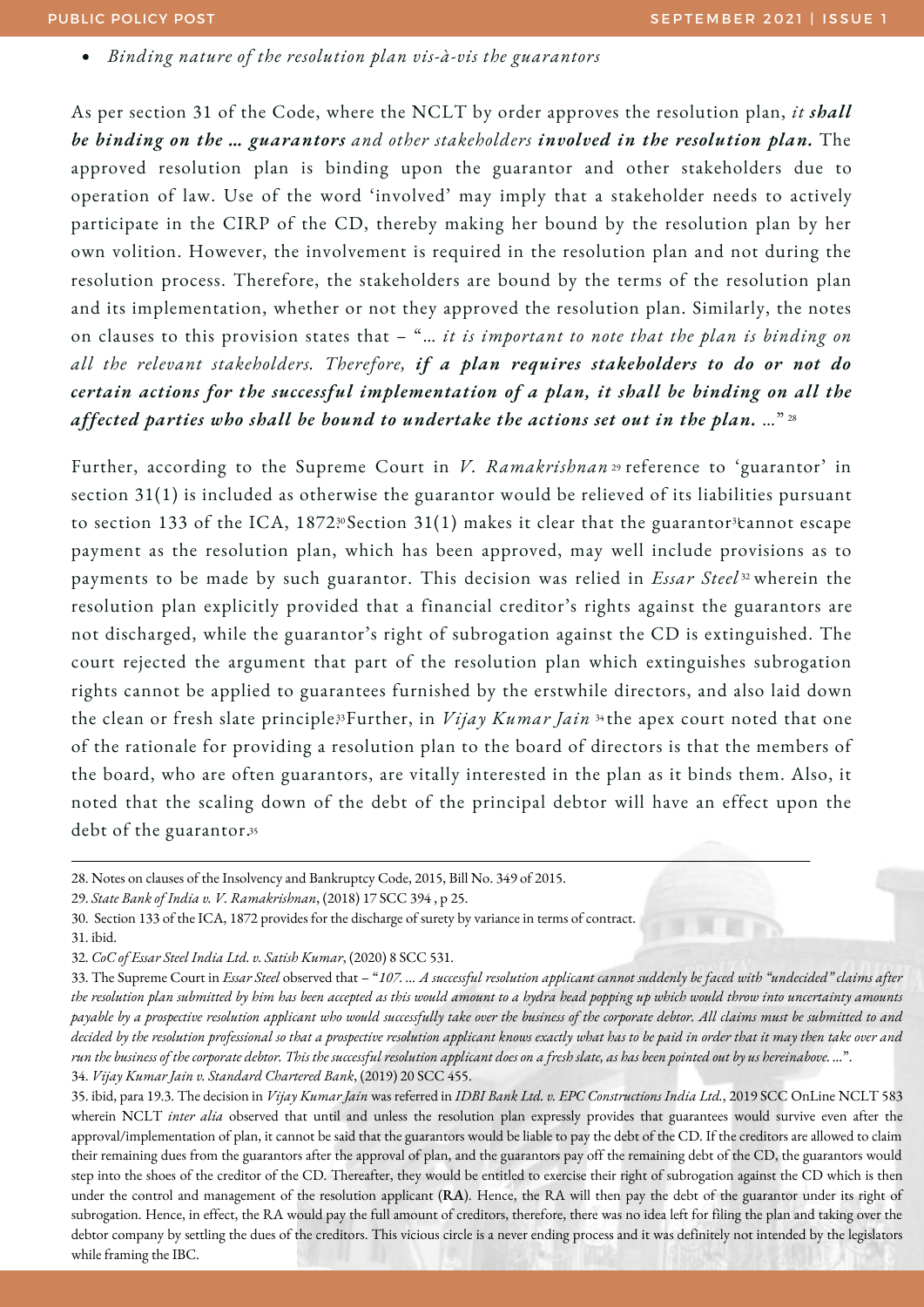*Binding nature of the resolution plan vis-à-vis the guarantors*

As per section 31 of the Code, where the NCLT by order approves the resolution plan, *it shall be binding on the … guarantors and other stakeholders involved in the resolution plan.* The approved resolution plan is binding upon the guarantor and other stakeholders due to operation of law. Use of the word 'involved' may imply that a stakeholder needs to actively participate in the CIRP of the CD, thereby making her bound by the resolution plan by her own volition. However, the involvement is required in the resolution plan and not during the resolution process. Therefore, the stakeholders are bound by the terms of the resolution plan and its implementation, whether or not they approved the resolution plan. Similarly, the notes on clauses to this provision states that – "… *it is important to note that the plan is binding on all the relevant stakeholders. Therefore, if a plan requires stakeholders to do or not do certain actions for the successful implementation of a plan, it shall be binding on all the affected parties who shall be bound to undertake the actions set out in the plan.* …" 28

Further, according to the Supreme Court in *V. Ramakrishnan* 29 reference to 'guarantor' in section 31(1) is included as otherwise the guarantor would be relieved of its liabilities pursuant to section 133 of the ICA, 1872.3ºSection 31(1) makes it clear that the guarantor<sup>3</sup>cannot escape payment as the resolution plan, which has been approved, may well include provisions as to payments to be made by such guarantor. This decision was relied in *Essar Steel* 32 wherein the resolution plan explicitly provided that a financial creditor's rights against the guarantors are not discharged, while the guarantor's right of subrogation against the CD is extinguished. The court rejected the argument that part of the resolution plan which extinguishes subrogation rights cannot be applied to guarantees furnished by the erstwhile directors, and also laid down the clean or fresh slate principle<sup>33</sup>Further, in *Vijay Kumar Jain* 34the apex court noted that one of the rationale for providing a resolution plan to the board of directors is that the members of the board, who are often guarantors, are vitally interested in the plan as it binds them. Also, it noted that the scaling down of the debt of the principal debtor will have an effect upon the debt of the guarantor. 35

<sup>28.</sup> Notes on clauses of the Insolvency and Bankruptcy Code, 2015, Bill No. 349 of 2015.

<sup>29.</sup> *State Bank of India v. V. Ramakrishnan*, (2018) 17 SCC 394 , p 25.

<sup>30.</sup> Section 133 of the ICA, 1872 provides for the discharge of surety by variance in terms of contract. 31. ibid.

<sup>32.</sup> *CoC of Essar Steel India Ltd. v. Satish Kumar*, (2020) 8 SCC 531.

<sup>33.</sup> The Supreme Court in Essar Steel observed that - "107. ... A successful resolution applicant cannot suddenly be faced with "undecided" claims after the resolution plan submitted by him has been accepted as this would amount to a hydra head popping up which would throw into uncertainty amounts payable by a prospective resolution applicant who would successfully take over the business of the corporate debtor. All claims must be submitted to and decided by the resolution professional so that a prospective resolution applicant knows exactly what has to be paid in order that it may then take over and run the business of the corporate debtor. This the successful resolution applicant does on a fresh slate, as has been pointed out by us hereinabove....". 34. *Vijay Kumar Jain v. Standard Chartered Bank*, (2019) 20 SCC 455.

<sup>35.</sup> ibid, para 19.3. The decision in *Vijay Kumar Jain* was referred in *IDBI Bank Ltd. v. EPC Constructions India Ltd.*, 2019 SCC OnLine NCLT 583 wherein NCLT *inter alia* observed that until and unless the resolution plan expressly provides that guarantees would survive even after the approval/implementation of plan, it cannot be said that the guarantors would be liable to pay the debt of the CD. If the creditors are allowed to claim their remaining dues from the guarantors after the approval of plan, and the guarantors pay off the remaining debt of the CD, the guarantors would step into the shoes of the creditor of the CD. Thereafter, they would be entitled to exercise their right of subrogation against the CD which is then under the control and management of the resolution applicant (**RA**). Hence, the RA will then pay the debt of the guarantor under its right of subrogation. Hence, in effect, the RA would pay the full amount of creditors, therefore, there was no idea left for filing the plan and taking over the debtor company by settling the dues of the creditors. This vicious circle is a never ending process and it was definitely not intended by the legislators while framing the IBC.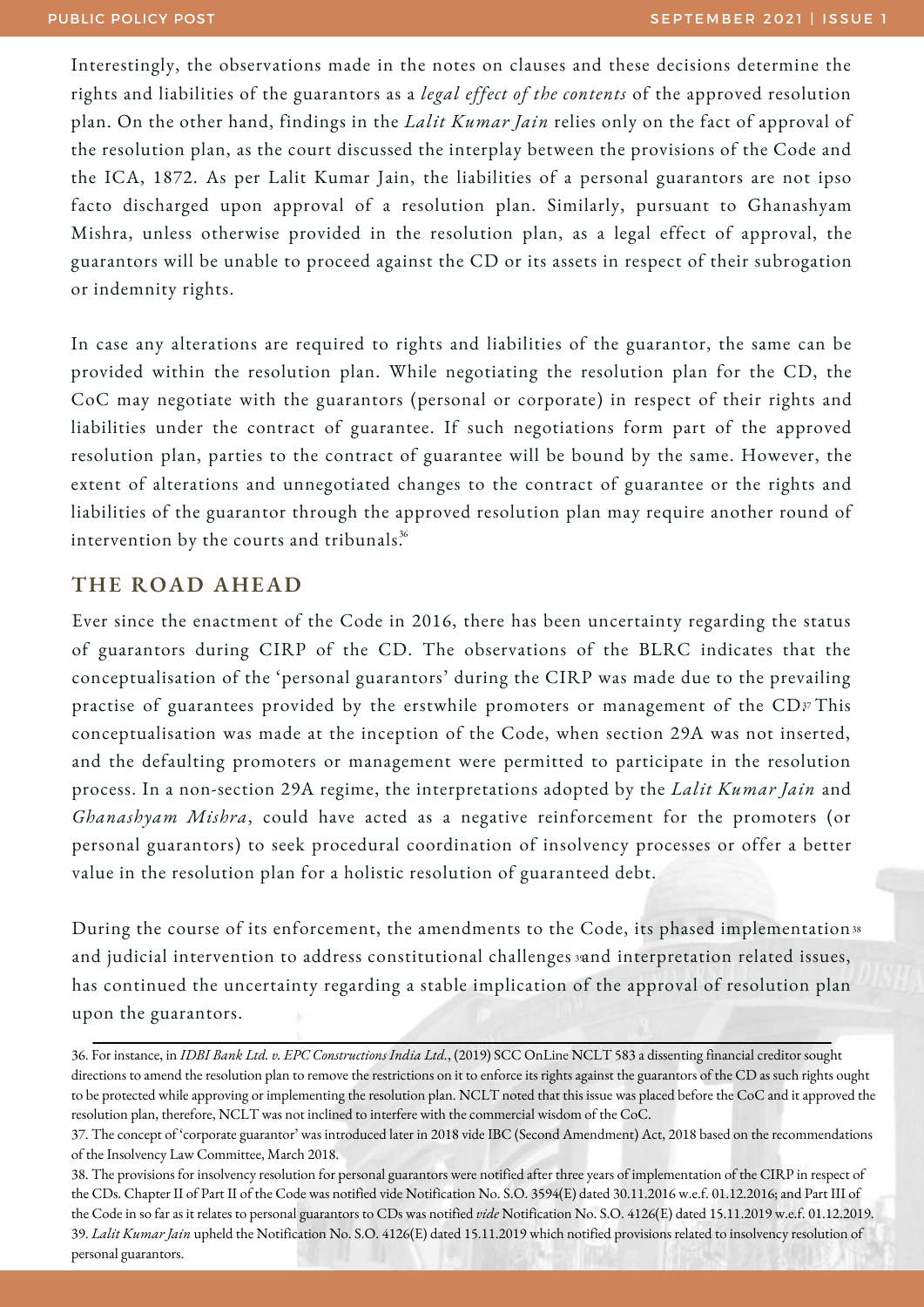Interestingly, the observations made in the notes on clauses and these decisions determine the rights and liabilities of the guarantors as a *legal effect of the contents* of the approved resolution plan. On the other hand, findings in the *Lalit Kumar Jain* relies only on the fact of approval of the resolution plan, as the court discussed the interplay between the provisions of the Code and the ICA, 1872. As per Lalit Kumar Jain, the liabilities of a personal guarantors are not ipso facto discharged upon approval of a resolution plan. Similarly, pursuant to Ghanashyam Mishra, unless otherwise provided in the resolution plan, as a legal effect of approval, the guarantors will be unable to proceed against the CD or its assets in respect of their subrogation or indemnity rights.

In case any alterations are required to rights and liabilities of the guarantor, the same can be provided within the resolution plan. While negotiating the resolution plan for the CD, the CoC may negotiate with the guarantors (personal or corporate) in respect of their rights and liabilities under the contract of guarantee. If such negotiations form part of the approved resolution plan, parties to the contract of guarantee will be bound by the same. However, the extent of alterations and unnegotiated changes to the contract of guarantee or the rights and liabilities of the guarantor through the approved resolution plan may require another round of intervention by the courts and tribunals. 36

#### **THE ROAD AHEAD**

Ever since the enactment of the Code in 2016, there has been uncertainty regarding the status of guarantors during CIRP of the CD. The observations of the BLRC indicates that the conceptualisation of the 'personal guarantors' during the CIRP was made due to the prevailing practise of guarantees provided by the erstwhile promoters or management of the CD37 This conceptualisation was made at the inception of the Code, when section 29A was not inserted, and the defaulting promoters or management were permitted to participate in the resolution process. In a non-section 29A regime, the interpretations adopted by the *Lalit Kumar Jain* and *Ghanashyam Mishra*, could have acted as a negative reinforcement for the promoters (or personal guarantors) to seek procedural coordination of insolvency processes or offer a better value in the resolution plan for a holistic resolution of guaranteed debt.

During the course of its enforcement, the amendments to the Code, its phased implementation 38 and judicial intervention to address constitutional challenges »and interpretation related issues, has continued the uncertainty regarding a stable implication of the approval of resolution plan upon the guarantors.

<sup>36.</sup> For instance, in *IDBI Bank Ltd. v. EPC Constructions India Ltd.*, (2019) SCC OnLine NCLT 583 a dissenting financial creditor sought directions to amend the resolution plan to remove the restrictions on it to enforce its rights against the guarantors of the CD as such rights ought to be protected while approving or implementing the resolution plan. NCLT noted that this issue was placed before the CoC and it approved the resolution plan, therefore, NCLT was not inclined to interfere with the commercial wisdom of the CoC.

<sup>37.</sup> The concept of 'corporate guarantor' was introduced later in 2018 vide IBC (Second Amendment) Act, 2018 based on the recommendations of the Insolvency Law Committee, March 2018.

<sup>38.</sup> The provisions for insolvency resolution for personal guarantors were notified after three years of implementation of the CIRP in respect of the CDs. Chapter II of Part II of the Code was notified vide Notification No. S.O. 3594(E) dated 30.11.2016 w.e.f. 01.12.2016; and Part III of the Code in so faras it relates to personal guarantors to CDs was notified *vide* Notification No. S.O. 4126(E) dated 15.11.2019 w.e.f. 01.12.2019. 39. *Lalit Kumar Jain* upheld the Notification No. S.O. 4126(E) dated 15.11.2019 which notified provisions related to insolvency resolution of personal guarantors.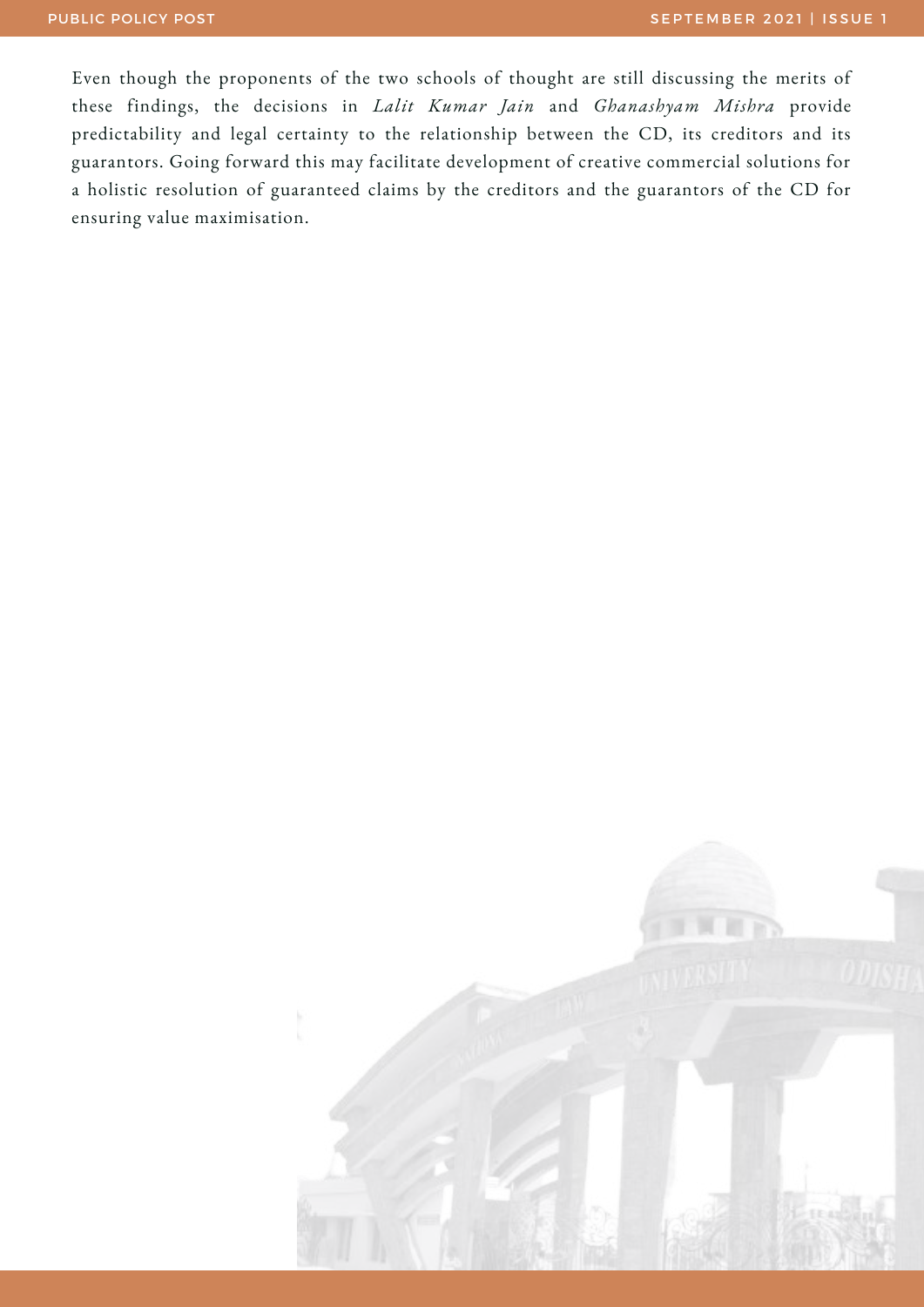Even though the proponents of the two schools of thought are still discussing the merits of these findings, the decisions in *Lalit Kumar Jain* and *Ghanashyam Mishra* provide predictability and legal certainty to the relationship between the CD, its creditors and its guarantors. Going forward this may facilitate development of creative commercial solutions for a holistic resolution of guaranteed claims by the creditors and the guarantors of the CD for ensuring value maximisation.

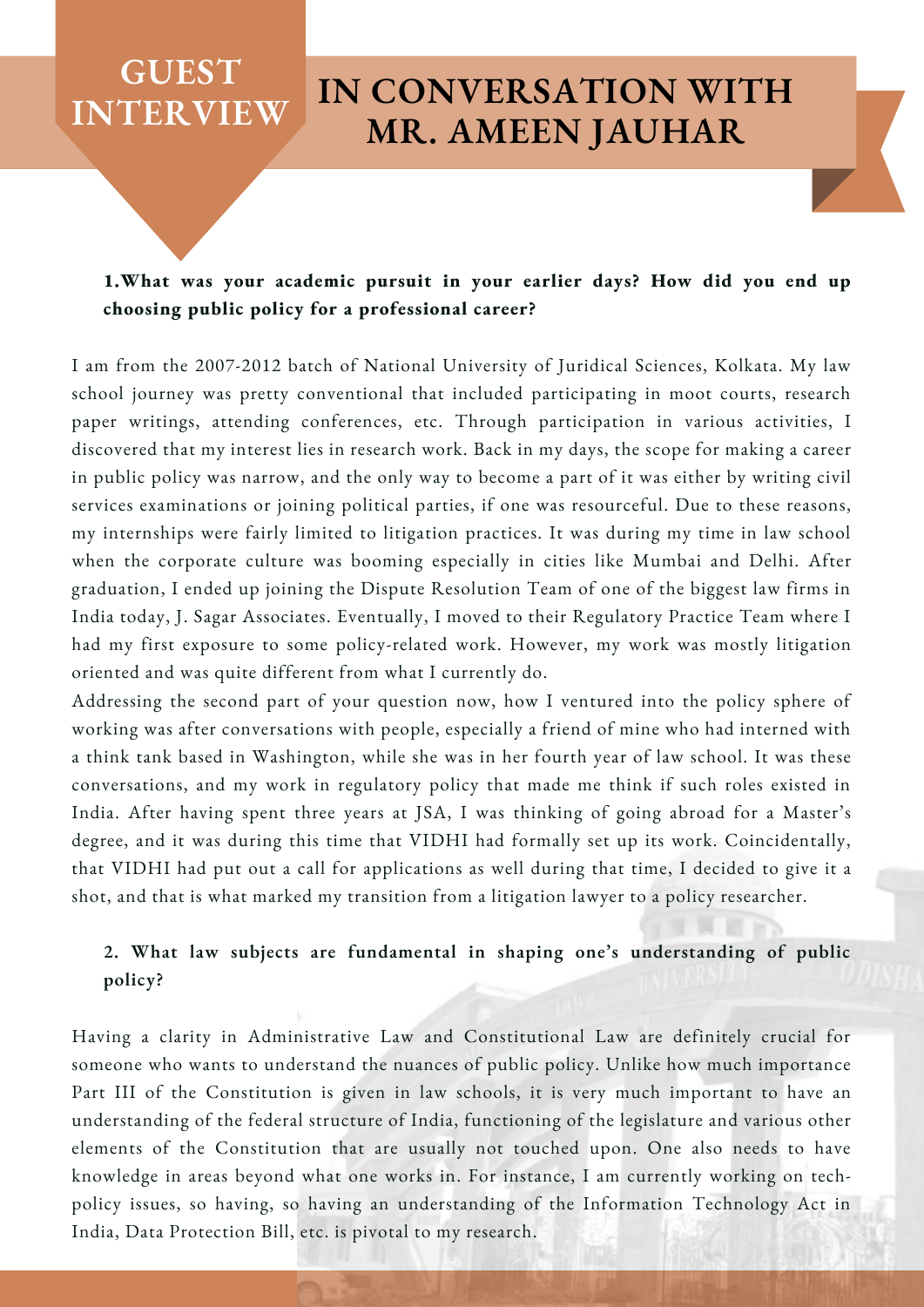#### **1.What was your academic pursuit in your earlier days? How did you end up choosing public policy for a professional career?**

I am from the 2007-2012 batch of National University of Juridical Sciences, Kolkata. My law school journey was pretty conventional that included participating in moot courts, research paper writings, attending conferences, etc. Through participation in various activities, I discovered that my interest lies in research work. Back in my days, the scope for making a career in public policy was narrow, and the only way to become a part of it was either by writing civil services examinations or joining political parties, if one was resourceful. Due to these reasons, my internships were fairly limited to litigation practices. It was during my time in law school when the corporate culture was booming especially in cities like Mumbai and Delhi. After graduation, I ended up joining the Dispute Resolution Team of one of the biggest law firms in India today, J. Sagar Associates. Eventually, I moved to their Regulatory Practice Team where I had my first exposure to some policy-related work. However, my work was mostly litigation oriented and was quite different from what I currently do.

Addressing the second part of your question now, how I ventured into the policy sphere of working was after conversations with people, especially a friend of mine who had interned with a think tank based in Washington, while she was in her fourth year of law school. It was these conversations, and my work in regulatory policy that made me think if such roles existed in India. After having spent three years at JSA, I was thinking of going abroad for a Master's degree, and it was during this time that VIDHI had formally set up its work. Coincidentally, that VIDHI had put out a call for applications as well during that time, I decided to give it a shot, and that is what marked my transition from a litigation lawyer to a policy researcher.

#### **2. What law subjects are fundamental in shaping one's understanding of public policy?**

Having a clarity in Administrative Law and Constitutional Law are definitely crucial for someone who wants to understand the nuances of public policy. Unlike how much importance Part III of the Constitution is given in law schools, it is very much important to have an understanding of the federal structure of India, functioning of the legislature and various other elements of the Constitution that are usually not touched upon. One also needs to have knowledge in areas beyond what one works in. For instance, I am currently working on techpolicy issues, so having, so having an understanding of the Information Technology Act in India, Data Protection Bill, etc. is pivotal to my research.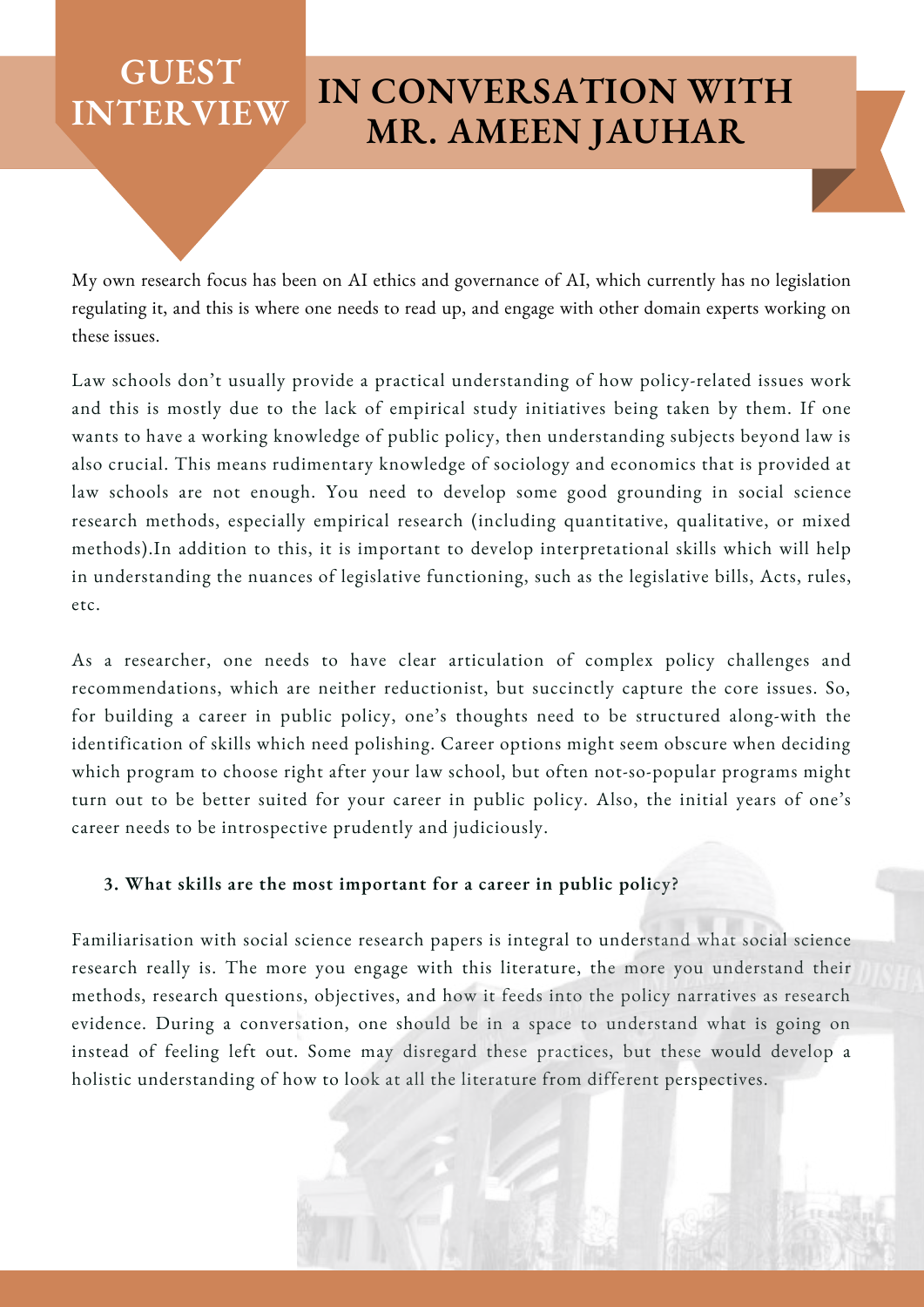My own research focus has been on AI ethics and governance of AI, which currently has no legislation regulating it, and this is where one needs to read up, and engage with other domain experts working on these issues.

Law schools don't usually provide a practical understanding of how policy-related issues work and this is mostly due to the lack of empirical study initiatives being taken by them. If one wants to have a working knowledge of public policy, then understanding subjects beyond law is also crucial. This means rudimentary knowledge of sociology and economics that is provided at law schools are not enough. You need to develop some good grounding in social science research methods, especially empirical research (including quantitative, qualitative, or mixed methods).In addition to this, it is important to develop interpretational skills which will help in understanding the nuances of legislative functioning, such as the legislative bills, Acts, rules, etc.

As a researcher, one needs to have clear articulation of complex policy challenges and recommendations, which are neither reductionist, but succinctly capture the core issues. So, for building a career in public policy, one's thoughts need to be structured along-with the identification of skills which need polishing. Career options might seem obscure when deciding which program to choose right after your law school, but often not-so-popular programs might turn out to be better suited for your career in public policy. Also, the initial years of one's career needs to be introspective prudently and judiciously.

#### **3. What skills are the most important for a career in public policy?**

Familiarisation with social science research papers is integral to understand what social science research really is. The more you engage with this literature, the more you understand their methods, research questions, objectives, and how it feeds into the policy narratives as research evidence. During a conversation, one should be in a space to understand what is going on instead of feeling left out. Some may disregard these practices, but these would develop a holistic understanding of how to look at all the literature from different perspectives.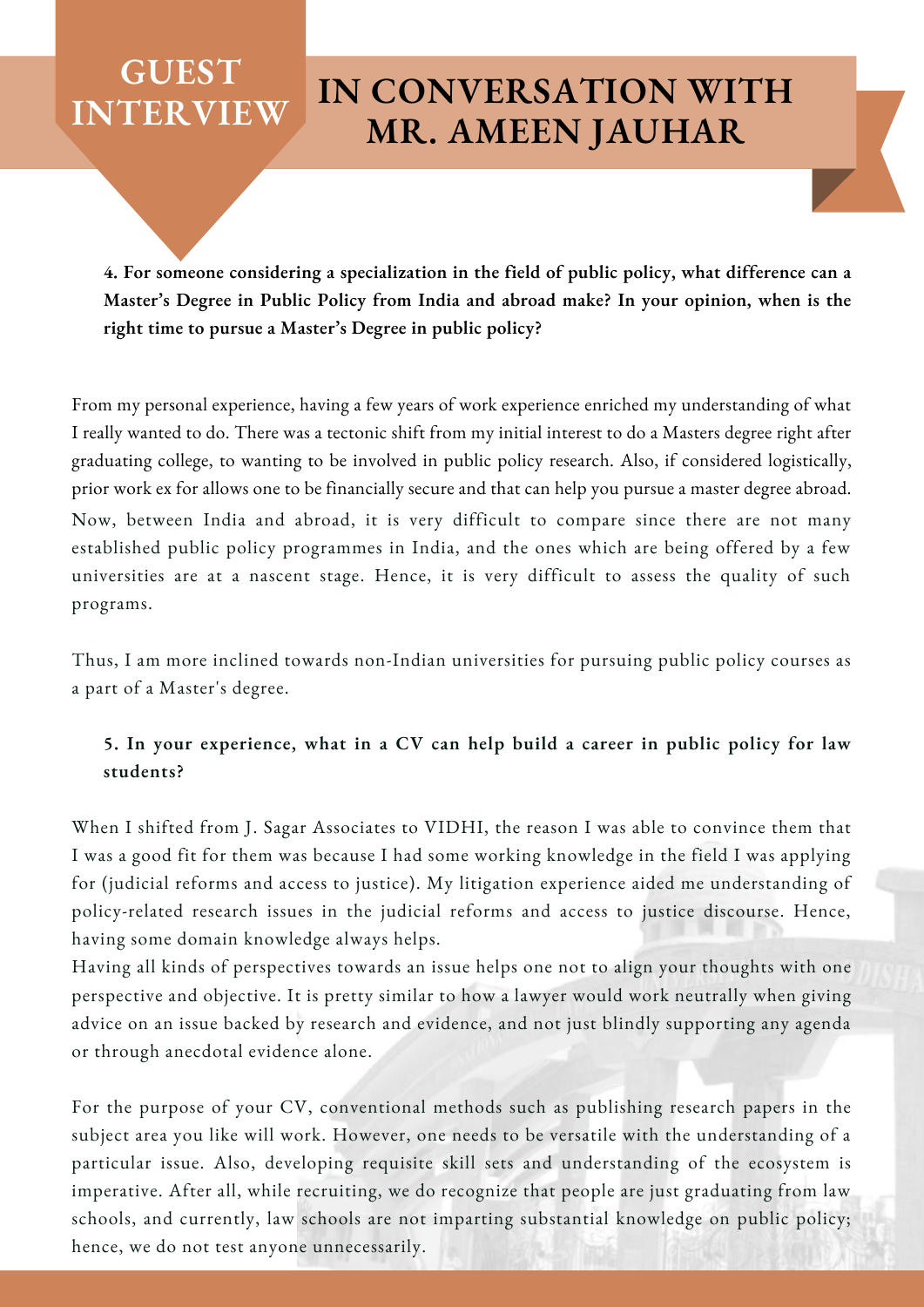**4. For someone considering a specialization in the field of public policy, what difference can a Master's Degree in Public Policy from India and abroad make? In your opinion, when is the right time to pursue a Master's Degree in public policy?**

Now, between India and abroad, it is very difficult to compare since there are not many established public policy programmes in India, and the ones which are being offered by a few universities are at a nascent stage. Hence, it is very difficult to assess the quality of such programs. From my personal experience, having a few years of work experience enriched my understanding of what I really wanted to do. There was a tectonic shift from my initial interest to do a Masters degree right after graduating college, to wanting to be involved in public policy research. Also, if considered logistically, prior work ex for allows one to be financially secure and that can help you pursue a master degree abroad.

Thus, I am more inclined towards non-Indian universities for pursuing public policy courses as a part of a Master's degree.

#### **5. In your experience, what in a CV can help build a career in public policy for law students?**

When I shifted from J. Sagar Associates to VIDHI, the reason I was able to convince them that I was a good fit for them was because I had some working knowledge in the field I was applying for (judicial reforms and access to justice). My litigation experience aided me understanding of policy-related research issues in the judicial reforms and access to justice discourse. Hence, having some domain knowledge always helps.

Having all kinds of perspectives towards an issue helps one not to align your thoughts with one perspective and objective. It is pretty similar to how a lawyer would work neutrally when giving advice on an issue backed by research and evidence, and not just blindly supporting any agenda or through anecdotal evidence alone.

For the purpose of your CV, conventional methods such as publishing research papers in the subject area you like will work. However, one needs to be versatile with the understanding of a particular issue. Also, developing requisite skill sets and understanding of the ecosystem is imperative. After all, while recruiting, we do recognize that people are just graduating from law schools, and currently, law schools are not imparting substantial knowledge on public policy; hence, we do not test anyone unnecessarily.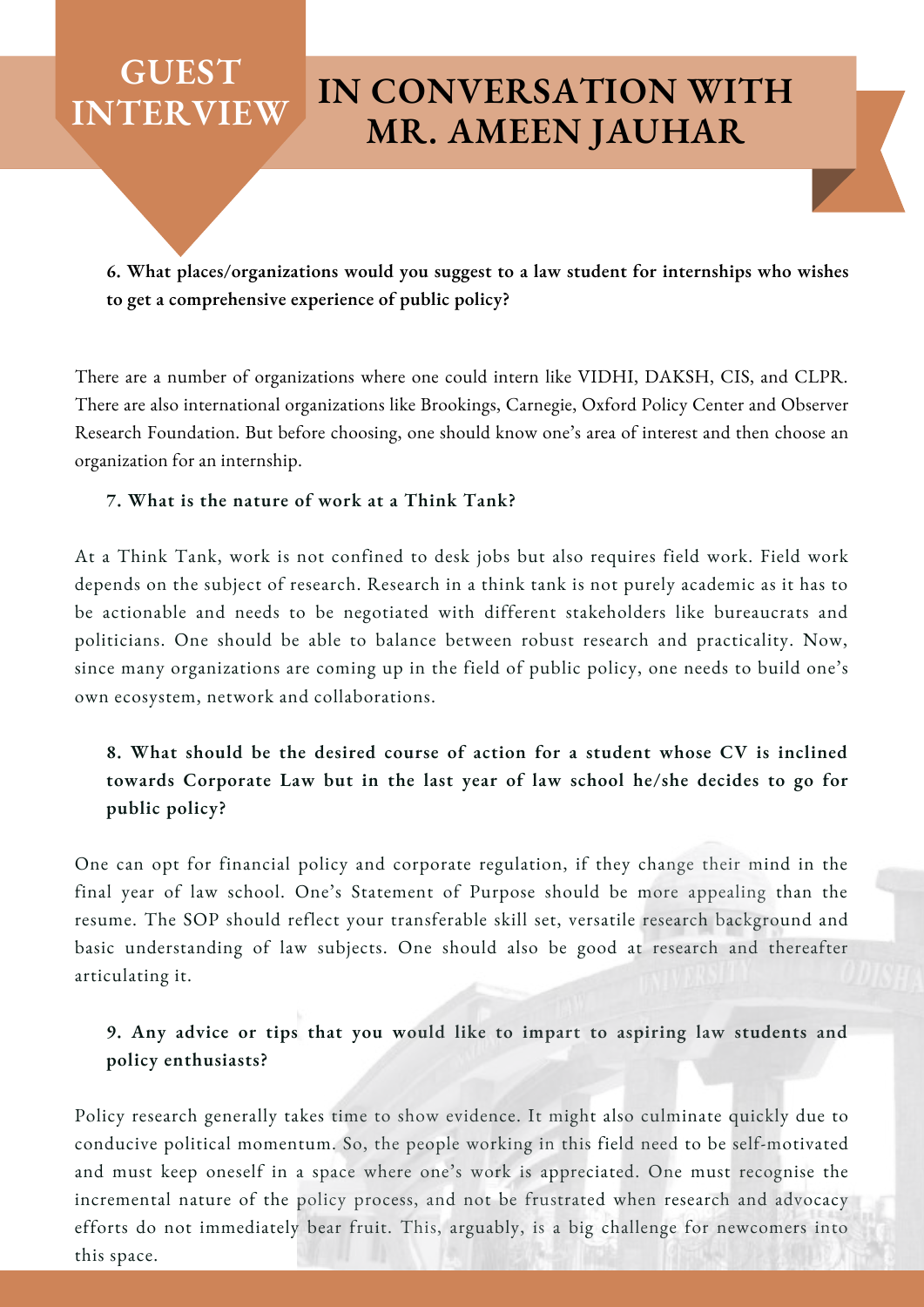**6. What places/organizations would you suggest to a law student for internships who wishes to get a comprehensive experience of public policy?**

There are a number of organizations where one could intern like VIDHI, DAKSH, CIS, and CLPR. There are also international organizations like Brookings, Carnegie, Oxford Policy Center and Observer Research Foundation. But before choosing, one should know one's area of interest and then choose an organization for an internship.

#### **7. What is the nature of work at a Think Tank?**

At a Think Tank, work is not confined to desk jobs but also requires field work. Field work depends on the subject of research. Research in a think tank is not purely academic as it has to be actionable and needs to be negotiated with different stakeholders like bureaucrats and politicians. One should be able to balance between robust research and practicality. Now, since many organizations are coming up in the field of public policy, one needs to build one's own ecosystem, network and collaborations.

#### **8. What should be the desired course of action for a student whose CV is inclined towards Corporate Law but in the last year of law school he/she decides to go for public policy?**

One can opt for financial policy and corporate regulation, if they change their mind in the final year of law school. One's Statement of Purpose should be more appealing than the resume. The SOP should reflect your transferable skill set, versatile research background and basic understanding of law subjects. One should also be good at research and thereafter articulating it.

#### **9. Any advice or tips that you would like to impart to aspiring law students and policy enthusiasts?**

Policy research generally takes time to show evidence. It might also culminate quickly due to conducive political momentum. So, the people working in this field need to be self-motivated and must keep oneself in a space where one's work is appreciated. One must recognise the incremental nature of the policy process, and not be frustrated when research and advocacy efforts do not immediately bear fruit. This, arguably, is a big challenge for newcomers into this space.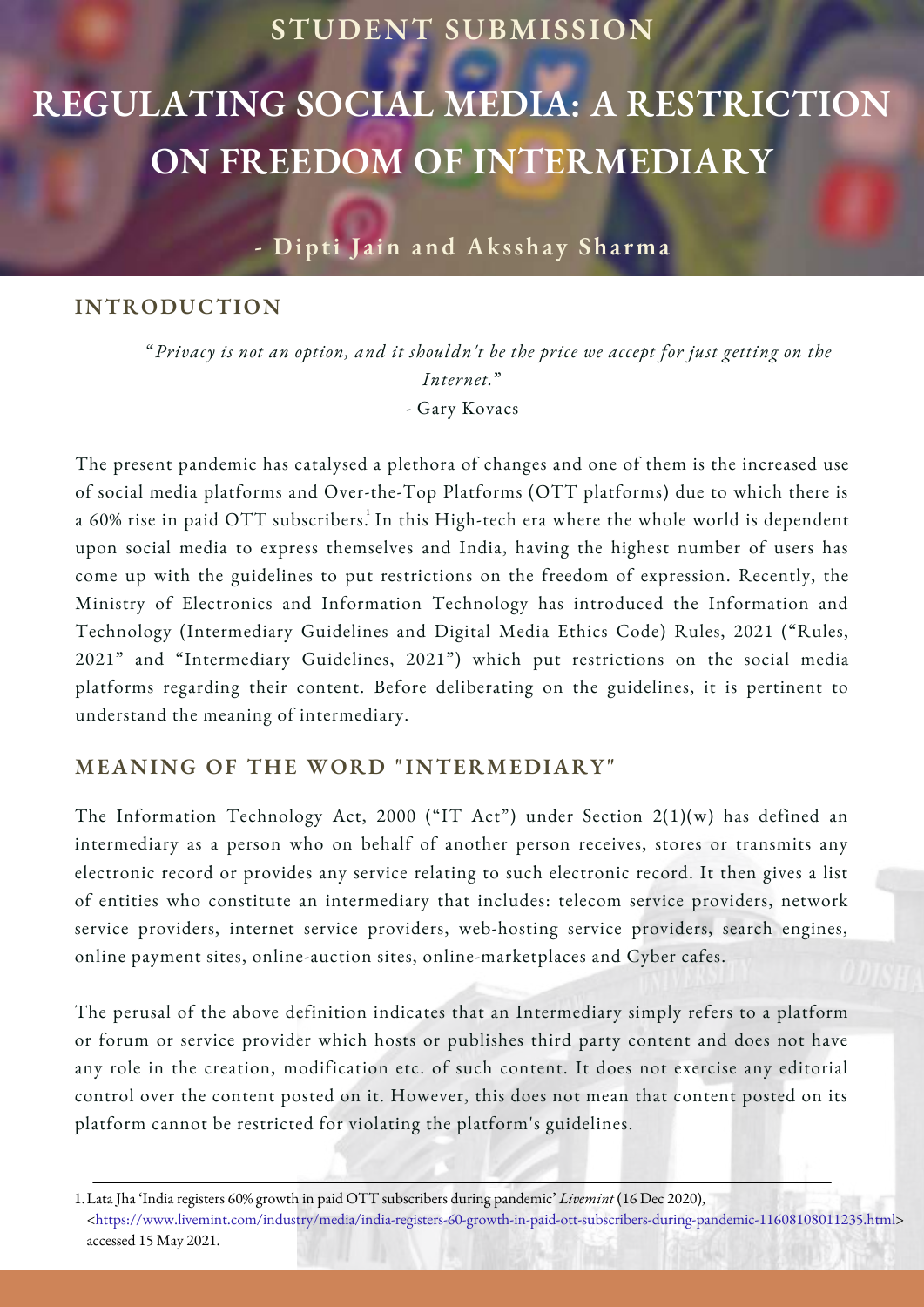#### **STUDENT SUBMISSION**

## **REGULATING SOCIAL MEDIA: A RESTRICTION ON FREEDOM OF INTERMEDIARY**

**- Dipti J a in and Aksshay Sha rma**

#### **INTRODUCTION**

"*Privacy is not an option, and it shouldn't be the price we accept for just getting on the Internet.*" - Gary Kovacs

The present pandemic has catalysed a plethora of changes and one of them is the increased use of social media platforms and Over-the-Top Platforms (OTT platforms) due to which there is a 60% rise in paid OTT subscribers. $^{\rm l}$  In this High-tech era where the whole world is dependent upon social media to express themselves and India, having the highest number of users has come up with the guidelines to put restrictions on the freedom of expression. Recently, the Ministry of Electronics and Information Technology has introduced the Information and Technology (Intermediary Guidelines and Digital Media Ethics Code) Rules, 2021 ("Rules, 2021" and "Intermediary Guidelines, 2021") which put restrictions on the social media platforms regarding their content. Before deliberating on the guidelines, it is pertinent to understand the meaning of intermediary.

#### **MEANING OF THE WORD "INTERMEDIARY"**

The Information Technology Act, 2000 ("IT Act") under Section 2(1)(w) has defined an intermediary as a person who on behalf of another person receives, stores or transmits any electronic record or provides any service relating to such electronic record. It then gives a list of entities who constitute an intermediary that includes: telecom service providers, network service providers, internet service providers, web-hosting service providers, search engines, online payment sites, online-auction sites, online-marketplaces and Cyber cafes.

The perusal of the above definition indicates that an Intermediary simply refers to a platform or forum or service provider which hosts or publishes third party content and does not have any role in the creation, modification etc. of such content. It does not exercise any editorial control over the content posted on it. However, this does not mean that content posted on its platform cannot be restricted for violating the platform's guidelines.

Lata Jha 'India registers 60% growth in paid OTT subscribers during pandemic' *Livemint* (16 Dec 2020), 1. [<https://www.livemint.com/industry/media/india-registers-60-growth-in-paid-ott-subscribers-during-pandemic-11608108011235.html](https://www.google.com/url?q=https://www.livemint.com/industry/media/india-registers-60-growth-in-paid-ott-subscribers-during-pandemic-11608108011235.html&sa=D&source=editors&ust=1621100033424000&usg=AOvVaw08IZfoqI9gj73aYqDIshsX)> accessed 15 May 2021.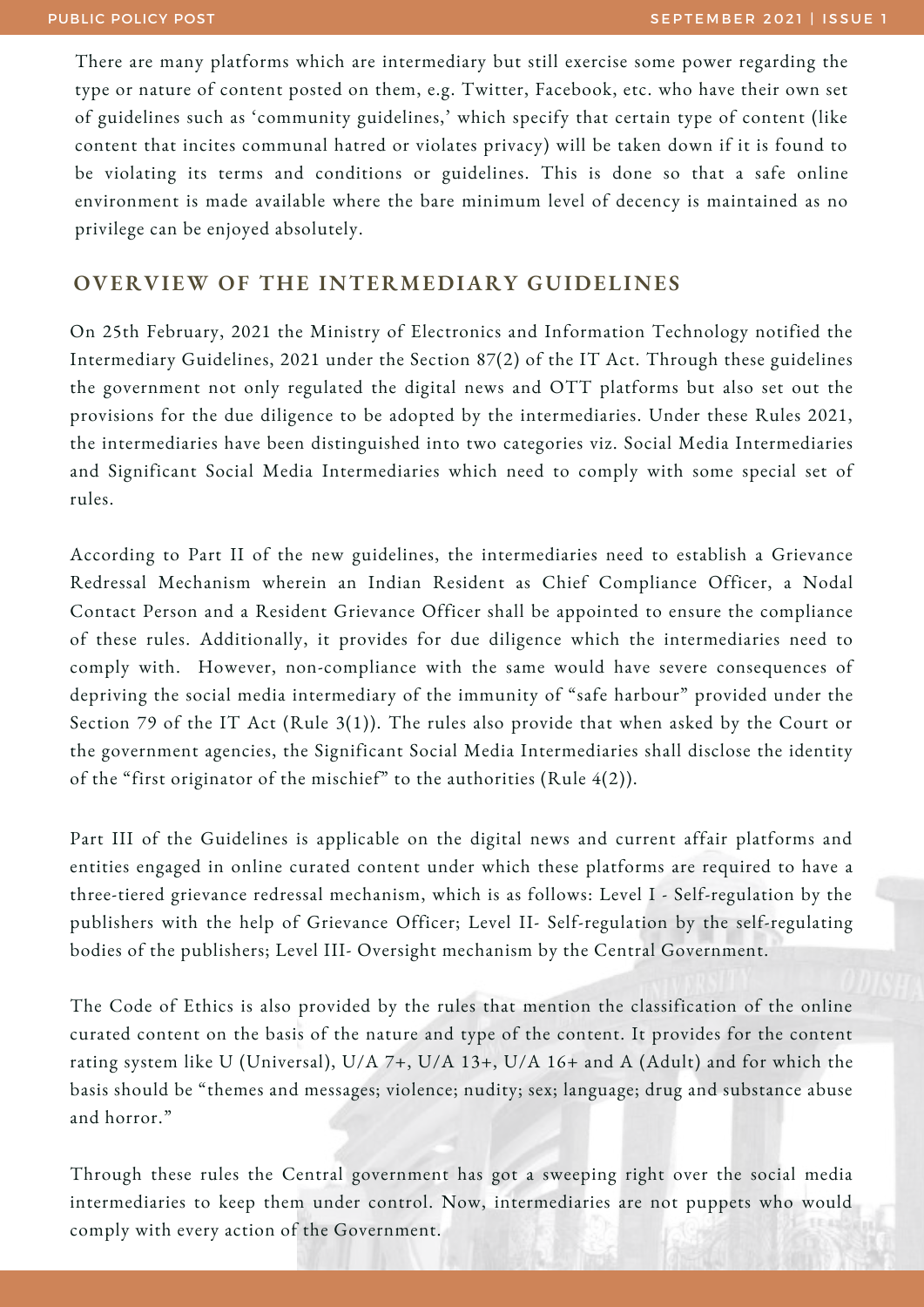There are many platforms which are intermediary but still exercise some power regarding the type or nature of content posted on them, e.g. Twitter, Facebook, etc. who have their own set of guidelines such as 'community guidelines,' which specify that certain type of content (like content that incites communal hatred or violates privacy) will be taken down if it is found to be violating its terms and conditions or guidelines. This is done so that a safe online environment is made available where the bare minimum level of decency is maintained as no privilege can be enjoyed absolutely.

#### **OVERVIEW OF THE INTERMEDIARY GUIDELINES**

On 25th February, 2021 the Ministry of Electronics and Information Technology notified the Intermediary Guidelines, 2021 under the Section 87(2) of the IT Act. Through these guidelines the government not only regulated the digital news and OTT platforms but also set out the provisions for the due diligence to be adopted by the intermediaries. Under these Rules 2021, the intermediaries have been distinguished into two categories viz. Social Media Intermediaries and Significant Social Media Intermediaries which need to comply with some special set of rules.

According to Part II of the new guidelines, the intermediaries need to establish a Grievance Redressal Mechanism wherein an Indian Resident as Chief Compliance Officer, a Nodal Contact Person and a Resident Grievance Officer shall be appointed to ensure the compliance of these rules. Additionally, it provides for due diligence which the intermediaries need to comply with. However, non-compliance with the same would have severe consequences of depriving the social media intermediary of the immunity of "safe harbour" provided under the Section 79 of the IT Act (Rule 3(1)). The rules also provide that when asked by the Court or the government agencies, the Significant Social Media Intermediaries shall disclose the identity of the "first originator of the mischief" to the authorities (Rule 4(2)).

Part III of the Guidelines is applicable on the digital news and current affair platforms and entities engaged in online curated content under which these platforms are required to have a three-tiered grievance redressal mechanism, which is as follows: Level I - Self-regulation by the publishers with the help of Grievance Officer; Level II- Self-regulation by the self-regulating bodies of the publishers; Level III- Oversight mechanism by the Central Government.

The Code of Ethics is also provided by the rules that mention the classification of the online curated content on the basis of the nature and type of the content. It provides for the content rating system like U (Universal), U/A 7+, U/A 13+, U/A 16+ and A (Adult) and for which the basis should be "themes and messages; violence; nudity; sex; language; drug and substance abuse and horror."

Through these rules the Central government has got a sweeping right over the social media intermediaries to keep them under control. Now, intermediaries are not puppets who would comply with every action of the Government.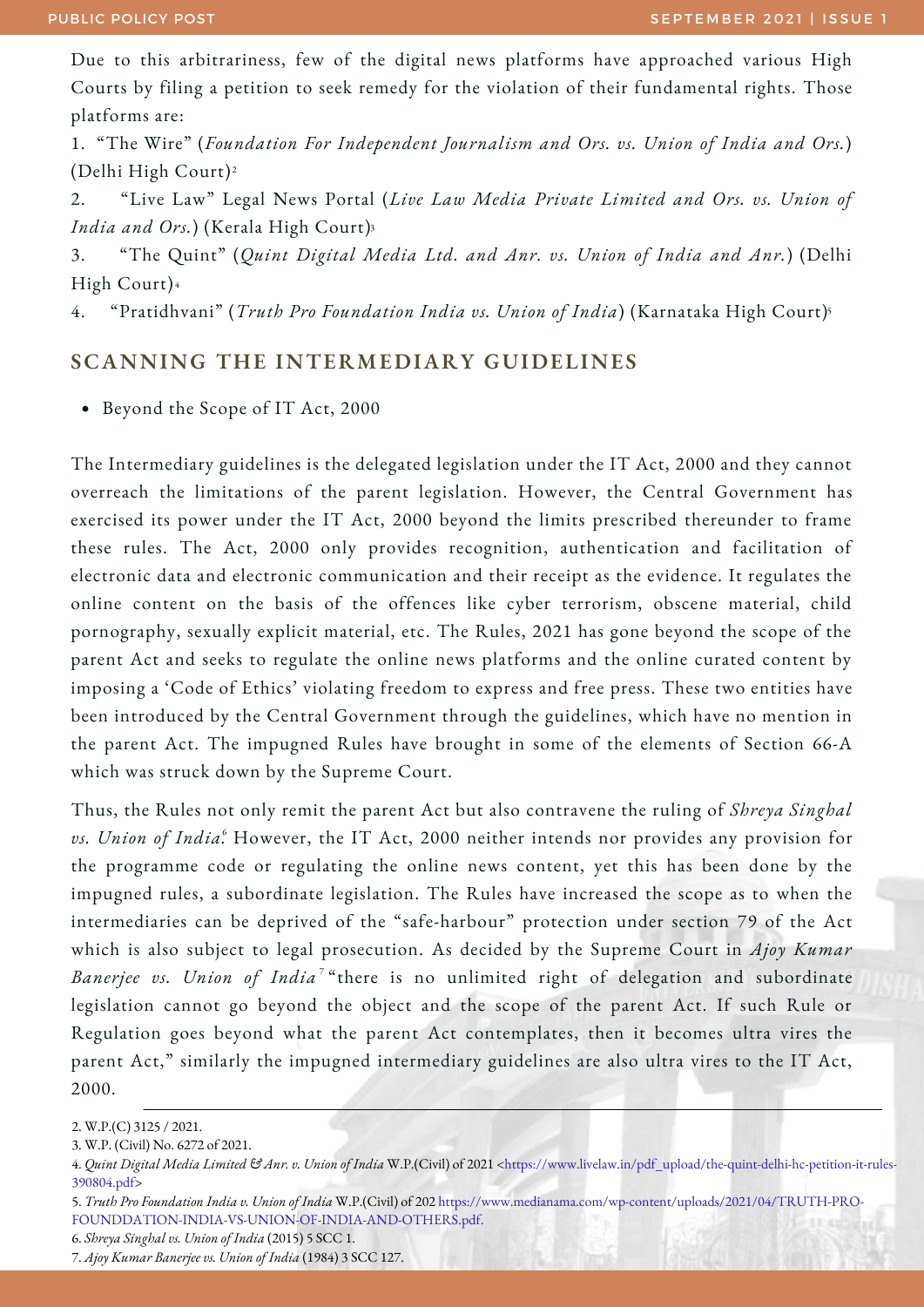Due to this arbitrariness, few of the digital news platforms have approached various High Courts by filing a petition to seek remedy for the violation of their fundamental rights. Those platforms are:

1. "The Wire" (*Foundation For Independent Journalism and Ors. vs. Union of India and Ors.*) (Delhi High Court) 2

2. "Live Law" Legal News Portal (*Live Law Media Private Limited and Ors. vs. Union of India and Ors.*) (Kerala High Court) 3

3. "The Quint" (*Quint Digital Media Ltd. and Anr. vs. Union of India and Anr.*) (Delhi High Court) 4

4. "Pratidhvani" (*Truth Pro Foundation India vs. Union of India*) (Karnataka High Court) 5

#### **SCANNING THE INTERMEDIARY GUIDELINES**

Beyond the Scope of IT Act, 2000

The Intermediary guidelines is the delegated legislation under the IT Act, 2000 and they cannot overreach the limitations of the parent legislation. However, the Central Government has exercised its power under the IT Act, 2000 beyond the limits prescribed thereunder to frame these rules. The Act, 2000 only provides recognition, authentication and facilitation of electronic data and electronic communication and their receipt as the evidence. It regulates the online content on the basis of the offences like cyber terrorism, obscene material, child pornography, sexually explicit material, etc. The Rules, 2021 has gone beyond the scope of the parent Act and seeks to regulate the online news platforms and the online curated content by imposing a 'Code of Ethics' violating freedom to express and free press. These two entities have been introduced by the Central Government through the guidelines, which have no mention in the parent Act. The impugned Rules have brought in some of the elements of Section 66-A which was struck down by the Supreme Court.

Thus, the Rules not only remit the parent Act but also contravene the ruling of *Shreya Singhal vs. Union of India.* However, the IT Act, 2000 neither intends nor provides any provision for 6 the programme code or regulating the online news content, yet this has been done by the impugned rules, a subordinate legislation. The Rules have increased the scope as to when the intermediaries can be deprived of the "safe-harbour" protection under section 79 of the Act which is also subject to legal prosecution. As decided by the Supreme Court in *Ajoy Kumar Banerjee vs. Union of India* "there is no unlimited right of delegation and subordinate 7 legislation cannot go beyond the object and the scope of the parent Act. If such Rule or Regulation goes beyond what the parent Act contemplates, then it becomes ultra vires the parent Act," similarly the impugned intermediary guidelines are also ultra vires to the IT Act, 2000.

<sup>2.</sup> W.P.(C) 3125 / 2021.

<sup>3.</sup> W.P. (Civil) No. 6272 of 2021.

<sup>4.</sup> *Quint Digital Media Limited & Anr. v. Union of India* W.P.(Civil) of 2021 [<https://www.livelaw.in/pdf\\_upload/the-quint-delhi-hc-petition-it-rules-](https://www.livelaw.in/pdf_upload/the-quint-delhi-hc-petition-it-rules-390804.pdf)390804.pdf>

<sup>5.</sup> *Truth Pro Foundation India v. Union of India* W.P.(Civil) of 202 [https://www.medianama.com/wp-content/uploads/2021/04/TRUTH-PRO-](https://www.medianama.com/wp-content/uploads/2021/04/TRUTH-PRO-FOUNDDATION-INDIA-VS-UNION-OF-INDIA-AND-OTHERS.pdf)FOUNDDATION-INDIA-VS-UNION-OF-INDIA-AND-OTHERS.pdf.

<sup>6.</sup> *Shreya Singhal vs. Union of India* (2015) 5 SCC 1.

<sup>7.</sup> *Ajoy Kumar Banerjee vs. Union of India* (1984) 3 SCC 127.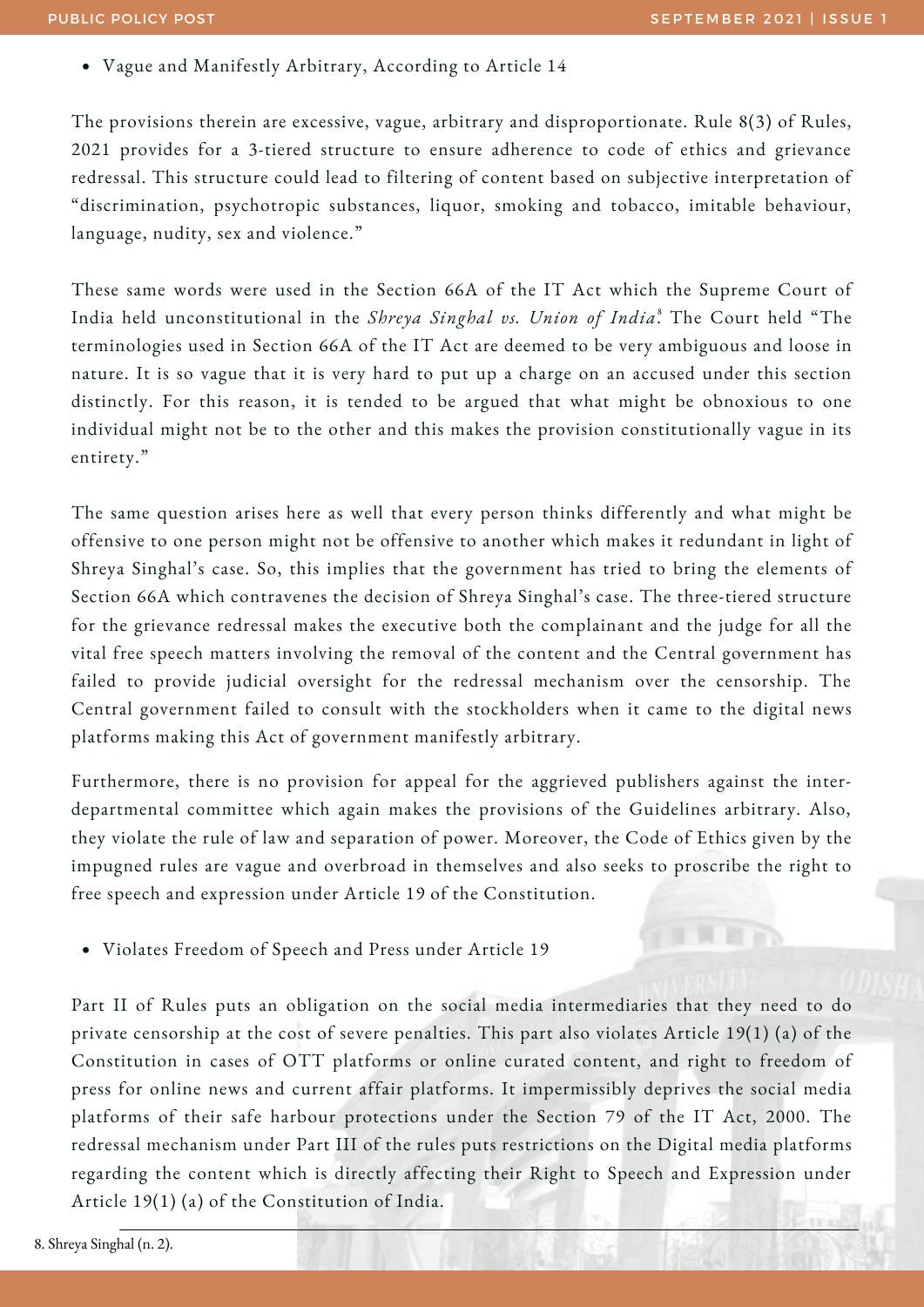Vague and Manifestly Arbitrary, According to Article 14

The provisions therein are excessive, vague, arbitrary and disproportionate. Rule 8(3) of Rules, 2021 provides for a 3-tiered structure to ensure adherence to code of ethics and grievance redressal. This structure could lead to filtering of content based on subjective interpretation of "discrimination, psychotropic substances, liquor, smoking and tobacco, imitable behaviour, language, nudity, sex and violence."

These same words were used in the Section 66A of the IT Act which the Supreme Court of India held unconstitutional in the *Shreya Singhal vs. Union of India*. The Court held "The 8 terminologies used in Section 66A of the IT Act are deemed to be very ambiguous and loose in nature. It is so vague that it is very hard to put up a charge on an accused under this section distinctly. For this reason, it is tended to be argued that what might be obnoxious to one individual might not be to the other and this makes the provision constitutionally vague in its entirety."

The same question arises here as well that every person thinks differently and what might be offensive to one person might not be offensive to another which makes it redundant in light of Shreya Singhal's case. So, this implies that the government has tried to bring the elements of Section 66A which contravenes the decision of Shreya Singhal's case. The three-tiered structure for the grievance redressal makes the executive both the complainant and the judge for all the vital free speech matters involving the removal of the content and the Central government has failed to provide judicial oversight for the redressal mechanism over the censorship. The Central government failed to consult with the stockholders when it came to the digital news platforms making this Act of government manifestly arbitrary.

Furthermore, there is no provision for appeal for the aggrieved publishers against the interdepartmental committee which again makes the provisions of the Guidelines arbitrary. Also, they violate the rule of law and separation of power. Moreover, the Code of Ethics given by the impugned rules are vague and overbroad in themselves and also seeks to proscribe the right to free speech and expression under Article 19 of the Constitution.

Violates Freedom of Speech and Press under Article 19

Part II of Rules puts an obligation on the social media intermediaries that they need to do private censorship at the cost of severe penalties. This part also violates Article 19(1) (a) of the Constitution in cases of OTT platforms or online curated content, and right to freedom of press for online news and current affair platforms. It impermissibly deprives the social media platforms of their safe harbour protections under the Section 79 of the IT Act, 2000. The redressal mechanism under Part III of the rules puts restrictions on the Digital media platforms regarding the content which is directly affecting their Right to Speech and Expression under Article 19(1) (a) of the Constitution of India.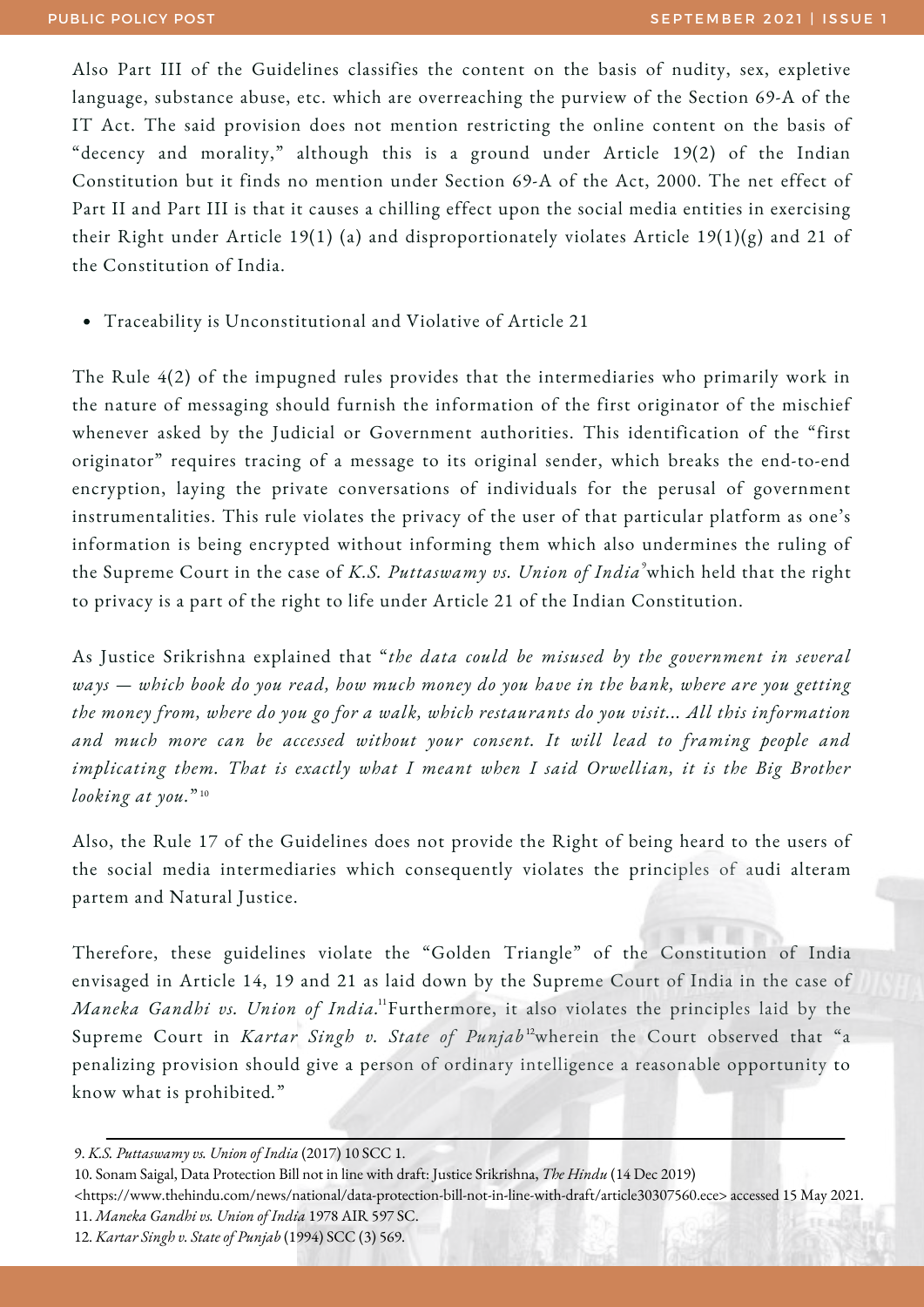Also Part III of the Guidelines classifies the content on the basis of nudity, sex, expletive language, substance abuse, etc. which are overreaching the purview of the Section 69-A of the IT Act. The said provision does not mention restricting the online content on the basis of "decency and morality," although this is a ground under Article 19(2) of the Indian Constitution but it finds no mention under Section 69-A of the Act, 2000. The net effect of Part II and Part III is that it causes a chilling effect upon the social media entities in exercising their Right under Article 19(1) (a) and disproportionately violates Article 19(1)(g) and 21 of the Constitution of India.

Traceability is Unconstitutional and Violative of Article 21

The Rule 4(2) of the impugned rules provides that the intermediaries who primarily work in the nature of messaging should furnish the information of the first originator of the mischief whenever asked by the Judicial or Government authorities. This identification of the "first originator" requires tracing of a message to its original sender, which breaks the end-to-end encryption, laying the private conversations of individuals for the perusal of government instrumentalities. This rule violates the privacy of the user of that particular platform as one's information is being encrypted without informing them which also undermines the ruling of the Supreme Court in the case of *K.S. Puttaswamy vs. Union of India* which held that the right 9 to privacy is a part of the right to life under Article 21 of the Indian Constitution.

As Justice Srikrishna explained that "*the data could be misused by the government in several* ways – which book do you read, how much money do you have in the bank, where are you getting *the money from, where do you go for a walk, which restaurants do you visit... All this information and much more can be accessed without your consent. It will lead to framing people and implicating them. That is exactly what I meant when I said Orwellian, it is the Big Brother looking at you.*" 10

Also, the Rule 17 of the Guidelines does not provide the Right of being heard to the users of the social media intermediaries which consequently violates the principles of audi alteram partem and Natural Justice.

Therefore, these guidelines violate the "Golden Triangle" of the Constitution of India envisaged in Article 14, 19 and 21 as laid down by the Supreme Court of India in the case of *Maneka Gandhi vs. Union of India.* Furthermore, it also violates the principles laid by the 11 Supreme Court in *Kartar Singh v. State of Punjab*<sup>12</sup> wherein the Court observed that "a penalizing provision should give a person of ordinary intelligence a reasonable opportunity to know what is prohibited*.*"

- 10. Sonam Saigal, Data Protection Bill not in line with draft: Justice Srikrishna, *The Hindu* (14 Dec 2019)
- [<https://www.thehindu.com/news/national/data-protection-bill-not-in-line-with-draft/article30307560.ece](https://www.thehindu.com/news/national/data-protection-bill-not-in-line-with-draft/article30307560.ece)> accessed 15 May 2021.
- 11. *Maneka Gandhi vs. Union of India* 1978 AIR 597 SC.
- 12. *Kartar Singh v. State of Punjab* (1994) SCC (3) 569.

<sup>9.</sup> *K.S. Puttaswamy vs. Union of India* (2017) 10 SCC 1.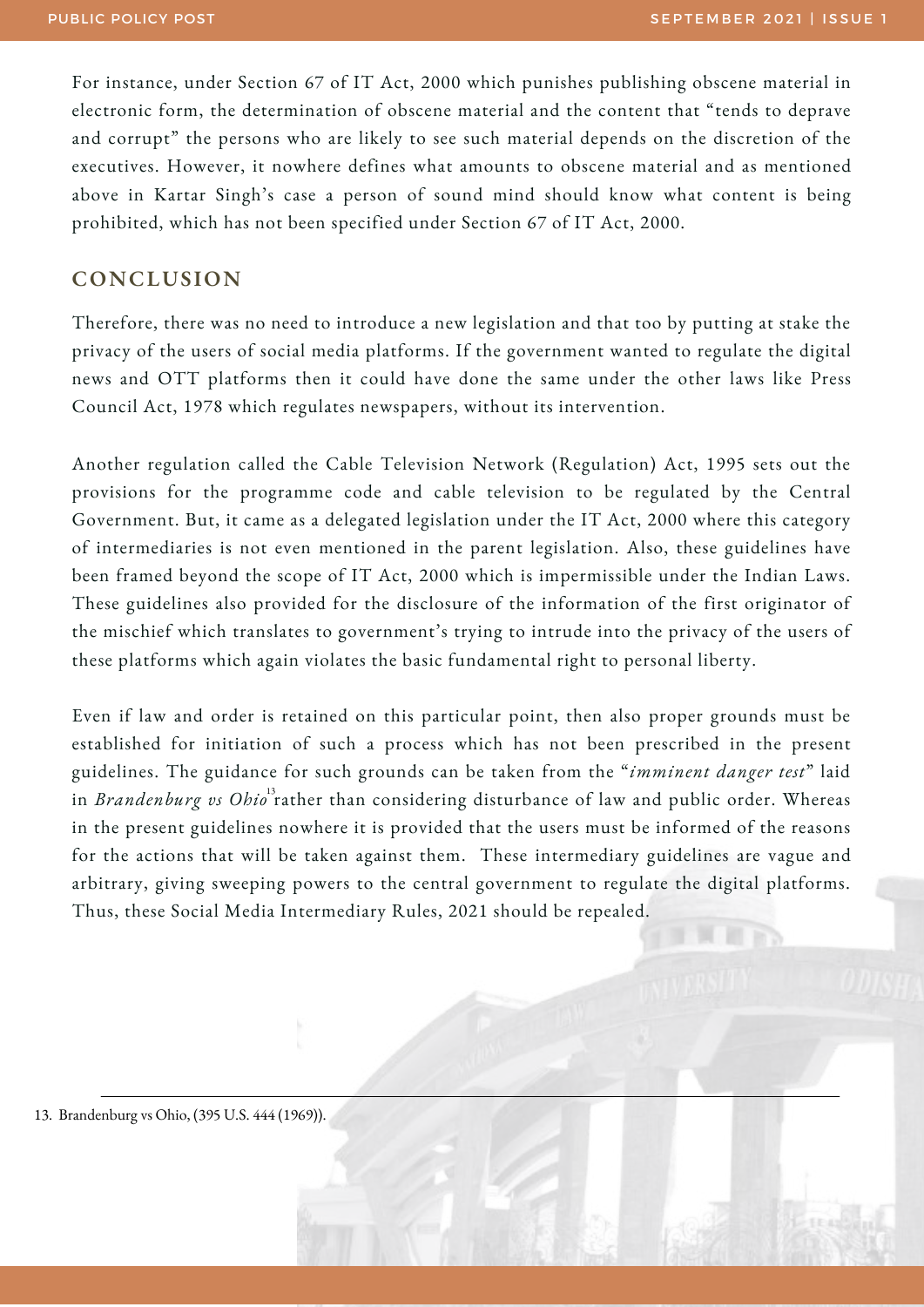**NUMBER** 

For instance, under Section 67 of IT Act, 2000 which punishes publishing obscene material in electronic form, the determination of obscene material and the content that "tends to deprave and corrupt" the persons who are likely to see such material depends on the discretion of the executives. However, it nowhere defines what amounts to obscene material and as mentioned above in Kartar Singh's case a person of sound mind should know what content is being prohibited, which has not been specified under Section 67 of IT Act, 2000.

#### **CONCLUSION**

Therefore, there was no need to introduce a new legislation and that too by putting at stake the privacy of the users of social media platforms. If the government wanted to regulate the digital news and OTT platforms then it could have done the same under the other laws like Press Council Act, 1978 which regulates newspapers, without its intervention.

Another regulation called the Cable Television Network (Regulation) Act, 1995 sets out the provisions for the programme code and cable television to be regulated by the Central Government. But, it came as a delegated legislation under the IT Act, 2000 where this category of intermediaries is not even mentioned in the parent legislation. Also, these guidelines have been framed beyond the scope of IT Act, 2000 which is impermissible under the Indian Laws. These guidelines also provided for the disclosure of the information of the first originator of the mischief which translates to government's trying to intrude into the privacy of the users of these platforms which again violates the basic fundamental right to personal liberty.

Even if law and order is retained on this particular point, then also proper grounds must be established for initiation of such a process which has not been prescribed in the present guidelines. The guidance for such grounds can be taken from the "*imminent danger test*" laid in *Brandenburg vs Ohio* rather than considering disturbance of law and public order. Whereas 13 in the present guidelines nowhere it is provided that the users must be informed of the reasons for the actions that will be taken against them. These intermediary guidelines are vague and arbitrary, giving sweeping powers to the central government to regulate the digital platforms. Thus, these Social Media Intermediary Rules, 2021 should be repealed.

13. Brandenburg vs Ohio, (395 U.S. 444 (1969)).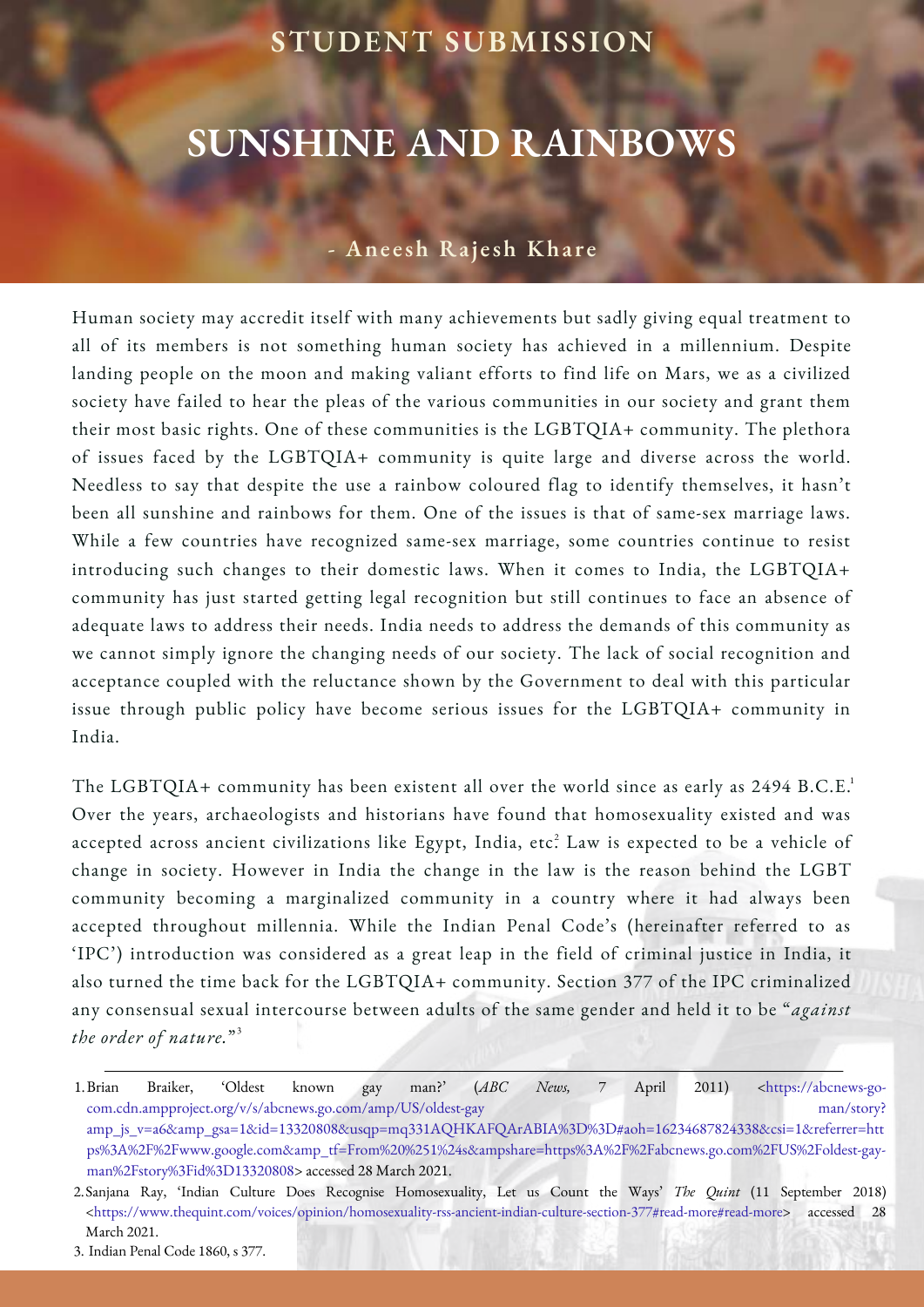#### **STUDENT SUBMISSION**

## **SUNSHINE AND RAINBOWS**

#### **- Ane e sh Ra j e sh Kha r e**

Human society may accredit itself with many achievements but sadly giving equal treatment to all of its members is not something human society has achieved in a millennium. Despite landing people on the moon and making valiant efforts to find life on Mars, we as a civilized society have failed to hear the pleas of the various communities in our society and grant them their most basic rights. One of these communities is the LGBTQIA+ community. The plethora of issues faced by the LGBTQIA+ community is quite large and diverse across the world. Needless to say that despite the use a rainbow coloured flag to identify themselves, it hasn't been all sunshine and rainbows for them. One of the issues is that of same-sex marriage laws. While a few countries have recognized same-sex marriage, some countries continue to resist introducing such changes to their domestic laws. When it comes to India, the LGBTQIA+ community has just started getting legal recognition but still continues to face an absence of adequate laws to address their needs. India needs to address the demands of this community as we cannot simply ignore the changing needs of our society. The lack of social recognition and acceptance coupled with the reluctance shown by the Government to deal with this particular issue through public policy have become serious issues for the LGBTQIA+ community in India.

The LGBTQIA+ community has been existent all over the world since as early as  $2494$  B.C.E. $^1$ Over the years, archaeologists and historians have found that homosexuality existed and was accepted across ancient civilizations like Egypt, India, etc? Law is expected to be a vehicle of change in society. However in India the change in the law is the reason behind the LGBT community becoming a marginalized community in a country where it had always been accepted throughout millennia. While the Indian Penal Code's (hereinafter referred to as 'IPC') introduction was considered as a great leap in the field of criminal justice in India, it also turned the time back for the LGBTQIA+ community. Section 377 of the IPC criminalized any consensual sexual intercourse between adults of the same gender and held it to be "*against the order of nature.*" 3

Braiker, 'Oldest known gay man?' (ABC News, 7 April 2011) <https://abcnews-gocom.cdn.ampproject.org/v/s/abcnews.go.com/amp/US/oldest-gay man/story? amp\_js\_v=a6&amp\_gsa=1&id=13320808&usqp=mq331AQHKAFQArABIA%3D%3D#aoh=16234687824338&csi=1&referrer=htt [ps%3A%2F%2Fwww.google.com&amp\\_tf=From%20%251%24s&ampshare=https%3A%2F%2Fabcnews.go.com%2FUS%2Foldest-gay](https://abcnews-go-com.cdn.ampproject.org/v/s/abcnews.go.com/amp/US/oldest-gay%20man/story?amp_js_v=a6&_gsa=1&id=13320808&usqp=mq331AQHKAFQArABIA%3D%3D#aoh=16234687824338&csi=1&referrer=https%3A%2F%2Fwww.google.com&_tf=From%20%251%24s&share=https%3A%2F%2Fabcnews.go.com%2FUS%2Foldest-gay-man%2Fstory%3Fid%3D13320808)man%2Fstory%3Fid%3D13320808> accessed 28 March 2021. 1.

Sanjana Ray, 'Indian Culture Does Recognise Homosexuality, Let us Count the Ways' *The Quint* (11 September 2018) 2. <[https://www.thequint.com/voices/opinion/homosexuality-rss-ancient-indian-culture-section-377#read-more#read-more](https://www.thequint.com/voices/opinion/homosexuality-rss-ancient-indian-culture-section-377#read-more)> accessed 28 March 2021.

<sup>3.</sup> Indian Penal Code 1860, s 377.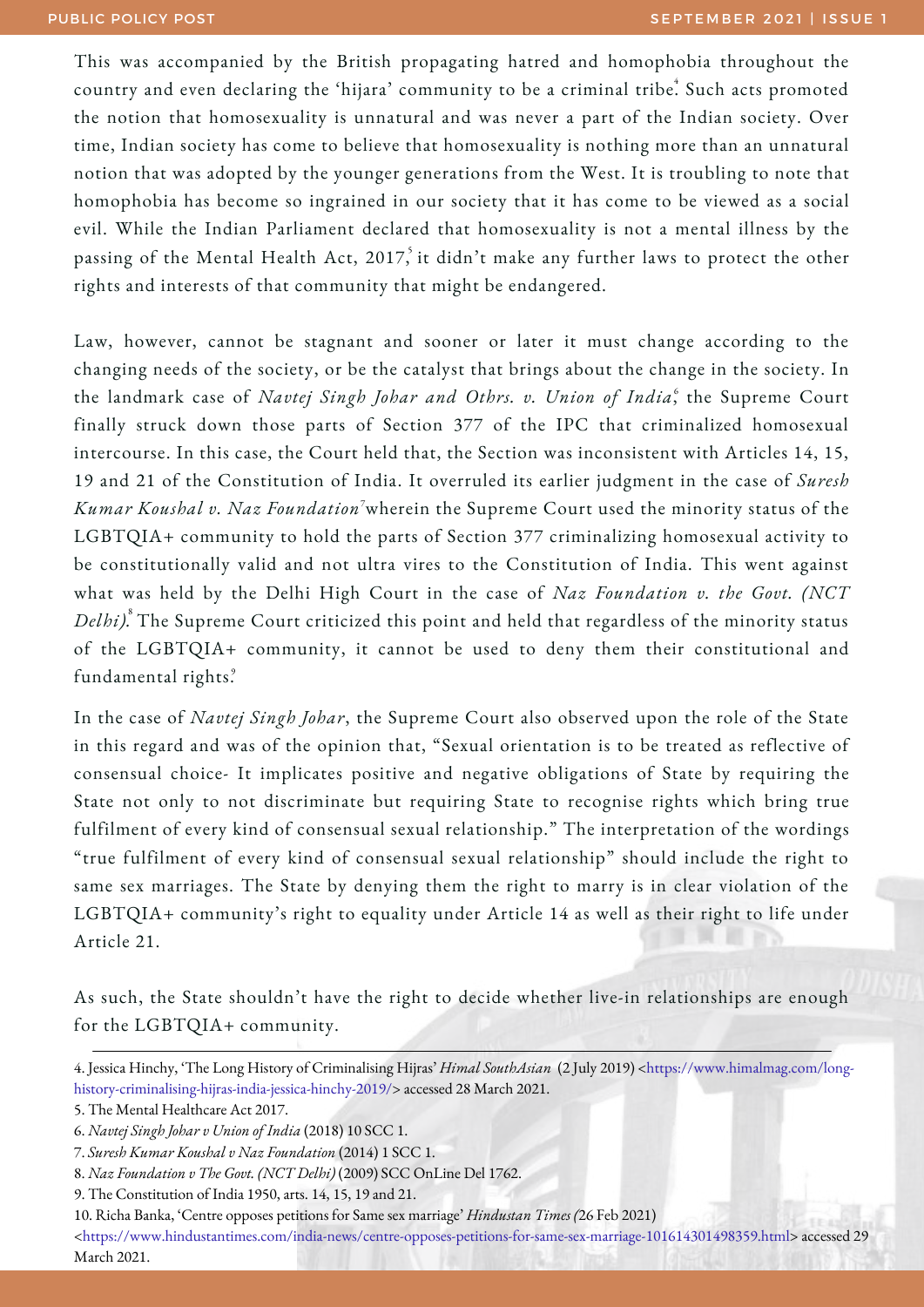This was accompanied by the British propagating hatred and homophobia throughout the country and even declaring the 'hijara' community to be a criminal tribe. Such acts promoted the notion that homosexuality is unnatural and was never a part of the Indian society. Over time, Indian society has come to believe that homosexuality is nothing more than an unnatural notion that was adopted by the younger generations from the West. It is troubling to note that homophobia has become so ingrained in our society that it has come to be viewed as a social evil. While the Indian Parliament declared that homosexuality is not a mental illness by the passing of the Mental Health Act, 2017, it didn't make any further laws to protect the other rights and interests of that community that might be endangered.

Law, however, cannot be stagnant and sooner or later it must change according to the changing needs of the society, or be the catalyst that brings about the change in the society. In the landmark case of *Navtej Singh Johar and Othrs. v. Union of India*, the Supreme Court 6 finally struck down those parts of Section 377 of the IPC that criminalized homosexual intercourse. In this case, the Court held that, the Section was inconsistent with Articles 14, 15, 19 and 21 of the Constitution of India. It overruled its earlier judgment in the case of *Suresh Kumar Koushal v. Naz Foundation* wherein the Supreme Court used the minority status of the 7 LGBTQIA+ community to hold the parts of Section 377 criminalizing homosexual activity to be constitutionally valid and not ultra vires to the Constitution of India. This went against what was held by the Delhi High Court in the case of *Naz Foundation v. the Govt. (NCT Delhi).* The Supreme Court criticized this point and held that regardless of the minority status 8 of the LGBTQIA+ community, it cannot be used to deny them their constitutional and fundamental rights. 9

In the case of *Navtej Singh Johar*, the Supreme Court also observed upon the role of the State in this regard and was of the opinion that, "Sexual orientation is to be treated as reflective of consensual choice- It implicates positive and negative obligations of State by requiring the State not only to not discriminate but requiring State to recognise rights which bring true fulfilment of every kind of consensual sexual relationship." The interpretation of the wordings "true fulfilment of every kind of consensual sexual relationship" should include the right to same sex marriages. The State by denying them the right to marry is in clear violation of the LGBTQIA+ community's right to equality under Article 14 as well as their right to life under Article 21.

As such, the State shouldn't have the right to decide whether live-in relationships are enough for the LGBTQIA+ community.

[<https://www.hindustantimes.com/india-news/centre-opposes-petitions-for-same-sex-marriage-101614301498359.html](https://www.hindustantimes.com/india-news/centre-opposes-petitions-for-same-sex-marriage-101614301498359.html)> accessed 29 March 2021.

<sup>4.</sup> Jessica Hinchy, 'The Long History of Criminalising Hijras' *Himal SouthAsian* (2 July 2019) <https://www.himalmag.com/long[history-criminalising-hijras-india-jessica-hinchy-2019/>](https://www.himalmag.com/long-history-criminalising-hijras-india-jessica-hinchy-2019/) accessed 28 March 2021.

<sup>5.</sup> The Mental Healthcare Act 2017.

<sup>6.</sup> *Navtej Singh Johar v Union of India* (2018) 10 SCC 1.

<sup>7.</sup> *Suresh Kumar Koushal v Naz Foundation* (2014) 1 SCC 1.

<sup>8.</sup> *Naz Foundation v The Govt. (NCT Delhi)* (2009) SCC OnLine Del 1762.

<sup>9.</sup> The Constitution of India 1950, arts. 14, 15, 19 and 21.

<sup>10.</sup> Richa Banka, 'Centre opposes petitions for Same sex marriage' *Hindustan Times (*26 Feb 2021)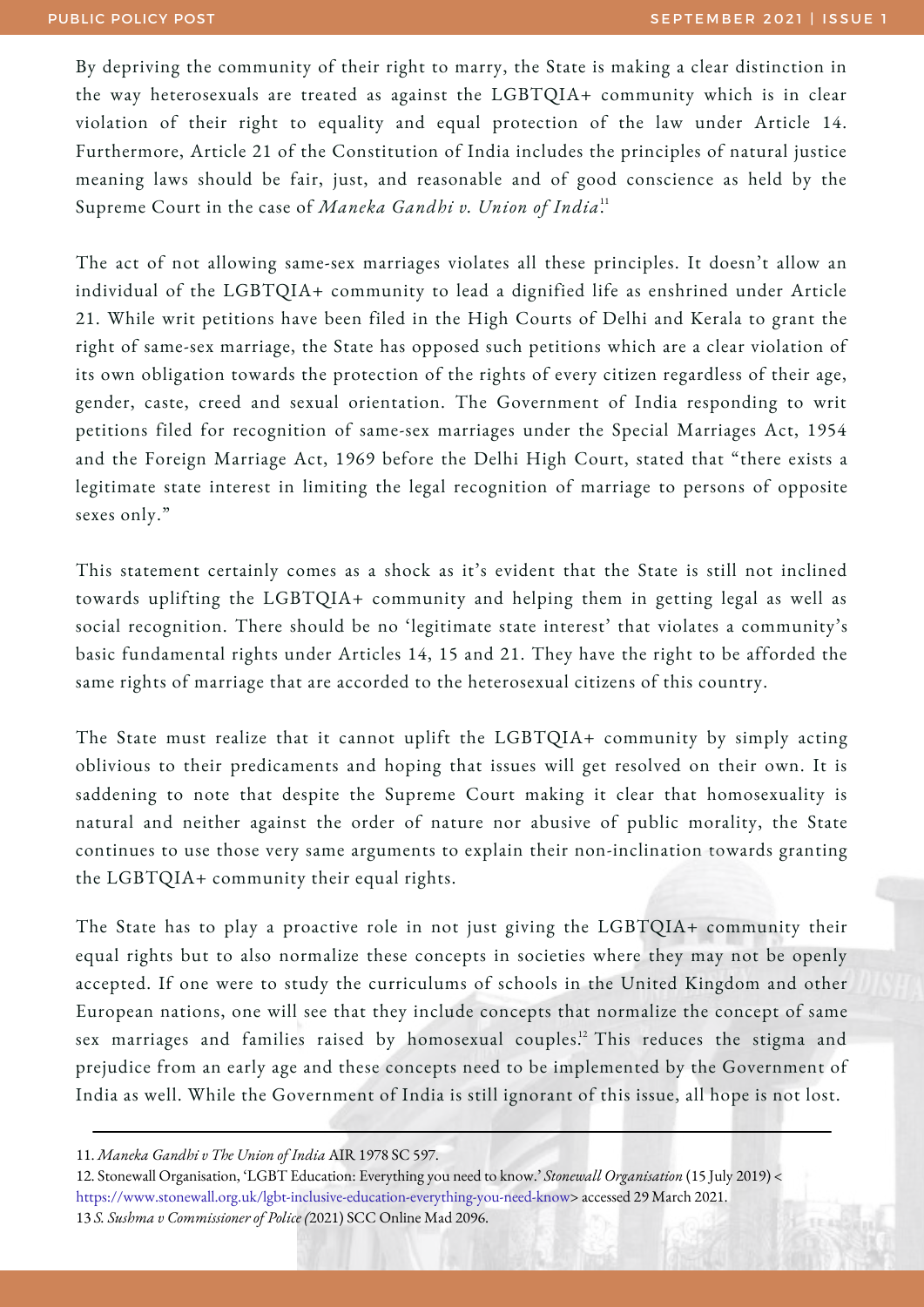By depriving the community of their right to marry, the State is making a clear distinction in the way heterosexuals are treated as against the LGBTQIA+ community which is in clear violation of their right to equality and equal protection of the law under Article 14. Furthermore, Article 21 of the Constitution of India includes the principles of natural justice meaning laws should be fair, just, and reasonable and of good conscience as held by the Supreme Court in the case of *Maneka Gandhi v. Union of India*. 11

The act of not allowing same-sex marriages violates all these principles. It doesn't allow an individual of the LGBTQIA+ community to lead a dignified life as enshrined under Article 21. While writ petitions have been filed in the High Courts of Delhi and Kerala to grant the right of same-sex marriage, the State has opposed such petitions which are a clear violation of its own obligation towards the protection of the rights of every citizen regardless of their age, gender, caste, creed and sexual orientation. The Government of India responding to writ petitions filed for recognition of same-sex marriages under the Special Marriages Act, 1954 and the Foreign Marriage Act, 1969 before the Delhi High Court, stated that "there exists a legitimate state interest in limiting the legal recognition of marriage to persons of opposite sexes only."

This statement certainly comes as a shock as it's evident that the State is still not inclined towards uplifting the LGBTQIA+ community and helping them in getting legal as well as social recognition. There should be no 'legitimate state interest' that violates a community's basic fundamental rights under Articles 14, 15 and 21. They have the right to be afforded the same rights of marriage that are accorded to the heterosexual citizens of this country.

The State must realize that it cannot uplift the LGBTQIA+ community by simply acting oblivious to their predicaments and hoping that issues will get resolved on their own. It is saddening to note that despite the Supreme Court making it clear that homosexuality is natural and neither against the order of nature nor abusive of public morality, the State continues to use those very same arguments to explain their non-inclination towards granting the LGBTQIA+ community their equal rights.

The State has to play a proactive role in not just giving the LGBTQIA+ community their equal rights but to also normalize these concepts in societies where they may not be openly accepted. If one were to study the curriculums of schools in the United Kingdom and other European nations, one will see that they include concepts that normalize the concept of same sex marriages and families raised by homosexual couples.<sup>12</sup> This reduces the stigma and prejudice from an early age and these concepts need to be implemented by the Government of India as well. While the Government of India is still ignorant of this issue, all hope is not lost.

12. Stonewall Organisation, 'LGBT Education: Everything you need to know.' *Stonewall Organisation* (15 July 2019) < <https://www.stonewall.org.uk/lgbt-inclusive-education-everything-you-need-know>> accessed 29 March 2021. 13 *S. Sushma v Commissioner of Police (*2021) SCC Online Mad 2096.

<sup>11.</sup> *Maneka Gandhi v The Union of India* AIR 1978 SC 597.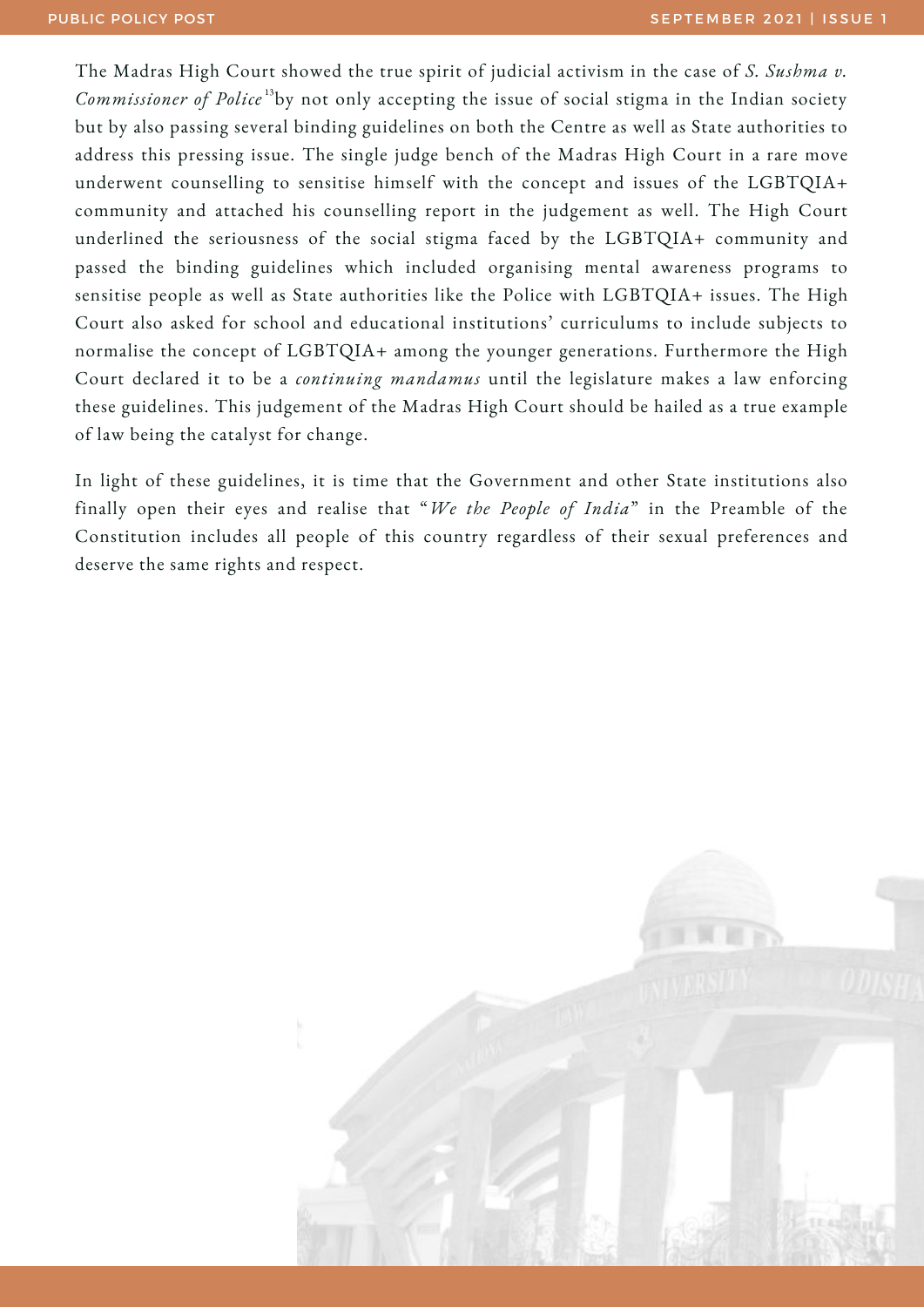The Madras High Court showed the true spirit of judicial activism in the case of *S. Sushma v.* Commissioner of Police<sup>13</sup>by not only accepting the issue of social stigma in the Indian society but by also passing several binding guidelines on both the Centre as well as State authorities to address this pressing issue. The single judge bench of the Madras High Court in a rare move underwent counselling to sensitise himself with the concept and issues of the LGBTQIA+ community and attached his counselling report in the judgement as well. The High Court underlined the seriousness of the social stigma faced by the LGBTQIA+ community and passed the binding guidelines which included organising mental awareness programs to sensitise people as well as State authorities like the Police with LGBTQIA+ issues. The High Court also asked for school and educational institutions' curriculums to include subjects to normalise the concept of LGBTQIA+ among the younger generations. Furthermore the High Court declared it to be a *continuing mandamus* until the legislature makes a law enforcing these guidelines. This judgement of the Madras High Court should be hailed as a true example of law being the catalyst for change.

In light of these guidelines, it is time that the Government and other State institutions also finally open their eyes and realise that "*We the People of India*" in the Preamble of the Constitution includes all people of this country regardless of their sexual preferences and deserve the same rights and respect.

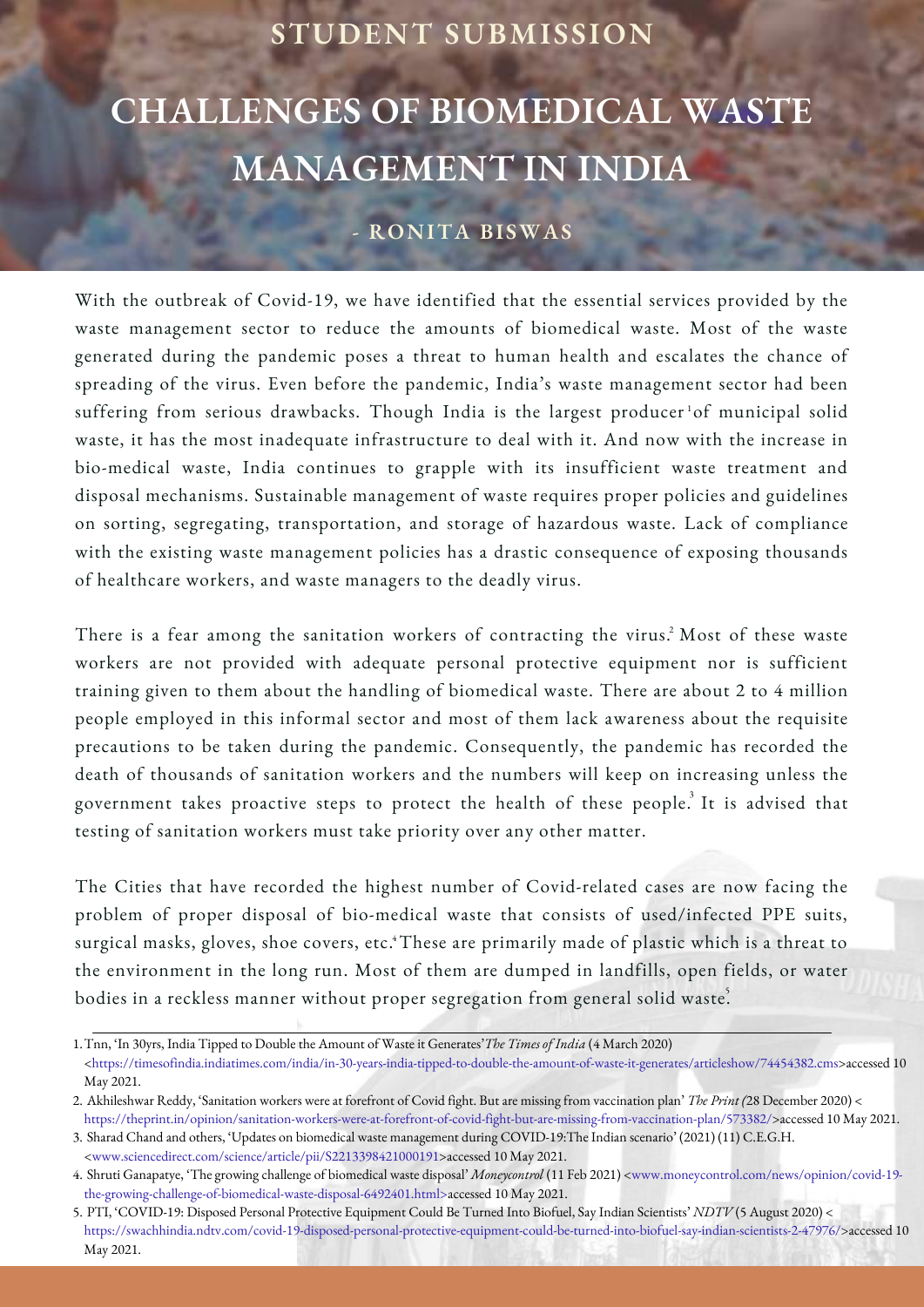#### **STUDENT SUBMISSION**

## **CHALLENGES OF BIOMEDICAL WASTE MANAGEMENT IN INDIA**

#### **- RONITA BISWAS**

With the outbreak of Covid-19, we have identified that the essential services provided by the waste management sector to reduce the amounts of biomedical waste. Most of the waste generated during the pandemic poses a threat to human health and escalates the chance of spreading of the virus. Even before the pandemic, India's waste management sector had been suffering from serious drawbacks. Though India is the largest producer<sup>1</sup>of municipal solid waste, it has the most inadequate infrastructure to deal with it. And now with the increase in bio-medical waste, India continues to grapple with its insufficient waste treatment and disposal mechanisms. Sustainable management of waste requires proper policies and guidelines on sorting, segregating, transportation, and storage of hazardous waste. Lack of compliance with the existing waste management policies has a drastic consequence of exposing thousands of healthcare workers, and waste managers to the deadly virus.

There is a fear among the sanitation workers of contracting the virus.<sup>2</sup> Most of these waste workers are not provided with adequate personal protective equipment nor is sufficient training given to them about the handling of biomedical waste. There are about 2 to 4 million people employed in this informal sector and most of them lack awareness about the requisite precautions to be taken during the pandemic. Consequently, the pandemic has recorded the death of thousands of sanitation workers and the numbers will keep on increasing unless the government takes proactive steps to protect the health of these people. $^3$  It is advised that testing of sanitation workers must take priority over any other matter.

The Cities that have recorded the highest number of Covid-related cases are now facing the problem of proper disposal of bio-medical waste that consists of used/infected PPE suits, surgical masks, gloves, shoe covers, etc. $^4$ These are primarily made of plastic which is a threat to the environment in the long run. Most of them are dumped in landfills, open fields, or water bodies in a reckless manner without proper segregation from general solid waste.

[<https://timesofindia.indiatimes.com/india/in-30-years-india-tipped-to-double-the-amount-of-waste-it-generates/articleshow/74454382.cms](https://timesofindia.indiatimes.com/india/in-30-years-india-tipped-to-double-the-amount-of-waste-it-generates/articleshow/74454382.cms)>accessed 10 May 2021.

Tnn, 'In 30yrs, India Tipped to Double the Amount of Waste it Generates'*The Times of India* (4 March 2020) 1.

Akhileshwar Reddy, 'Sanitation workers were at forefront of Covid fight. But are missing from vaccination plan' *The Print (*28 December 2020) < 2. https://theprint.in/opinion/sanitation-workers-were-at-forefront-of-covid-fight-but-are-missing-from-vaccination-plan/573382/>accessed 10 May 2021.

Sharad Chand and others, 'Updates on biomedical waste management during COVID-19:The Indian scenario' (2021) (11) C.E.G.H. 3. <www.sciencedirect.com/science/article/pii/S2213398421000191>accessed 10 May 2021.

Shruti Ganapatye, 'The growing challenge of biomedical waste disposal' *Moneycontrol* (11 Feb 2021) <www.moneycontrol.com/news/opinion/covid-19- 4. the-growing-challenge-of-biomedical-waste-disposal-6492401.html>accessed 10 May 2021.

PTI, 'COVID-19: Disposed Personal Protective Equipment Could Be Turned Into Biofuel, Say Indian Scientists' *NDTV* (5 August 2020) < 5. https://swachhindia.ndtv.com/covid-19-disposed-personal-protective-equipment-could-be-turned-into-biofuel-say-indian-scientists-2-47976/>accessed 10 May 2021.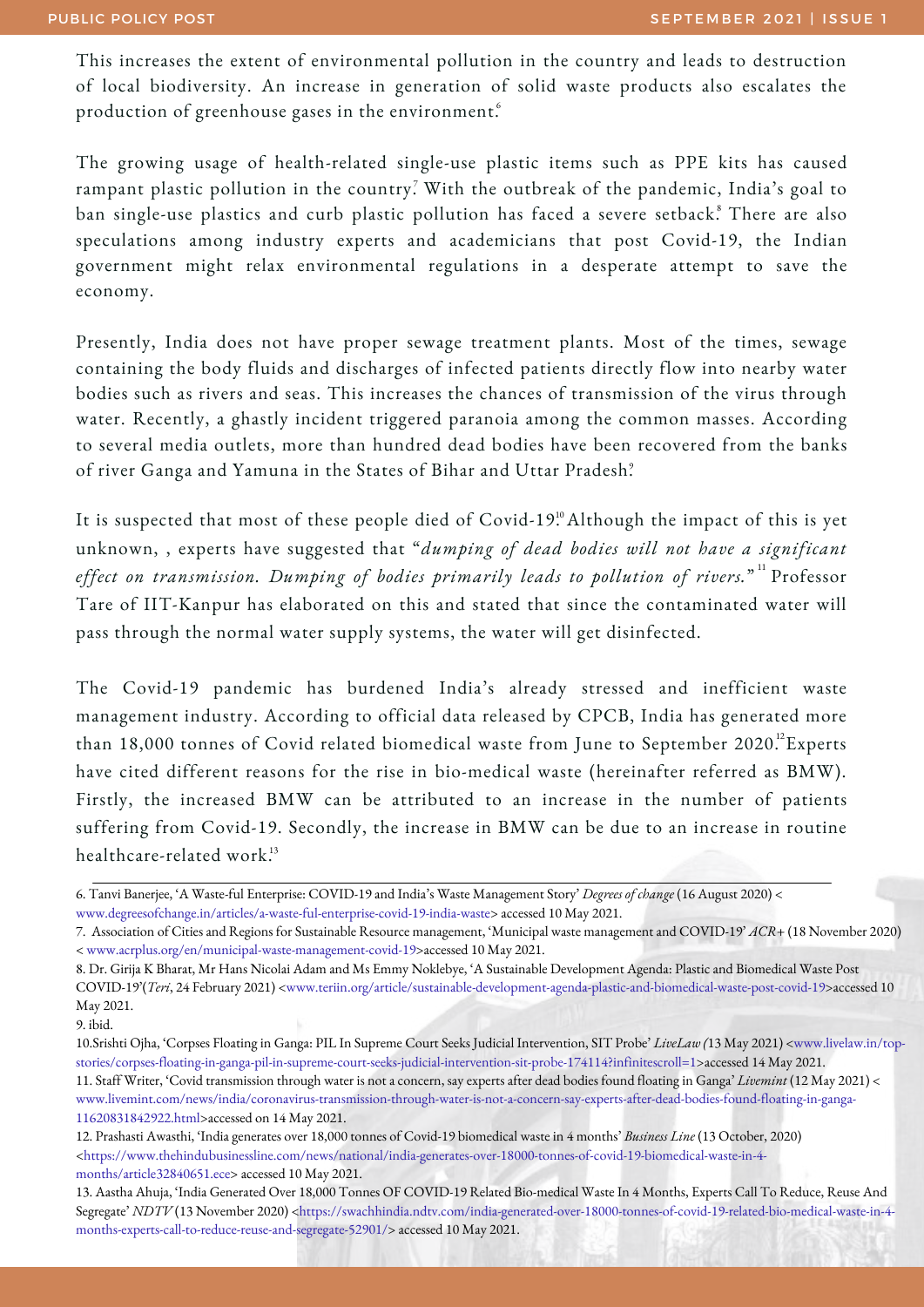This increases the extent of environmental pollution in the country and leads to destruction of local biodiversity. An increase in generation of solid waste products also escalates the production of greenhouse gases in the environment. $\hat{\mathbf{f}}$ 

The growing usage of health-related single-use plastic items such as PPE kits has caused rampant plastic pollution in the country? With the outbreak of the pandemic, India's goal to ban single-use plastics and curb plastic pollution has faced a severe setback.<sup>8</sup> There are also speculations among industry experts and academicians that post Covid-19, the Indian government might relax environmental regulations in a desperate attempt to save the economy.

Presently, India does not have proper sewage treatment plants. Most of the times, sewage containing the body fluids and discharges of infected patients directly flow into nearby water bodies such as rivers and seas. This increases the chances of transmission of the virus through water. Recently, a ghastly incident triggered paranoia among the common masses. According to several media outlets, more than hundred dead bodies have been recovered from the banks of river Ganga and Yamuna in the States of Bihar and Uttar Pradesh. 9

It is suspected that most of these people died of Covid-19.º Although the impact of this is yet unknown, , experts have suggested that "*dumping of dead bodies will not have a significant effect on transmission. Dumping of bodies primarily leads to pollution of rivers.*" Professor 11 Tare of IIT-Kanpur has elaborated on this and stated that since the contaminated water will pass through the normal water supply systems, the water will get disinfected.

The Covid-19 pandemic has burdened India's already stressed and inefficient waste management industry. According to official data released by CPCB, India has generated more than 18,000 tonnes of Covid related biomedical waste from June to September 2020.  $^2$ Experts have cited different reasons for the rise in bio-medical waste (hereinafter referred as BMW). Firstly, the increased BMW can be attributed to an increase in the number of patients suffering from Covid-19. Secondly, the increase in BMW can be due to an increase in routine healthcare-related work. 13

<sup>6.</sup> Tanvi Banerjee, 'A Waste-ful Enterprise: COVID-19 and India's Waste Management Story' *Degrees of change* (16 August 2020) < [www.degreesofchange.in/articles/a-waste-ful-enterprise-covid-19-india-waste](http://www.degreesofchange.in/articles/a-waste-ful-enterprise-covid-19-india-waste)> accessed 10 May 2021.

<sup>7.</sup> Association of Cities and Regions for Sustainable Resource management, 'Municipal waste management and COVID-19' *ACR+* (18 November 2020) < [www.acrplus.org/en/municipal-waste-management-covid-19](http://www.acrplus.org/en/municipal-waste-management-covid-19)>accessed 10 May 2021.

<sup>8.</sup> Dr. Girija K Bharat, Mr Hans Nicolai Adam and Ms Emmy Noklebye, 'A Sustainable Development Agenda: Plastic and Biomedical Waste Post COVID-19'(Teri, 24 February 2021) <[www.teriin.org/article/sustainable-development-agenda-plastic-and-biomedical-waste-post-covid-19](http://www.teriin.org/article/sustainable-development-agenda-plastic-and-biomedical-waste-post-covid-19)>accessed 10 May 2021.

<sup>9.</sup> ibid.

<sup>10.</sup>Srishti Ojha, 'Corpses Floating in Ganga: PIL In Supreme Court Seeks Judicial Intervention, SIT Probe' *LiveLaw (*13 May 2021) <www.livelaw.in/top[stories/corpses-floating-in-ganga-pil-in-supreme-court-seeks-judicial-intervention-sit-probe-174114?infinitescroll=1>accessed](http://www.livelaw.in/top-stories/corpses-floating-in-ganga-pil-in-supreme-court-seeks-judicial-intervention-sit-probe-174114?infinitescroll=1) 14 May 2021. 11. Staff Writer, 'Covid transmission through water is not a concern, say experts after dead bodies found floating in Ganga' *Livemint* (12 May 2021) < [www.livemint.com/news/india/coronavirus-transmission-through-water-is-not-a-concern-say-experts-after-dead-bodies-found-floating-in-ganga-](http://www.livemint.com/news/india/coronavirus-transmission-through-water-is-not-a-concern-say-experts-after-dead-bodies-found-floating-in-ganga-11620831842922.html)11620831842922.html>accessed on 14 May 2021.

<sup>12.</sup> Prashasti Awasthi, 'India generates over 18,000 tonnes of Covid-19 biomedical waste in 4 months' *Business Line* (13 October, 2020) [<https://www.thehindubusinessline.com/news/national/india-generates-over-18000-tonnes-of-covid-19-biomedical-waste-in-4](https://www.thehindubusinessline.com/news/national/india-generates-over-18000-tonnes-of-covid-19-biomedical-waste-in-4-months/article32840651.ece) months/article32840651.ece> accessed 10 May 2021.

<sup>13.</sup> Aastha Ahuja, 'India Generated Over 18,000 Tonnes OF COVID-19 Related Bio-medical Waste In 4 Months, Experts Call To Reduce, Reuse And Segregate' *NDTV* (13 November 2020) [<https://swachhindia.ndtv.com/india-generated-over-18000-tonnes-of-covid-19-related-bio-medical-waste-in-4](https://swachhindia.ndtv.com/india-generated-over-18000-tonnes-of-covid-19-related-bio-medical-waste-in-4-months-experts-call-to-reduce-reuse-and-segregate-52901/) months-experts-call-to-reduce-reuse-and-segregate-52901/> accessed 10 May 2021.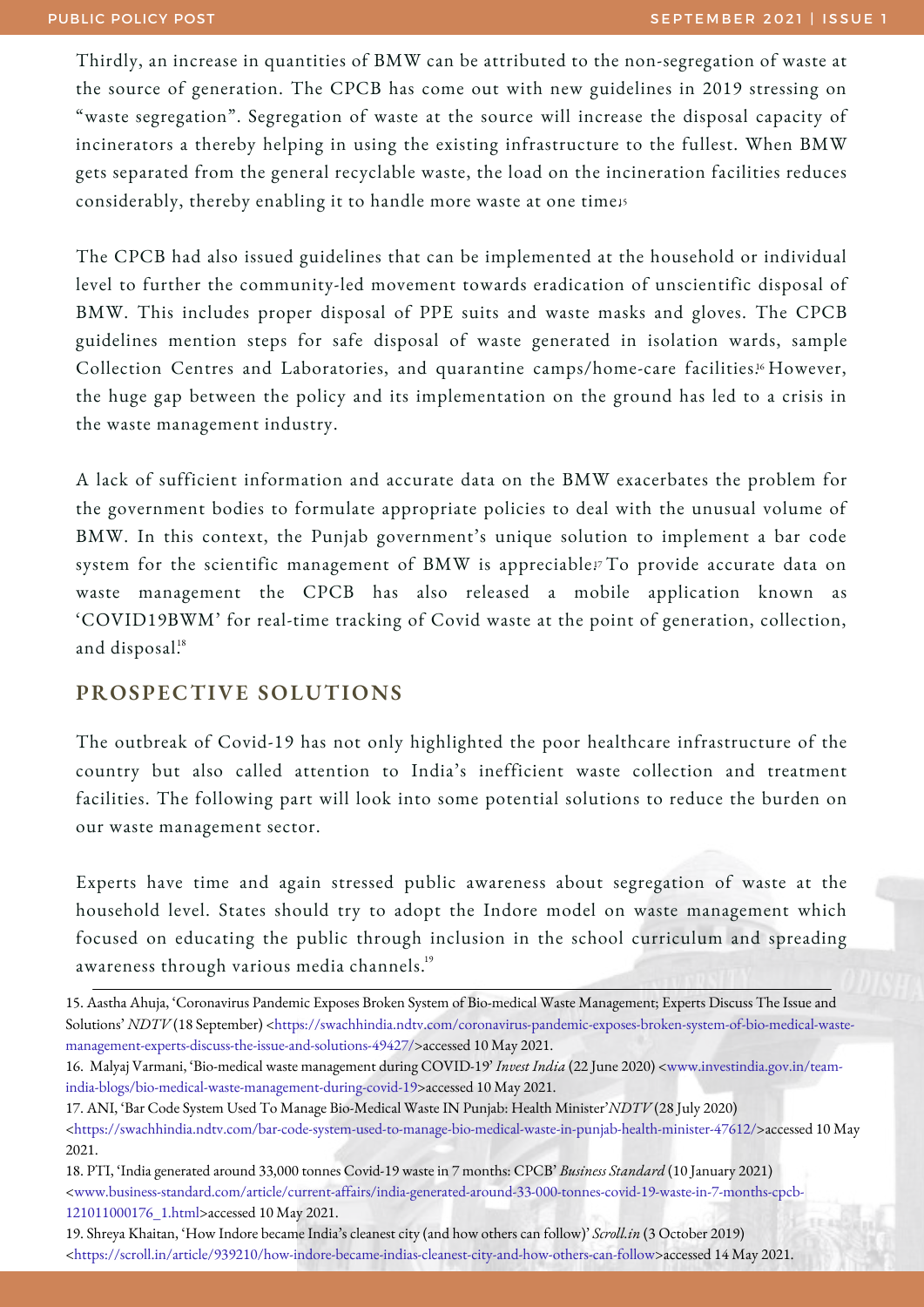Thirdly, an increase in quantities of BMW can be attributed to the non-segregation of waste at the source of generation. The CPCB has come out with new guidelines in 2019 stressing on "waste segregation". Segregation of waste at the source will increase the disposal capacity of incinerators a thereby helping in using the existing infrastructure to the fullest. When BMW gets separated from the general recyclable waste, the load on the incineration facilities reduces considerably, thereby enabling it to handle more waste at one time15

The CPCB had also issued guidelines that can be implemented at the household or individual level to further the community-led movement towards eradication of unscientific disposal of BMW. This includes proper disposal of PPE suits and waste masks and gloves. The CPCB guidelines mention steps for safe disposal of waste generated in isolation wards, sample Collection Centres and Laboratories, and quarantine camps/home-care facilities.<sup>16</sup> However, the huge gap between the policy and its implementation on the ground has led to a crisis in the waste management industry.

A lack of sufficient information and accurate data on the BMW exacerbates the problem for the government bodies to formulate appropriate policies to deal with the unusual volume of BMW. In this context, the Punjab government's unique solution to implement a bar code system for the scientific management of  $\rm{BMW}$  is appreciable!<sup>,</sup> To provide accurate data on waste management the CPCB has also released a mobile application known as 'COVID19BWM' for real-time tracking of Covid waste at the point of generation, collection, and disposal. 18

#### **PROSPECTIVE SOLUTIONS**

The outbreak of Covid-19 has not only highlighted the poor healthcare infrastructure of the country but also called attention to India's inefficient waste collection and treatment facilities. The following part will look into some potential solutions to reduce the burden on our waste management sector.

Experts have time and again stressed public awareness about segregation of waste at the household level. States should try to adopt the Indore model on waste management which focused on educating the public through inclusion in the school curriculum and spreading awareness through various media channels.<sup>19</sup>

15. Aastha Ahuja, 'Coronavirus Pandemic Exposes Broken System of Bio-medical Waste Management; Experts Discuss The Issueand Solutions' *NDTV* (18 September) [<https://swachhindia.ndtv.com/coronavirus-pandemic-exposes-broken-system-of-bio-medical-waste](https://swachhindia.ndtv.com/coronavirus-pandemic-exposes-broken-system-of-bio-medical-waste-management-experts-discuss-the-issue-and-solutions-49427/)management-experts-discuss-the-issue-and-solutions-49427/>accessed 10 May 2021.

- 18. PTI, 'India generated around 33,000 tonnes Covid-19 waste in 7 months: CPCB' *Business Standard* (10 January 2021) [<www.business-standard.com/article/current-affairs/india-generated-around-33-000-tonnes-covid-19-waste-in-7-months-cpcb-](http://www.business-standard.com/article/current-affairs/india-generated-around-33-000-tonnes-covid-19-waste-in-7-months-cpcb-121011000176_1.html)121011000176\_1.html>accessed 10 May 2021.
- 19. Shreya Khaitan, 'How Indore became India's cleanest city (and how others can follow)' *Scroll.in* (3 October 2019) <<https://scroll.in/article/939210/how-indore-became-indias-cleanest-city-and-how-others-can-follow>>accessed 14 May 2021.

<sup>16.</sup> Malyaj Varmani, 'Bio-medical waste management during COVID-19' *Invest India* (22 June 2020) <www.investindia.gov.in/team[india-blogs/bio-medical-waste-management-during-covid-19>accessed](http://www.investindia.gov.in/team-india-blogs/bio-medical-waste-management-during-covid-19) 10 May 2021.

<sup>17.</sup> ANI, 'Bar Code System Used To Manage Bio-Medical Waste IN Punjab: Health Minister'*NDTV* (28 July 2020) <<https://swachhindia.ndtv.com/bar-code-system-used-to-manage-bio-medical-waste-in-punjab-health-minister-47612/>>accessed 10 May 2021.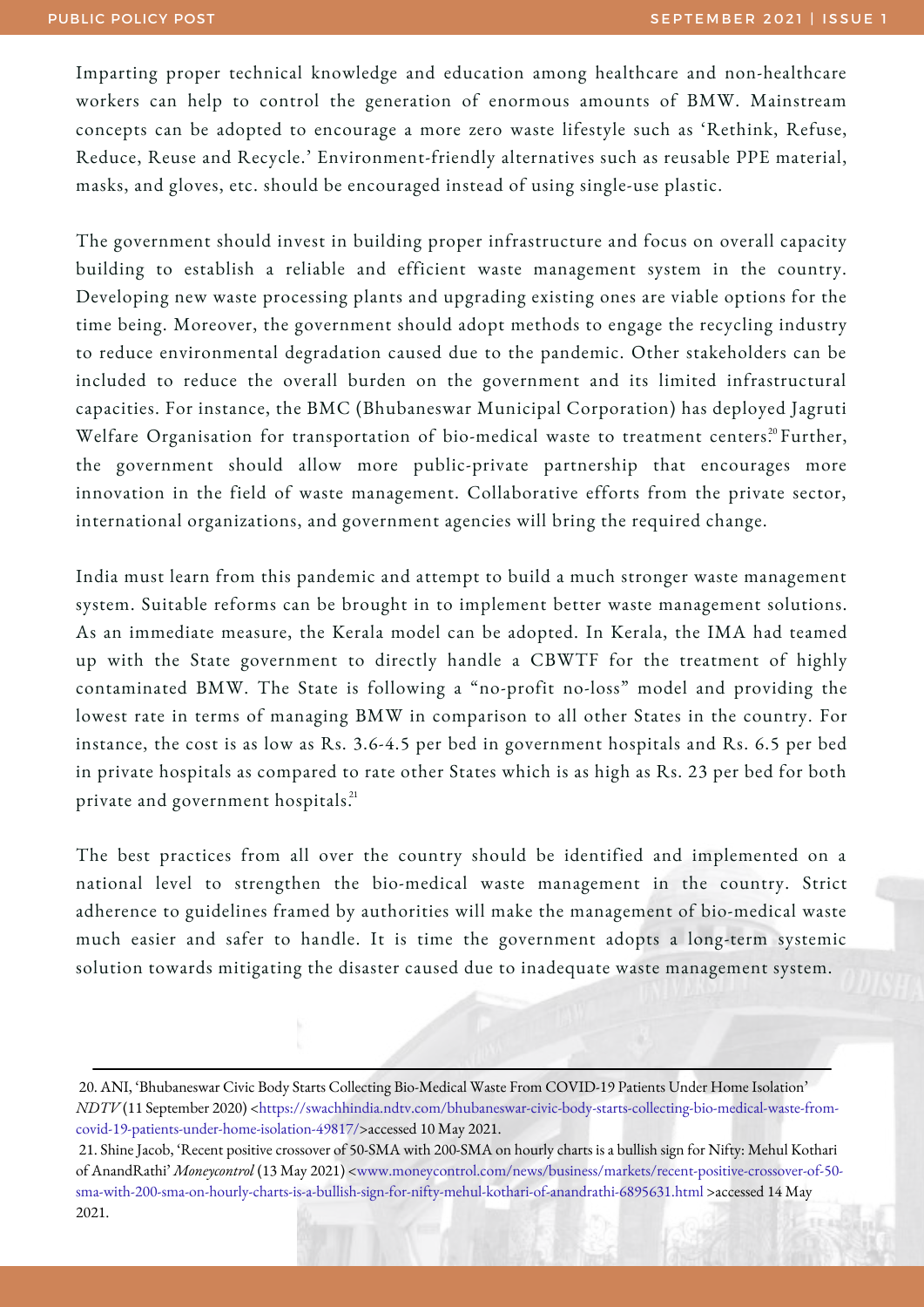Imparting proper technical knowledge and education among healthcare and non-healthcare workers can help to control the generation of enormous amounts of BMW. Mainstream concepts can be adopted to encourage a more zero waste lifestyle such as 'Rethink, Refuse, Reduce, Reuse and Recycle.' Environment-friendly alternatives such as reusable PPE material, masks, and gloves, etc. should be encouraged instead of using single-use plastic.

The government should invest in building proper infrastructure and focus on overall capacity building to establish a reliable and efficient waste management system in the country. Developing new waste processing plants and upgrading existing ones are viable options for the time being. Moreover, the government should adopt methods to engage the recycling industry to reduce environmental degradation caused due to the pandemic. Other stakeholders can be included to reduce the overall burden on the government and its limited infrastructural capacities. For instance, the BMC (Bhubaneswar Municipal Corporation) has deployed Jagruti Welfare Organisation for transportation of bio-medical waste to treatment centers. $^{\text{20}}$ Further, the government should allow more public-private partnership that encourages more innovation in the field of waste management. Collaborative efforts from the private sector, international organizations, and government agencies will bring the required change.

India must learn from this pandemic and attempt to build a much stronger waste management system. Suitable reforms can be brought in to implement better waste management solutions. As an immediate measure, the Kerala model can be adopted. In Kerala, the IMA had teamed up with the State government to directly handle a CBWTF for the treatment of highly contaminated BMW. The State is following a "no-profit no-loss" model and providing the lowest rate in terms of managing BMW in comparison to all other States in the country. For instance, the cost is as low as Rs. 3.6-4.5 per bed in government hospitals and Rs. 6.5 per bed in private hospitals as compared to rate other States which is as high as Rs. 23 per bed for both private and government hospitals.<sup>21</sup>

The best practices from all over the country should be identified and implemented on a national level to strengthen the bio-medical waste management in the country. Strict adherence to guidelines framed by authorities will make the management of bio-medical waste much easier and safer to handle. It is time the government adopts a long-term systemic solution towards mitigating the disaster caused due to inadequate waste management system.

<sup>20.</sup> ANI, 'Bhubaneswar Civic Body Starts Collecting Bio-Medical Waste From COVID-19 Patients Under Home Isolation' *NDTV* (11 September 2020) [<https://swachhindia.ndtv.com/bhubaneswar-civic-body-starts-collecting-bio-medical-waste-from](https://swachhindia.ndtv.com/bhubaneswar-civic-body-starts-collecting-bio-medical-waste-from-covid-19-patients-under-home-isolation-49817/)covid-19-patients-under-home-isolation-49817/>accessed 10 May 2021.

<sup>21.</sup> Shine Jacob, 'Recent positive crossover of 50-SMA with 200-SMA on hourly charts is a bullish sign for Nifty: Mehul Kothari of AnandRathi' *Moneycontrol* (13 May 2021) <www.moneycontrol.com/news/business/markets/recent-positive-crossover-of-50 [sma-with-200-sma-on-hourly-charts-is-a-bullish-sign-for-nifty-mehul-kothari-of-anandrathi-6895631.html](http://www.moneycontrol.com/news/business/markets/recent-positive-crossover-of-50-sma-with-200-sma-on-hourly-charts-is-a-bullish-sign-for-nifty-mehul-kothari-of-anandrathi-6895631.html) >accessed 14 May 2021.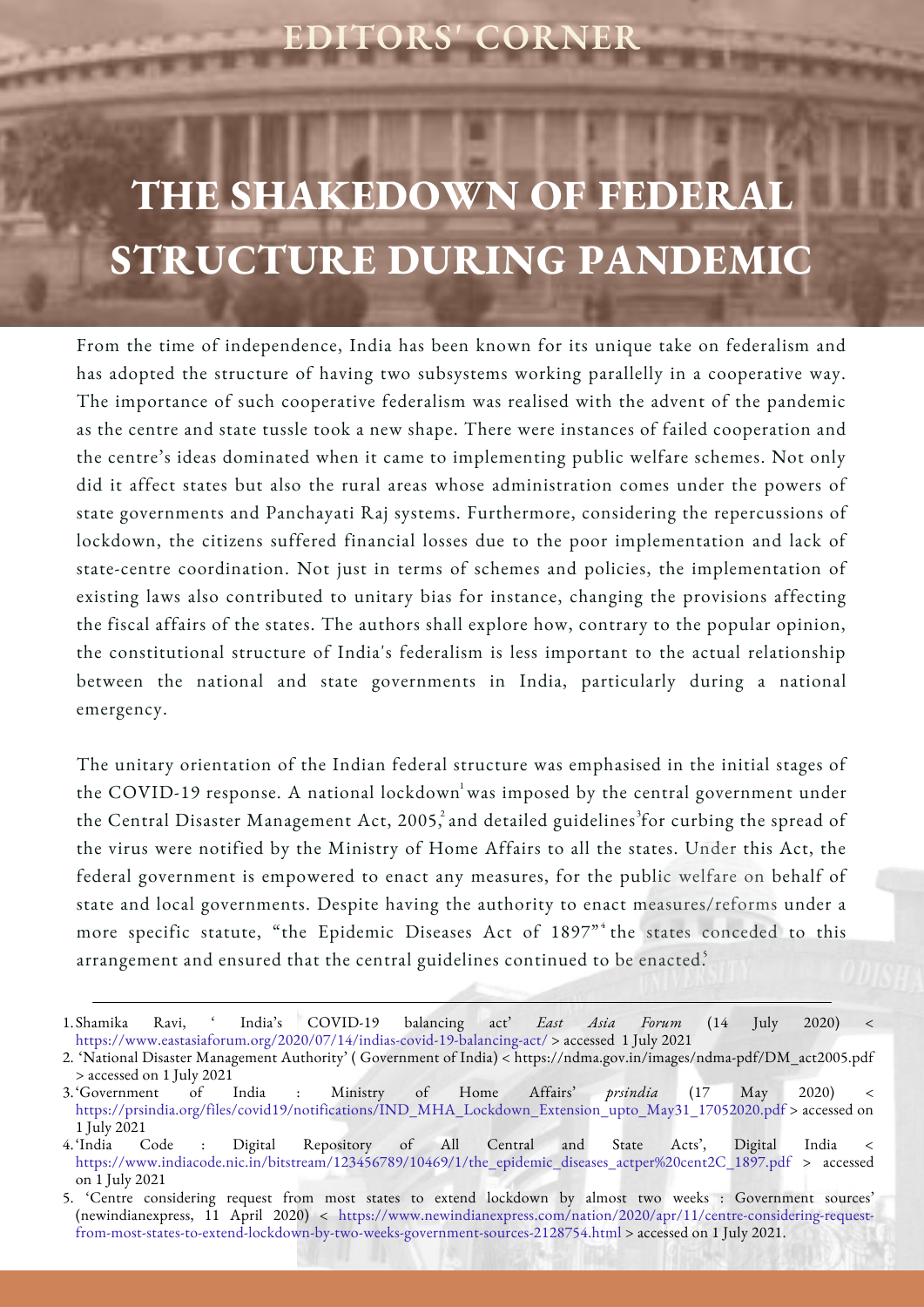## **EDITORS' CORNER**

## **THE SHAKEDOWN OF FEDERA STRUCTURE DURING PANDEMIC**

From the time of independence, India has been known for its unique take on federalism and has adopted the structure of having two subsystems working parallelly in a cooperative way. The importance of such cooperative federalism was realised with the advent of the pandemic as the centre and state tussle took a new shape. There were instances of failed cooperation and the centre's ideas dominated when it came to implementing public welfare schemes. Not only did it affect states but also the rural areas whose administration comes under the powers of state governments and Panchayati Raj systems. Furthermore, considering the repercussions of lockdown, the citizens suffered financial losses due to the poor implementation and lack of state-centre coordination. Not just in terms of schemes and policies, the implementation of existing laws also contributed to unitary bias for instance, changing the provisions affecting the fiscal affairs of the states. The authors shall explore how, contrary to the popular opinion, the constitutional structure of India's federalism is less important to the actual relationship between the national and state governments in India, particularly during a national emergency.

The unitary orientation of the Indian federal structure was emphasised in the initial stages of the COVID-19 response. A national lockdown was imposed by the central government under the Central Disaster Management Act, 2005, $\degree$  and detailed guidelines $\degree$ for curbing the spread of the virus were notified by the Ministry of Home Affairs to all the states. Under this Act, the federal government is empowered to enact any measures, for the public welfare on behalf of state and local governments. Despite having the authority to enact measures/reforms under a more specific statute, "the Epidemic Diseases Act of 1897" the states conceded to this arrangement and ensured that the central guidelines continued to be enacted.

Shamika Ravi, ' India's COVID-19 balancing act' *East Asia Forum* (14 July 2020) < <https://www.eastasiaforum.org/2020/07/14/indias-covid-19-balancing-act/> > accessed 1 July 2021 1.

<sup>2. &#</sup>x27;National Disaster Management Authority' ( Government of India) < [https://ndma.gov.in/images/ndma-pdf/DM\\_act2005.pdf](https://ndma.gov.in/images/ndma-pdf/DM_act2005.pdf) > accessed on 1 July 2021

<sup>&#</sup>x27;Government of India : Ministry of Home Affairs' *prsindia* (17 May 2020) < 3. [https://prsindia.org/files/covid19/notifications/IND\\_MHA\\_Lockdown\\_Extension\\_upto\\_May31\\_17052020.pdf](https://prsindia.org/files/covid19/notifications/IND_MHA_Lockdown_Extension_upto_May31_17052020.pdf) > accessed on 1 July 2021

Code : Digital Repository of All Central and State Acts', Digital India < [https://www.indiacode.nic.in/bitstream/123456789/10469/1/the\\_epidemic\\_diseases\\_actper%20cent2C\\_1897.pdf](https://www.indiacode.nic.in/bitstream/123456789/10469/1/the_epidemic_diseases_actper%20cent2C_1897.pdf) > accessed on 1 July 2021 4.

<sup>&#</sup>x27;Centre considering request from most states to extend lockdown by almost two weeks : Government sources' 5.(newindianexpress, 11 April 2020) < https://www.newindianexpress.com/nation/2020/apr/11/centre-considering-request[from-most-states-to-extend-lockdown-by-two-weeks-government-sources-2128754.html](https://www.newindianexpress.com/nation/2020/apr/11/centre-considering-request-from-most-states-to-extend-lockdown-by-two-weeks-government-sources-2128754.html) > accessed on 1 July 2021.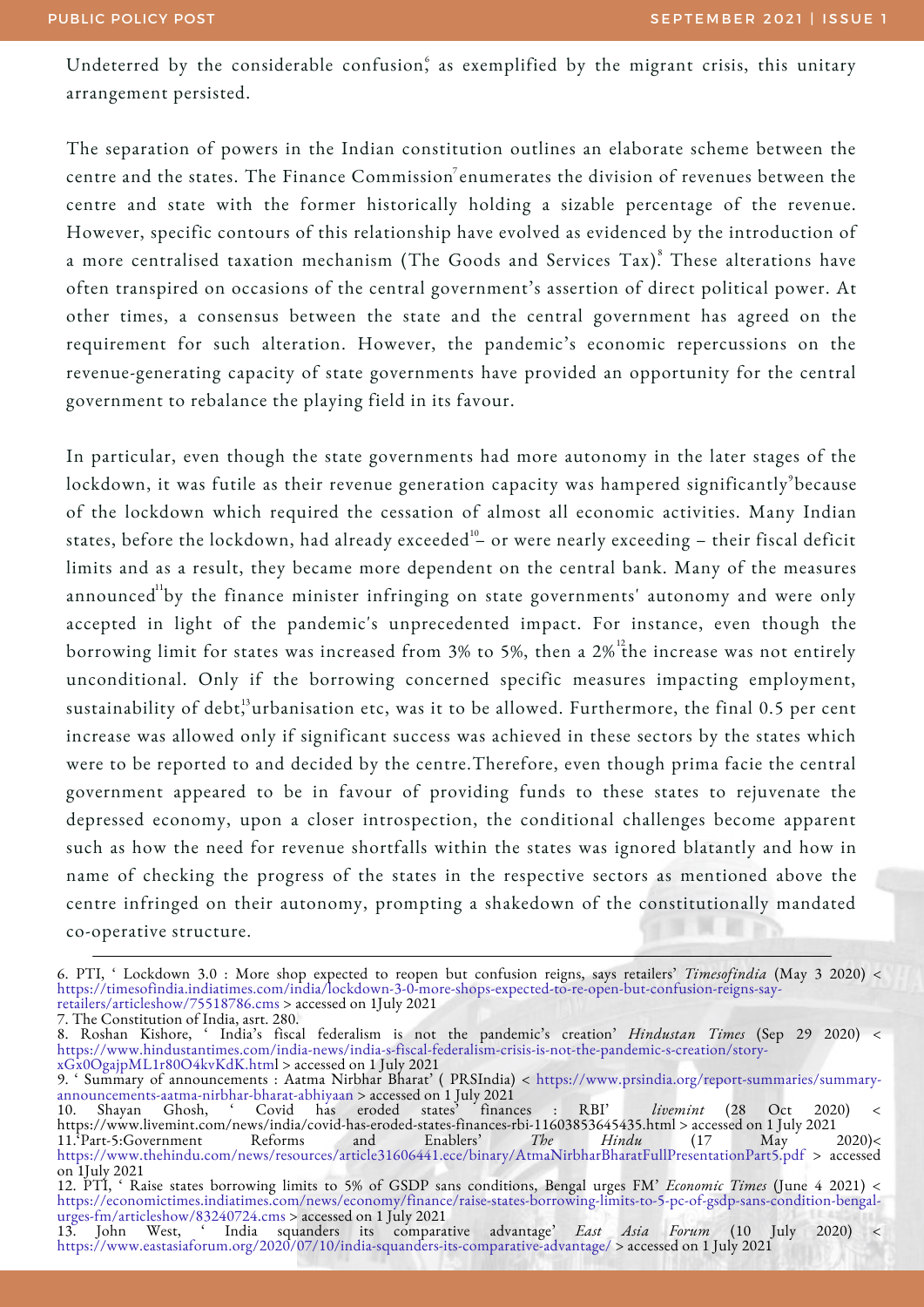Undeterred by the considerable confusion, as exemplified by the migrant crisis, this unitary arrangement persisted.

The separation of powers in the Indian constitution outlines an elaborate scheme between the centre and the states. The Finance Commission $^7$ enumerates the division of revenues between the centre and state with the former historically holding a sizable percentage of the revenue. However, specific contours of this relationship have evolved as evidenced by the introduction of a more centralised taxation mechanism (The Goods and Services Tax).<sup>8</sup> These alterations have often transpired on occasions of the central government's assertion of direct political power. At other times, a consensus between the state and the central government has agreed on the requirement for such alteration. However, the pandemic's economic repercussions on the revenue-generating capacity of state governments have provided an opportunity for the central government to rebalance the playing field in its favour.

In particular, even though the state governments had more autonomy in the later stages of the lockdown, it was futile as their revenue generation capacity was hampered significantly $^{\circ}$ because of the lockdown which required the cessation of almost all economic activities. Many Indian states, before the lockdown, had already exceeded $^{\scriptscriptstyle 10}$  or were nearly exceeding – their fiscal deficit limits and as a result, they became more dependent on the central bank. Many of the measures announced $^{\rm {u}}$ by the finance minister infringing on state governments' autonomy and were only accepted in light of the pandemic's unprecedented impact. For instance, even though the borrowing limit for states was increased from 3% to 5%, then a 2% <sup>12</sup>the increase was not entirely unconditional. Only if the borrowing concerned specific measures impacting employment, sustainability of  $\mathrm{debt}^{\scriptscriptstyle 13}_\cdot$ urbanisation etc, was it to be allowed. Furthermore, the final 0.5 per cent increase was allowed only if significant success was achieved in these sectors by the states which were to be reported to and decided by the centre.Therefore, even though prima facie the central government appeared to be in favour of providing funds to these states to rejuvenate the depressed economy, upon a closer introspection, the conditional challenges become apparent such as how the need for revenue shortfalls within the states was ignored blatantly and how in name of checking the progress of the states in the respective sectors as mentioned above the centre infringed on their autonomy, prompting a shakedown of the constitutionally mandated co-operative structure.

7. The Constitution of India, asrt. 280.

8. Roshan Kishore, ' India's fiscal federalism is not the pandemic's creation' *Hindustan Times* (Sep 29 2020) < [https://www.hindustantimes.com/india-news/india-s-fiscal-federalism-crisis-is-not-the-pandemic-s-creation/story](https://www.hindustantimes.com/india-news/india-s-fiscal-federalism-crisis-is-not-the-pandemic-s-creation/story-xGx0OgajpML1r80O4kvKdK.html)xGx0OgajpML1r80O4kvKdK.htm[l](https://www.hindustantimes.com/india-news/india-s-fiscal-federalism-crisis-is-not-the-pandemic-s-creation/story-xGx0OgajpML1r80O4kvKdK.html) > accessed on 1 July 2021

9. ' Summary of announcements : Aatma Nirbhar Bharat' ( PRSIndia) < [https://www.prsindia.org/report-summaries/summary](https://www.prsindia.org/report-summaries/summary-announcements-aatma-nirbhar-bharat-abhiyaan)announcements-aatma-nirbhar-bharat-abhiyaan > accessed on 1 July 2021

10. Shayan Ghosh, ' Covid has eroded states' finances : RBI' *livemint* (28 Oct 2020) < <https://www.livemint.com/news/india/covid-has-eroded-states-finances-rbi-11603853645435.html> > accessed on 1 July 2021 11.'Part-5:Government Reforms and Enablers' *The Hindu* (17 May 2020)

<https://www.thehindu.com/news/resources/article31606441.ece/binary/AtmaNirbharBharatFullPresentationPart5.pdf> > accessed on 1July 2021

<sup>6.</sup> PTI, ' Lockdown 3.0 : More shop expected to reopen but confusion reigns, says retailers' *Timesofindia* (May 3 2020) < [https://timesofindia.indiatimes.com/india/lockdown-3-0-more-shops-expected-to-re-open-but-confusion-reigns-say](https://timesofindia.indiatimes.com/india/lockdown-3-0-more-shops-expected-to-re-open-but-confusion-reigns-say-retailers/articleshow/75518786.cms)retailers/articleshow/75518786.cms > accessed on 1July 2021

<sup>12.</sup> PTI, ' Raise states borrowing limits to 5% of GSDP sans conditions, Bengal urges FM' *Economic Times* (June 4 2021) < [https://economictimes.indiatimes.com/news/economy/finance/raise-states-borrowing-limits-to-5-pc-of-gsdp-sans-condition-bengal](https://economictimes.indiatimes.com/news/economy/finance/raise-states-borrowing-limits-to-5-pc-of-gsdp-sans-condition-bengal-urges-fm/articleshow/83240724.cms)urges-fm/articleshow/83240724.cms > accessed on 1 July 2021

<sup>13.</sup> John West, ' India squanders its comparative advantage' *East Asia Forum* (10 July 2020) < <https://www.eastasiaforum.org/2020/07/10/india-squanders-its-comparative-advantage/> > accessed on 1 July 2021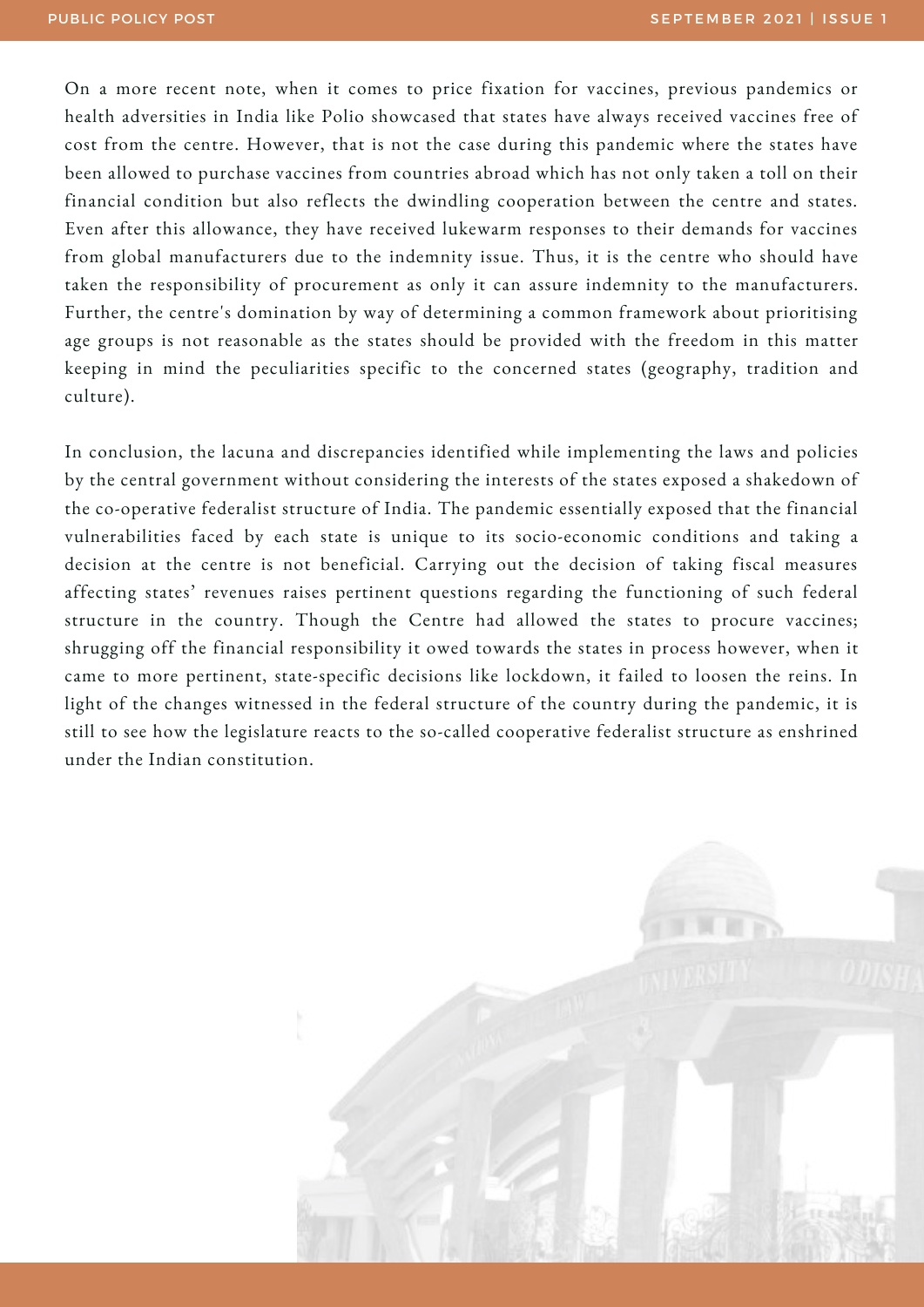On a more recent note, when it comes to price fixation for vaccines, previous pandemics or health adversities in India like Polio showcased that states have always received vaccines free of cost from the centre. However, that is not the case during this pandemic where the states have been allowed to purchase vaccines from countries abroad which has not only taken a toll on their financial condition but also reflects the dwindling cooperation between the centre and states. Even after this allowance, they have received lukewarm responses to their demands for vaccines from global manufacturers due to the indemnity issue. Thus, it is the centre who should have taken the responsibility of procurement as only it can assure indemnity to the manufacturers. Further, the centre's domination by way of determining a common framework about prioritising age groups is not reasonable as the states should be provided with the freedom in this matter keeping in mind the peculiarities specific to the concerned states (geography, tradition and culture).

In conclusion, the lacuna and discrepancies identified while implementing the laws and policies by the central government without considering the interests of the states exposed a shakedown of the co-operative federalist structure of India. The pandemic essentially exposed that the financial vulnerabilities faced by each state is unique to its socio-economic conditions and taking a decision at the centre is not beneficial. Carrying out the decision of taking fiscal measures affecting states' revenues raises pertinent questions regarding the functioning of such federal structure in the country. Though the Centre had allowed the states to procure vaccines; shrugging off the financial responsibility it owed towards the states in process however, when it came to more pertinent, state-specific decisions like lockdown, it failed to loosen the reins. In light of the changes witnessed in the federal structure of the country during the pandemic, it is still to see how the legislature reacts to the so-called cooperative federalist structure as enshrined under the Indian constitution.

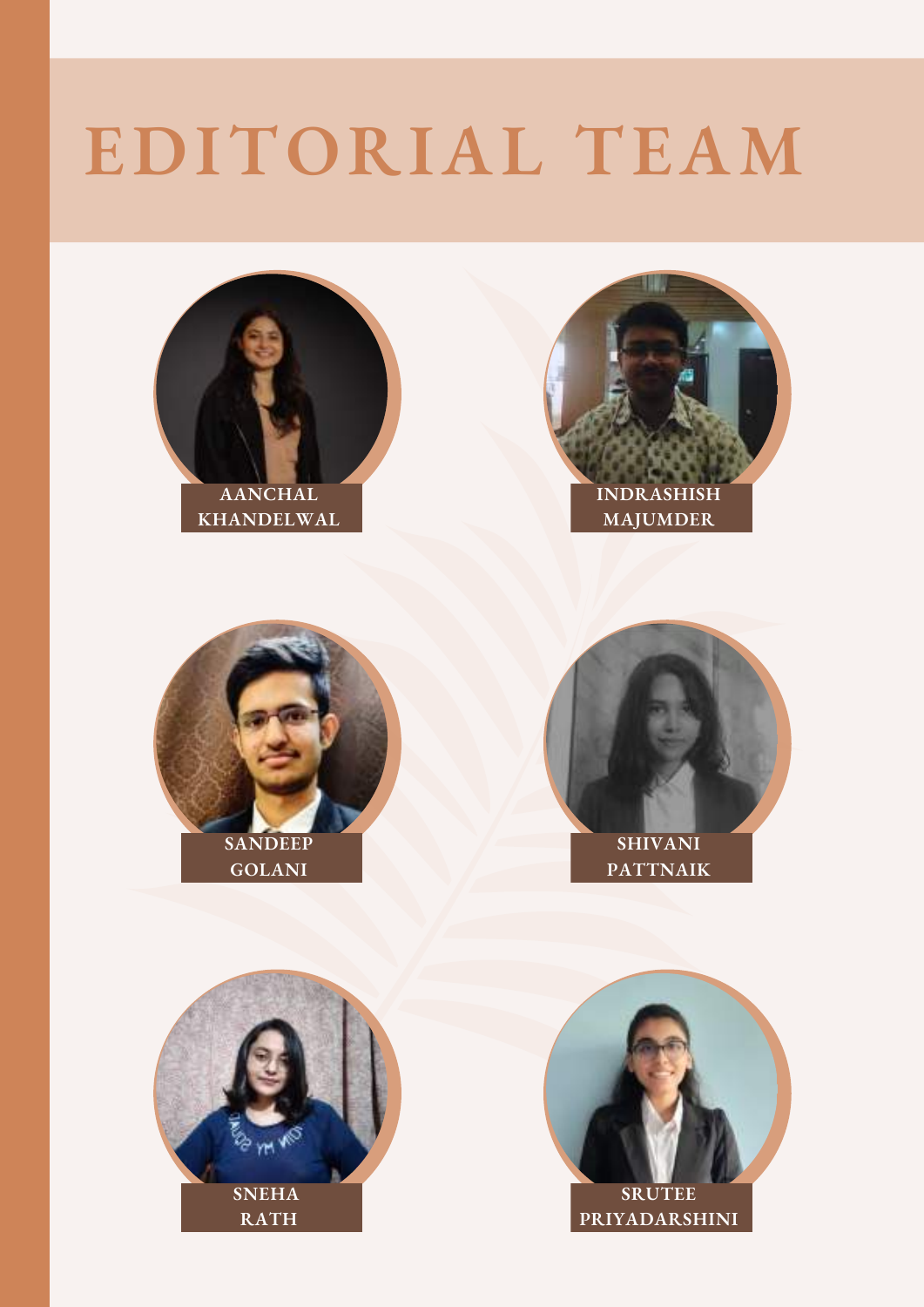# **EDITORIAL TEAM**